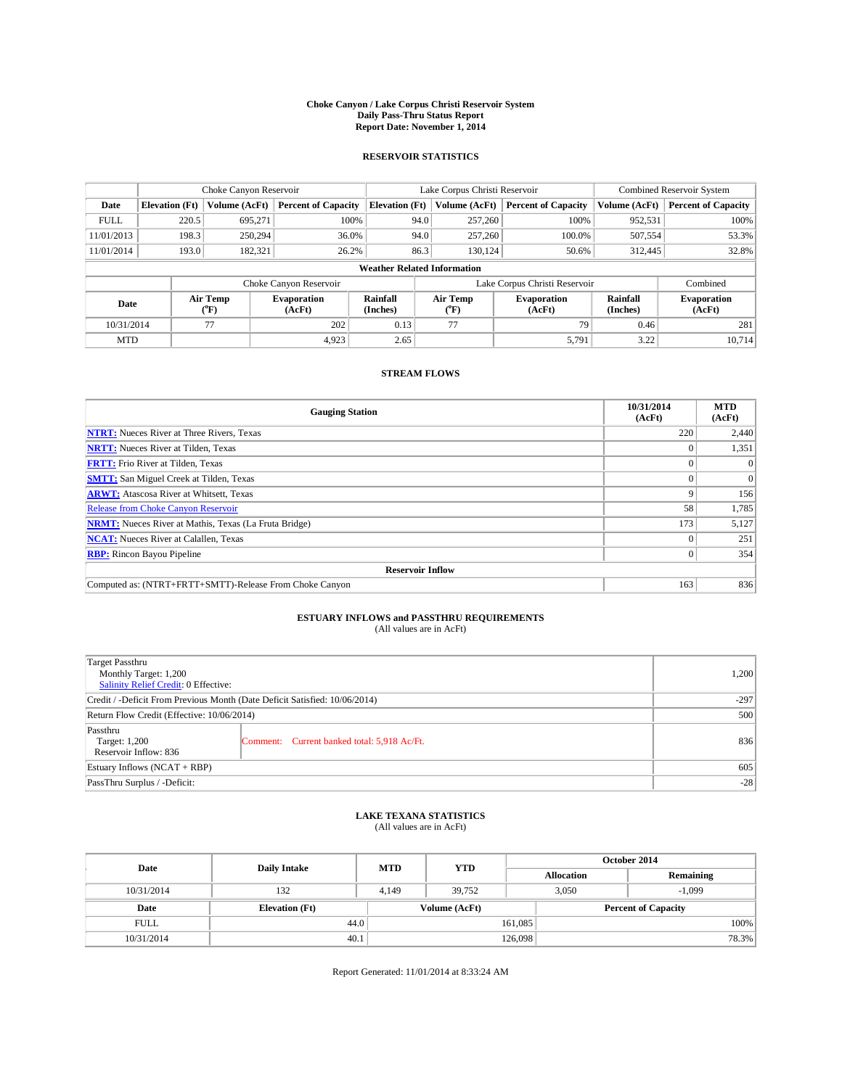#### **Choke Canyon / Lake Corpus Christi Reservoir System Daily Pass-Thru Status Report Report Date: November 1, 2014**

### **RESERVOIR STATISTICS**

|             |                                    | Choke Canyon Reservoir |                              |                       | Lake Corpus Christi Reservoir | <b>Combined Reservoir System</b> |                      |                              |  |
|-------------|------------------------------------|------------------------|------------------------------|-----------------------|-------------------------------|----------------------------------|----------------------|------------------------------|--|
| Date        | <b>Elevation</b> (Ft)              | Volume (AcFt)          | <b>Percent of Capacity</b>   | <b>Elevation (Ft)</b> | Volume (AcFt)                 | <b>Percent of Capacity</b>       | Volume (AcFt)        | <b>Percent of Capacity</b>   |  |
| <b>FULL</b> | 220.5                              | 695.271                | 100%                         | 94.0                  | 257,260                       | 100%                             | 952,531              | 100%                         |  |
| 11/01/2013  | 198.3                              | 250,294                | 36.0%                        | 94.0                  | 257,260                       | 100.0%                           | 507,554              | 53.3%                        |  |
| 11/01/2014  | 193.0                              | 182,321                | 26.2%                        | 86.3                  | 130.124                       | 50.6%                            | 312,445              | 32.8%                        |  |
|             | <b>Weather Related Information</b> |                        |                              |                       |                               |                                  |                      |                              |  |
|             |                                    |                        | Choke Canyon Reservoir       |                       | Lake Corpus Christi Reservoir |                                  | Combined             |                              |  |
| Date        |                                    | Air Temp<br>(°F)       | <b>Evaporation</b><br>(AcFt) | Rainfall<br>(Inches)  | Air Temp<br>(°F)              | <b>Evaporation</b><br>(AcFt)     | Rainfall<br>(Inches) | <b>Evaporation</b><br>(AcFt) |  |
| 10/31/2014  |                                    | 77                     | 202                          | 0.13                  | 77                            | 79                               | 0.46                 | 281                          |  |
| <b>MTD</b>  |                                    |                        | 4.923                        | 2.65                  |                               | 5,791                            | 3.22                 | 10.714                       |  |

## **STREAM FLOWS**

| <b>Gauging Station</b>                                       | 10/31/2014<br>(AcFt) | <b>MTD</b><br>(AcFt) |  |  |  |  |
|--------------------------------------------------------------|----------------------|----------------------|--|--|--|--|
| <b>NTRT:</b> Nueces River at Three Rivers, Texas             | 220                  | 2,440                |  |  |  |  |
| <b>NRTT:</b> Nueces River at Tilden, Texas                   |                      | 1,351                |  |  |  |  |
| <b>FRTT:</b> Frio River at Tilden, Texas                     | $\Omega$             | $\Omega$             |  |  |  |  |
| <b>SMTT:</b> San Miguel Creek at Tilden, Texas               |                      | $\Omega$             |  |  |  |  |
| <b>ARWT:</b> Atascosa River at Whitsett, Texas               | Q                    | 156                  |  |  |  |  |
| <b>Release from Choke Canyon Reservoir</b>                   | 58                   | 1,785                |  |  |  |  |
| <b>NRMT:</b> Nueces River at Mathis, Texas (La Fruta Bridge) | 173                  | 5,127                |  |  |  |  |
| <b>NCAT:</b> Nueces River at Calallen, Texas                 |                      | 251                  |  |  |  |  |
| <b>RBP:</b> Rincon Bayou Pipeline                            | $\Omega$             | 354                  |  |  |  |  |
| <b>Reservoir Inflow</b>                                      |                      |                      |  |  |  |  |
| Computed as: (NTRT+FRTT+SMTT)-Release From Choke Canyon      | 163                  | 836                  |  |  |  |  |

# **ESTUARY INFLOWS and PASSTHRU REQUIREMENTS**<br>(All values are in AcFt)

| <b>Target Passthru</b><br>Monthly Target: 1,200<br>Salinity Relief Credit: 0 Effective: |                                             | 1,200 |  |  |
|-----------------------------------------------------------------------------------------|---------------------------------------------|-------|--|--|
| Credit / -Deficit From Previous Month (Date Deficit Satisfied: 10/06/2014)              |                                             |       |  |  |
| Return Flow Credit (Effective: 10/06/2014)                                              | 500                                         |       |  |  |
| Passthru<br>Target: 1,200<br>Reservoir Inflow: 836                                      | Comment: Current banked total: 5,918 Ac/Ft. | 836   |  |  |
| Estuary Inflows (NCAT + RBP)                                                            | 605                                         |       |  |  |
| PassThru Surplus / -Deficit:                                                            | $-28$                                       |       |  |  |

# **LAKE TEXANA STATISTICS** (All values are in AcFt)

| Date        | <b>Daily Intake</b>   | <b>MTD</b> | <b>YTD</b>    | October 2014      |                            |           |  |
|-------------|-----------------------|------------|---------------|-------------------|----------------------------|-----------|--|
|             |                       |            |               | <b>Allocation</b> |                            | Remaining |  |
| 10/31/2014  | 132                   | 4.149      | 39.752        |                   | 3,050<br>$-1,099$          |           |  |
| Date        | <b>Elevation</b> (Ft) |            | Volume (AcFt) |                   | <b>Percent of Capacity</b> |           |  |
| <b>FULL</b> | 44.0                  |            |               | 161,085           |                            | 100%      |  |
| 10/31/2014  | 40.1                  |            |               | 126,098           |                            | 78.3%     |  |

Report Generated: 11/01/2014 at 8:33:24 AM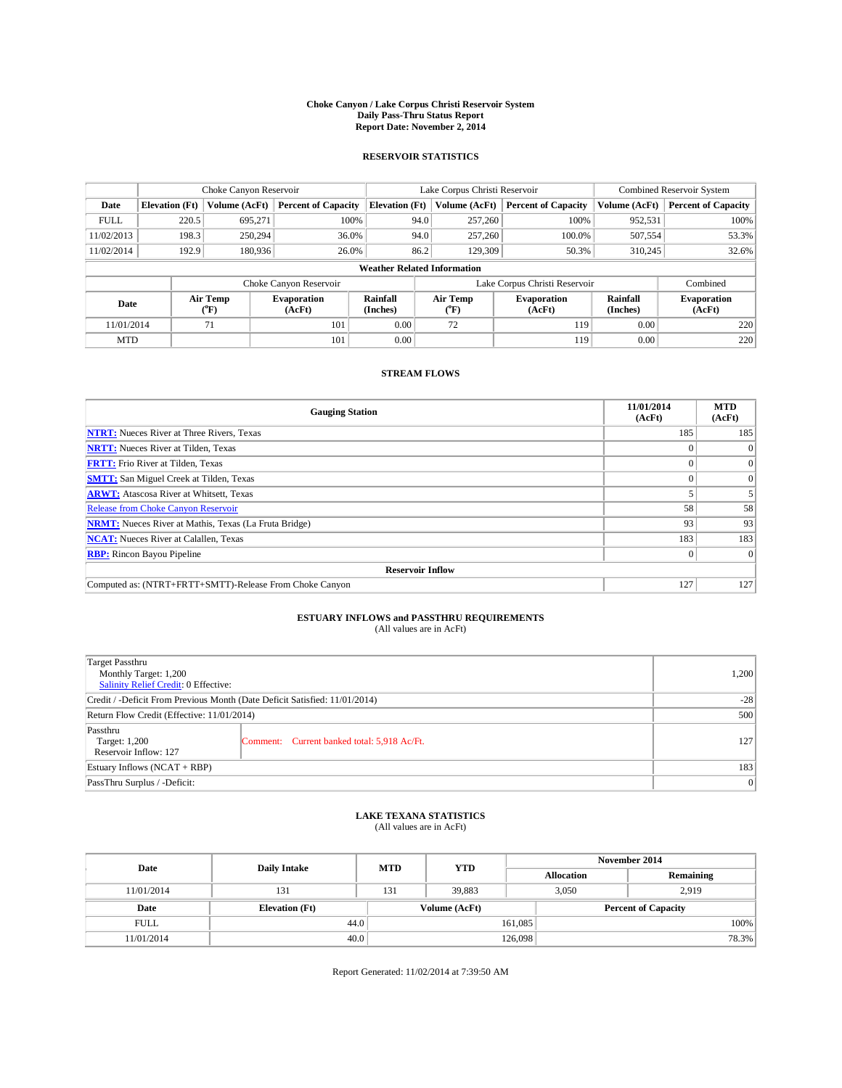#### **Choke Canyon / Lake Corpus Christi Reservoir System Daily Pass-Thru Status Report Report Date: November 2, 2014**

### **RESERVOIR STATISTICS**

|             |                                    | Choke Canyon Reservoir |                              |                       | Lake Corpus Christi Reservoir | Combined Reservoir System    |                      |                              |  |
|-------------|------------------------------------|------------------------|------------------------------|-----------------------|-------------------------------|------------------------------|----------------------|------------------------------|--|
| Date        | <b>Elevation</b> (Ft)              | Volume (AcFt)          | <b>Percent of Capacity</b>   | <b>Elevation (Ft)</b> | Volume (AcFt)                 | <b>Percent of Capacity</b>   | Volume (AcFt)        | <b>Percent of Capacity</b>   |  |
| <b>FULL</b> | 220.5                              | 695,271                | 100%                         | 94.0                  | 257,260                       | 100%                         | 952,531              | 100%                         |  |
| 11/02/2013  | 198.3                              | 250,294                | 36.0%                        | 94.0                  | 257,260                       | 100.0%                       | 507,554              | 53.3%                        |  |
| 11/02/2014  | 192.9                              | 180,936                | 26.0%                        | 86.2                  | 129,309                       | 50.3%                        | 310,245              | 32.6%                        |  |
|             | <b>Weather Related Information</b> |                        |                              |                       |                               |                              |                      |                              |  |
|             |                                    |                        | Choke Canyon Reservoir       |                       | Lake Corpus Christi Reservoir |                              | Combined             |                              |  |
| Date        |                                    | Air Temp<br>(°F)       | <b>Evaporation</b><br>(AcFt) | Rainfall<br>(Inches)  | Air Temp<br>("F)              | <b>Evaporation</b><br>(AcFt) | Rainfall<br>(Inches) | <b>Evaporation</b><br>(AcFt) |  |
| 11/01/2014  |                                    | 71                     | 101                          | 0.00                  | 72                            | 119                          | 0.00                 | 220                          |  |
| <b>MTD</b>  |                                    |                        | 101                          | 0.00                  |                               | 119                          | 0.00                 | 220                          |  |

## **STREAM FLOWS**

| <b>Gauging Station</b>                                       | 11/01/2014<br>(AcFt) | <b>MTD</b><br>(AcFt) |  |  |  |  |  |
|--------------------------------------------------------------|----------------------|----------------------|--|--|--|--|--|
| <b>NTRT:</b> Nueces River at Three Rivers, Texas             | 185                  | 185                  |  |  |  |  |  |
| <b>NRTT:</b> Nueces River at Tilden, Texas                   |                      | $\Omega$             |  |  |  |  |  |
| <b>FRTT:</b> Frio River at Tilden, Texas                     |                      | $\overline{0}$       |  |  |  |  |  |
| <b>SMTT:</b> San Miguel Creek at Tilden, Texas               |                      | $\Omega$             |  |  |  |  |  |
| <b>ARWT:</b> Atascosa River at Whitsett, Texas               |                      |                      |  |  |  |  |  |
| <b>Release from Choke Canyon Reservoir</b>                   | 58                   | 58                   |  |  |  |  |  |
| <b>NRMT:</b> Nueces River at Mathis, Texas (La Fruta Bridge) | 93                   | 93                   |  |  |  |  |  |
| <b>NCAT:</b> Nueces River at Calallen, Texas                 | 183                  | 183                  |  |  |  |  |  |
| <b>RBP:</b> Rincon Bayou Pipeline                            | $\Omega$             | $\Omega$             |  |  |  |  |  |
| <b>Reservoir Inflow</b>                                      |                      |                      |  |  |  |  |  |
| Computed as: (NTRT+FRTT+SMTT)-Release From Choke Canyon      | 127                  | 127                  |  |  |  |  |  |

# **ESTUARY INFLOWS and PASSTHRU REQUIREMENTS**<br>(All values are in AcFt)

| <b>Target Passthru</b><br>Monthly Target: 1,200<br>Salinity Relief Credit: 0 Effective: |                                             | 1,200 |  |  |
|-----------------------------------------------------------------------------------------|---------------------------------------------|-------|--|--|
| Credit / -Deficit From Previous Month (Date Deficit Satisfied: 11/01/2014)              |                                             |       |  |  |
| Return Flow Credit (Effective: 11/01/2014)                                              |                                             |       |  |  |
| Passthru<br>Target: 1,200<br>Reservoir Inflow: 127                                      | Comment: Current banked total: 5,918 Ac/Ft. | 127   |  |  |
| Estuary Inflows (NCAT + RBP)                                                            | 183                                         |       |  |  |
| PassThru Surplus / -Deficit:                                                            |                                             |       |  |  |

## **LAKE TEXANA STATISTICS** (All values are in AcFt)

| Date        | <b>Daily Intake</b>   | <b>MTD</b> | <b>YTD</b>    | November 2014     |                            |           |  |
|-------------|-----------------------|------------|---------------|-------------------|----------------------------|-----------|--|
|             |                       |            |               | <b>Allocation</b> |                            | Remaining |  |
| 11/01/2014  | 131                   | 131        | 39,883        |                   | 3,050<br>2,919             |           |  |
| Date        | <b>Elevation</b> (Ft) |            | Volume (AcFt) |                   | <b>Percent of Capacity</b> |           |  |
| <b>FULL</b> | 44.0                  |            |               | 161,085           |                            | 100%      |  |
| 11/01/2014  | 40.0                  |            |               | 126,098           |                            | 78.3%     |  |

Report Generated: 11/02/2014 at 7:39:50 AM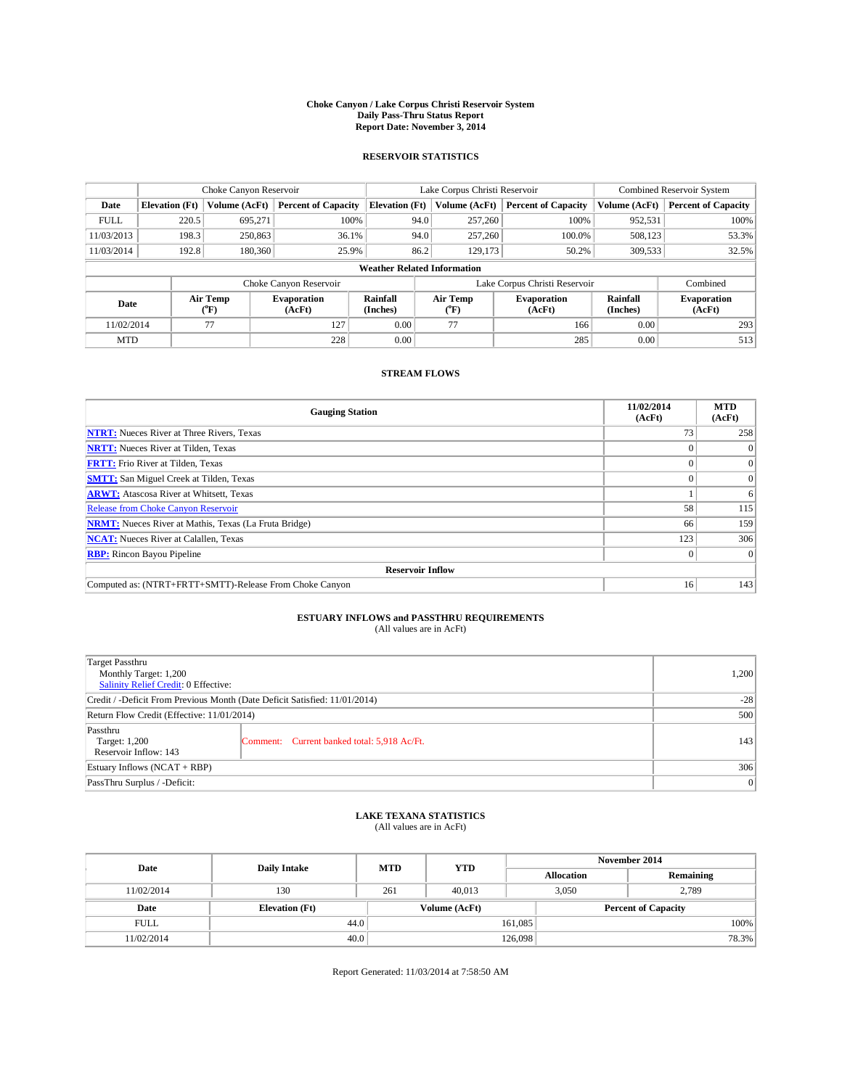#### **Choke Canyon / Lake Corpus Christi Reservoir System Daily Pass-Thru Status Report Report Date: November 3, 2014**

### **RESERVOIR STATISTICS**

|             |                       | Choke Canyon Reservoir |                              |                                    | Lake Corpus Christi Reservoir | Combined Reservoir System    |                      |                              |
|-------------|-----------------------|------------------------|------------------------------|------------------------------------|-------------------------------|------------------------------|----------------------|------------------------------|
| Date        | <b>Elevation</b> (Ft) | Volume (AcFt)          | <b>Percent of Capacity</b>   | <b>Elevation (Ft)</b>              | Volume (AcFt)                 | <b>Percent of Capacity</b>   | Volume (AcFt)        | <b>Percent of Capacity</b>   |
| <b>FULL</b> | 220.5                 | 695.271                | 100%                         | 94.0                               | 257,260                       | 100%                         | 952,531              | 100%                         |
| 11/03/2013  | 198.3                 | 250,863                | 36.1%                        | 94.0                               | 257,260                       | 100.0%                       | 508,123              | 53.3%                        |
| 11/03/2014  | 192.8                 | 180,360                | 25.9%                        | 86.2                               | 129,173                       | 50.2%                        | 309,533              | 32.5%                        |
|             |                       |                        |                              | <b>Weather Related Information</b> |                               |                              |                      |                              |
|             |                       |                        | Choke Canyon Reservoir       |                                    | Lake Corpus Christi Reservoir |                              |                      |                              |
| Date        |                       | Air Temp<br>(°F)       | <b>Evaporation</b><br>(AcFt) | Rainfall<br>(Inches)               | Air Temp<br>(°F)              | <b>Evaporation</b><br>(AcFt) | Rainfall<br>(Inches) | <b>Evaporation</b><br>(AcFt) |
| 11/02/2014  |                       | 77                     | 127                          | 0.00                               | 77                            | 166                          | 0.00                 | 293                          |
| <b>MTD</b>  |                       |                        | 228                          | 0.00                               |                               | 285                          | 0.00                 | 513                          |

### **STREAM FLOWS**

| <b>Gauging Station</b>                                       | 11/02/2014<br>(AcFt) | <b>MTD</b><br>(AcFt) |  |  |  |  |  |
|--------------------------------------------------------------|----------------------|----------------------|--|--|--|--|--|
| <b>NTRT:</b> Nueces River at Three Rivers, Texas             |                      | 258                  |  |  |  |  |  |
| <b>NRTT:</b> Nueces River at Tilden, Texas                   |                      | $\theta$             |  |  |  |  |  |
| <b>FRTT:</b> Frio River at Tilden, Texas                     |                      | $\overline{0}$       |  |  |  |  |  |
| <b>SMTT:</b> San Miguel Creek at Tilden, Texas               |                      | $\Omega$             |  |  |  |  |  |
| <b>ARWT:</b> Atascosa River at Whitsett, Texas               |                      | 6                    |  |  |  |  |  |
| <b>Release from Choke Canyon Reservoir</b>                   | 58                   | 115                  |  |  |  |  |  |
| <b>NRMT:</b> Nueces River at Mathis, Texas (La Fruta Bridge) | 66                   | 159                  |  |  |  |  |  |
| <b>NCAT:</b> Nueces River at Calallen, Texas                 | 123                  | 306                  |  |  |  |  |  |
| <b>RBP:</b> Rincon Bayou Pipeline                            | $\Omega$             | $\Omega$             |  |  |  |  |  |
| <b>Reservoir Inflow</b>                                      |                      |                      |  |  |  |  |  |
| Computed as: (NTRT+FRTT+SMTT)-Release From Choke Canyon      | 16                   | 143                  |  |  |  |  |  |

# **ESTUARY INFLOWS and PASSTHRU REQUIREMENTS**<br>(All values are in AcFt)

| Target Passthru                                                            |     |  |  |  |
|----------------------------------------------------------------------------|-----|--|--|--|
| Monthly Target: 1,200                                                      |     |  |  |  |
| Salinity Relief Credit: 0 Effective:                                       |     |  |  |  |
| Credit / -Deficit From Previous Month (Date Deficit Satisfied: 11/01/2014) |     |  |  |  |
| Return Flow Credit (Effective: 11/01/2014)                                 |     |  |  |  |
| Passthru                                                                   |     |  |  |  |
| Target: 1,200<br>Comment: Current banked total: 5,918 Ac/Ft.               | 143 |  |  |  |
| Reservoir Inflow: 143                                                      |     |  |  |  |
| Estuary Inflows (NCAT + RBP)                                               | 306 |  |  |  |
| PassThru Surplus / -Deficit:                                               | 0   |  |  |  |

# **LAKE TEXANA STATISTICS** (All values are in AcFt)

| Date        | <b>Daily Intake</b>   | <b>MTD</b> | <b>YTD</b>    | November 2014     |                            |           |       |
|-------------|-----------------------|------------|---------------|-------------------|----------------------------|-----------|-------|
|             |                       |            |               | <b>Allocation</b> |                            | Remaining |       |
| 11/02/2014  | 130                   | 261        | 40.013        |                   | 2,789<br>3,050             |           |       |
| Date        | <b>Elevation</b> (Ft) |            | Volume (AcFt) |                   | <b>Percent of Capacity</b> |           |       |
| <b>FULL</b> | 44.0                  |            |               | 161,085           |                            |           | 100%  |
| 11/02/2014  | 40.0                  |            |               | 126,098           |                            |           | 78.3% |

Report Generated: 11/03/2014 at 7:58:50 AM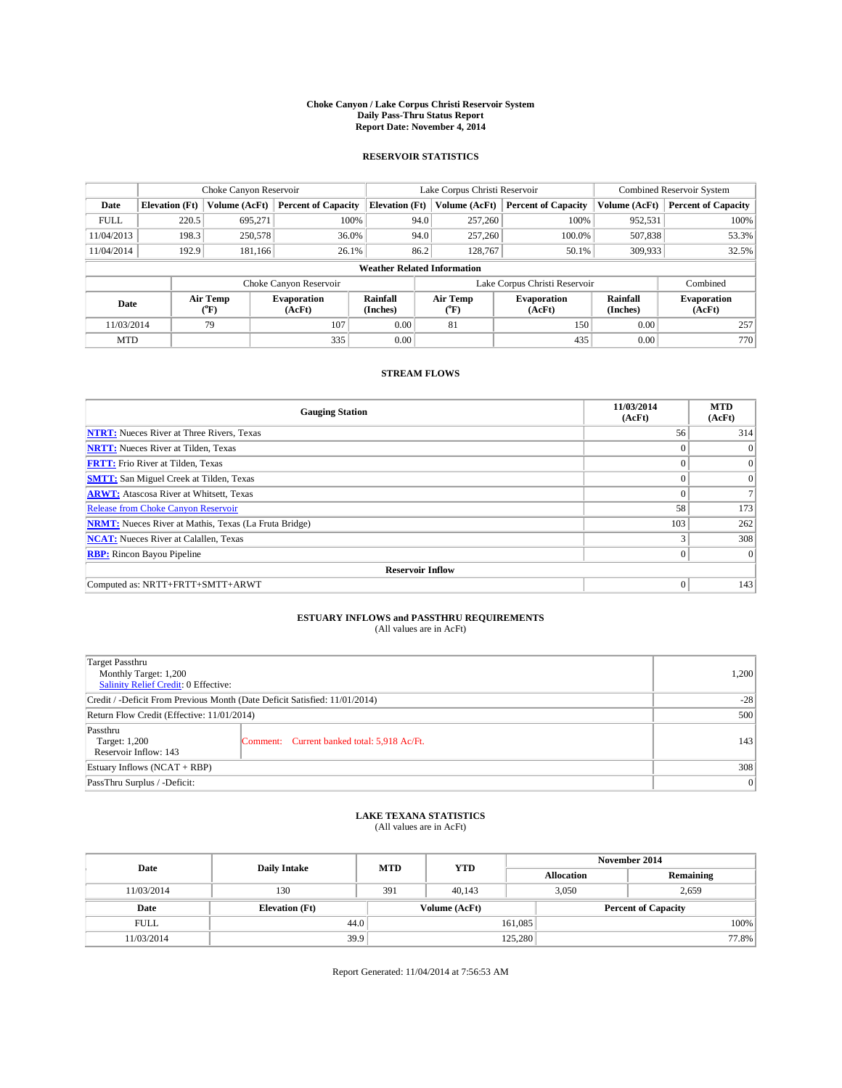#### **Choke Canyon / Lake Corpus Christi Reservoir System Daily Pass-Thru Status Report Report Date: November 4, 2014**

#### **RESERVOIR STATISTICS**

|             |                       | Choke Canyon Reservoir |                              |                                    | Lake Corpus Christi Reservoir | <b>Combined Reservoir System</b> |                      |                              |
|-------------|-----------------------|------------------------|------------------------------|------------------------------------|-------------------------------|----------------------------------|----------------------|------------------------------|
| Date        | <b>Elevation</b> (Ft) | Volume (AcFt)          | <b>Percent of Capacity</b>   | <b>Elevation (Ft)</b>              | Volume (AcFt)                 | <b>Percent of Capacity</b>       | Volume (AcFt)        | <b>Percent of Capacity</b>   |
| <b>FULL</b> | 220.5                 | 695.271                | 100%                         | 94.0                               | 257,260                       | 100%                             | 952,531              | 100%                         |
| 11/04/2013  | 198.3                 | 250,578                | 36.0%                        | 94.0                               | 257,260                       | 100.0%                           | 507,838              | 53.3%                        |
| 11/04/2014  | 192.9                 | 181.166                | 26.1%                        | 86.2                               | 128,767                       | 50.1%                            | 309,933              | 32.5%                        |
|             |                       |                        |                              | <b>Weather Related Information</b> |                               |                                  |                      |                              |
|             |                       |                        | Choke Canyon Reservoir       |                                    | Lake Corpus Christi Reservoir |                                  |                      |                              |
| Date        |                       | Air Temp<br>(°F)       | <b>Evaporation</b><br>(AcFt) | Rainfall<br>(Inches)               | Air Temp<br>$(^{0}F)$         | <b>Evaporation</b><br>(AcFt)     | Rainfall<br>(Inches) | <b>Evaporation</b><br>(AcFt) |
| 11/03/2014  |                       | 79                     | 107                          | 0.00                               | 81                            | 150                              | 0.00                 | 257                          |
| <b>MTD</b>  |                       |                        | 335                          | 0.00                               |                               | 435                              | 0.00                 | 770                          |

## **STREAM FLOWS**

| <b>Gauging Station</b>                                       | 11/03/2014<br>(AcFt) | <b>MTD</b><br>(AcFt) |
|--------------------------------------------------------------|----------------------|----------------------|
| <b>NTRT:</b> Nueces River at Three Rivers, Texas             | 56                   | 314                  |
| <b>NRTT:</b> Nueces River at Tilden, Texas                   | $\theta$             | $\Omega$             |
| <b>FRTT:</b> Frio River at Tilden, Texas                     |                      | $\overline{0}$       |
| <b>SMTT:</b> San Miguel Creek at Tilden, Texas               | $\theta$             | $\overline{0}$       |
| <b>ARWT:</b> Atascosa River at Whitsett, Texas               | $\theta$             |                      |
| <b>Release from Choke Canyon Reservoir</b>                   | 58                   | 173                  |
| <b>NRMT:</b> Nueces River at Mathis, Texas (La Fruta Bridge) | 103                  | 262                  |
| <b>NCAT:</b> Nueces River at Calallen, Texas                 | 3                    | 308                  |
| <b>RBP:</b> Rincon Bayou Pipeline                            | $\theta$             | $\Omega$             |
| <b>Reservoir Inflow</b>                                      |                      |                      |
| Computed as: NRTT+FRTT+SMTT+ARWT                             | $\Omega$             | 143                  |

# **ESTUARY INFLOWS and PASSTHRU REQUIREMENTS**<br>(All values are in AcFt)

| <b>Target Passthru</b><br>Monthly Target: 1,200<br>Salinity Relief Credit: 0 Effective: |                                             |     |  |  |
|-----------------------------------------------------------------------------------------|---------------------------------------------|-----|--|--|
| Credit / -Deficit From Previous Month (Date Deficit Satisfied: 11/01/2014)              |                                             |     |  |  |
| Return Flow Credit (Effective: 11/01/2014)                                              |                                             |     |  |  |
| Passthru<br>Target: 1,200<br>Reservoir Inflow: 143                                      | Comment: Current banked total: 5,918 Ac/Ft. | 143 |  |  |
| Estuary Inflows (NCAT + RBP)                                                            |                                             |     |  |  |
| PassThru Surplus / -Deficit:                                                            | 0                                           |     |  |  |

# **LAKE TEXANA STATISTICS** (All values are in AcFt)

| Date        | <b>Daily Intake</b>   | <b>MTD</b> | <b>YTD</b>    | November 2014     |                            |           |  |
|-------------|-----------------------|------------|---------------|-------------------|----------------------------|-----------|--|
|             |                       |            |               | <b>Allocation</b> |                            | Remaining |  |
| 11/03/2014  | 130                   | 391        | 40.143        |                   | 3,050<br>2,659             |           |  |
| Date        | <b>Elevation</b> (Ft) |            | Volume (AcFt) |                   | <b>Percent of Capacity</b> |           |  |
| <b>FULL</b> | 44.0                  |            |               | 161,085           |                            | 100%      |  |
| 11/03/2014  | 39.9                  |            |               | 125,280           |                            | 77.8%     |  |

Report Generated: 11/04/2014 at 7:56:53 AM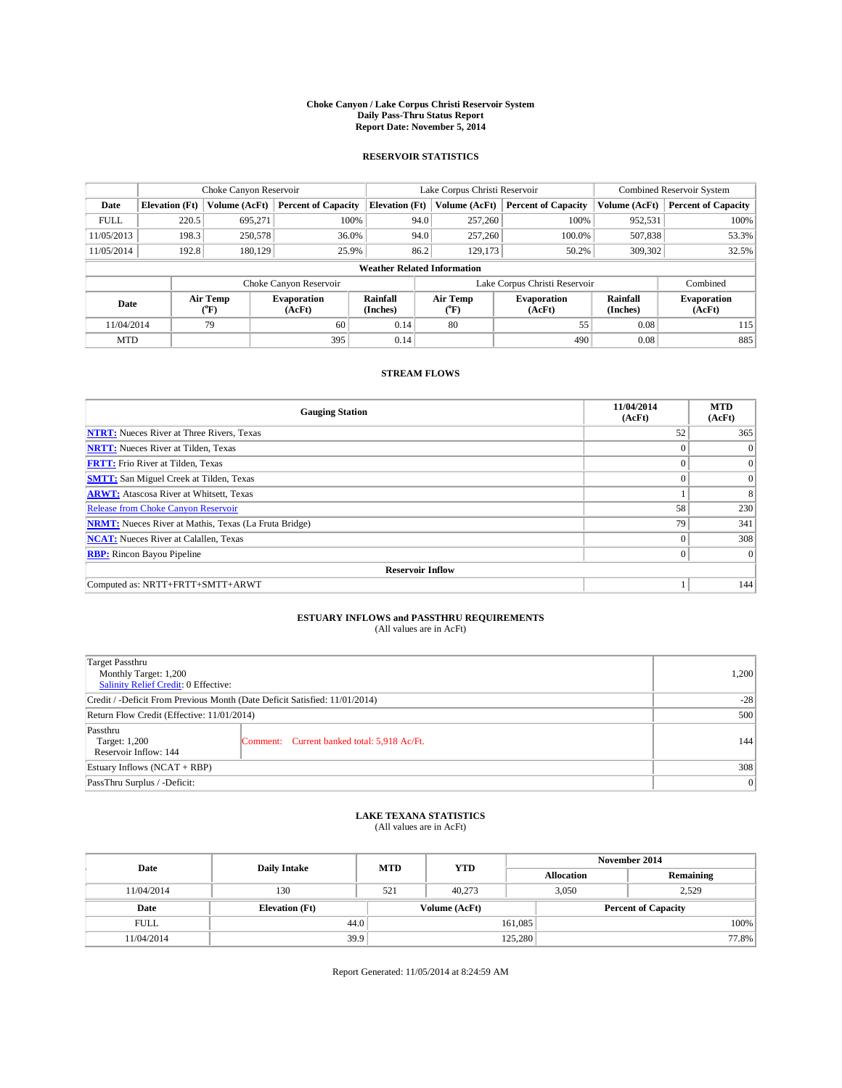#### **Choke Canyon / Lake Corpus Christi Reservoir System Daily Pass-Thru Status Report Report Date: November 5, 2014**

### **RESERVOIR STATISTICS**

|             |                                    | Choke Canyon Reservoir |                              |                       | Lake Corpus Christi Reservoir | <b>Combined Reservoir System</b> |                      |                              |  |
|-------------|------------------------------------|------------------------|------------------------------|-----------------------|-------------------------------|----------------------------------|----------------------|------------------------------|--|
| Date        | <b>Elevation</b> (Ft)              | Volume (AcFt)          | <b>Percent of Capacity</b>   | <b>Elevation (Ft)</b> | Volume (AcFt)                 | <b>Percent of Capacity</b>       | Volume (AcFt)        | <b>Percent of Capacity</b>   |  |
| <b>FULL</b> | 220.5                              | 695.271                | 100%                         | 94.0                  | 257,260                       | 100%                             | 952,531              | 100%                         |  |
| 11/05/2013  | 198.3                              | 250,578                | 36.0%                        | 94.0                  | 257,260                       | 100.0%                           | 507,838              | 53.3%                        |  |
| 11/05/2014  | 192.8                              | 180,129                | 25.9%                        | 86.2                  | 129.173                       | 50.2%                            | 309,302              | 32.5%                        |  |
|             | <b>Weather Related Information</b> |                        |                              |                       |                               |                                  |                      |                              |  |
|             |                                    |                        | Choke Canyon Reservoir       |                       | Lake Corpus Christi Reservoir |                                  | Combined             |                              |  |
| Date        |                                    | Air Temp<br>(°F)       | <b>Evaporation</b><br>(AcFt) | Rainfall<br>(Inches)  | Air Temp<br>$\rm ^{(^o}\!F)$  | <b>Evaporation</b><br>(AcFt)     | Rainfall<br>(Inches) | <b>Evaporation</b><br>(AcFt) |  |
| 11/04/2014  |                                    | 79                     | 60                           | 0.14                  | 80                            | 55                               | 0.08                 | 115                          |  |
|             | <b>MTD</b>                         |                        | 395                          | 0.14                  |                               | 490                              | 0.08                 | 885                          |  |

## **STREAM FLOWS**

| <b>Gauging Station</b>                                       | 11/04/2014<br>(AcFt) | <b>MTD</b><br>(AcFt) |  |  |  |  |  |
|--------------------------------------------------------------|----------------------|----------------------|--|--|--|--|--|
| <b>NTRT:</b> Nueces River at Three Rivers, Texas             | 52                   | 365                  |  |  |  |  |  |
| <b>NRTT:</b> Nueces River at Tilden, Texas                   | $\theta$             | $\Omega$             |  |  |  |  |  |
| <b>FRTT:</b> Frio River at Tilden, Texas                     |                      | $\overline{0}$       |  |  |  |  |  |
| <b>SMTT:</b> San Miguel Creek at Tilden, Texas               | $\theta$             | $\overline{0}$       |  |  |  |  |  |
| <b>ARWT:</b> Atascosa River at Whitsett, Texas               |                      | 8                    |  |  |  |  |  |
| <b>Release from Choke Canyon Reservoir</b>                   | 58                   | 230                  |  |  |  |  |  |
| <b>NRMT:</b> Nueces River at Mathis, Texas (La Fruta Bridge) | 79                   | 341                  |  |  |  |  |  |
| <b>NCAT:</b> Nueces River at Calallen, Texas                 | $\theta$             | 308                  |  |  |  |  |  |
| <b>RBP:</b> Rincon Bayou Pipeline                            | $\theta$             | $\Omega$             |  |  |  |  |  |
| <b>Reservoir Inflow</b>                                      |                      |                      |  |  |  |  |  |
| Computed as: NRTT+FRTT+SMTT+ARWT                             |                      | 144                  |  |  |  |  |  |

# **ESTUARY INFLOWS and PASSTHRU REQUIREMENTS**<br>(All values are in AcFt)

| <b>Target Passthru</b><br>Monthly Target: 1,200<br>Salinity Relief Credit: 0 Effective: |                                             |     |  |  |
|-----------------------------------------------------------------------------------------|---------------------------------------------|-----|--|--|
| Credit / -Deficit From Previous Month (Date Deficit Satisfied: 11/01/2014)              |                                             |     |  |  |
| Return Flow Credit (Effective: 11/01/2014)                                              |                                             |     |  |  |
| Passthru<br>Target: 1,200<br>Reservoir Inflow: 144                                      | Comment: Current banked total: 5,918 Ac/Ft. | 144 |  |  |
| Estuary Inflows (NCAT + RBP)                                                            |                                             |     |  |  |
| PassThru Surplus / -Deficit:                                                            | 0                                           |     |  |  |

# **LAKE TEXANA STATISTICS** (All values are in AcFt)

| Date        | <b>Daily Intake</b>   | <b>MTD</b> | <b>YTD</b>    | November 2014     |                            |           |       |
|-------------|-----------------------|------------|---------------|-------------------|----------------------------|-----------|-------|
|             |                       |            |               | <b>Allocation</b> |                            | Remaining |       |
| 11/04/2014  | 130                   | 521        | 40,273        |                   | 3.050<br>2.529             |           |       |
| Date        | <b>Elevation</b> (Ft) |            | Volume (AcFt) |                   | <b>Percent of Capacity</b> |           |       |
| <b>FULL</b> | 44.0                  |            |               | 161,085           |                            |           | 100%  |
| 11/04/2014  | 39.9                  |            |               | 125,280           |                            |           | 77.8% |

Report Generated: 11/05/2014 at 8:24:59 AM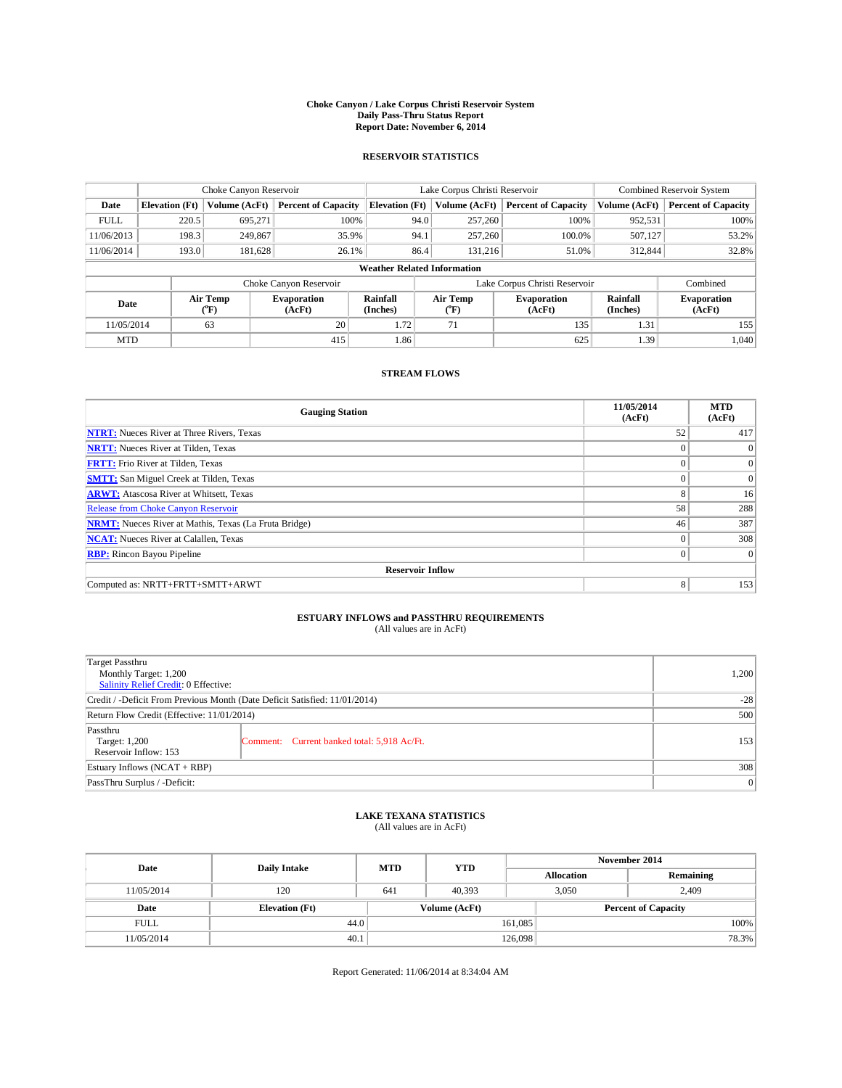#### **Choke Canyon / Lake Corpus Christi Reservoir System Daily Pass-Thru Status Report Report Date: November 6, 2014**

### **RESERVOIR STATISTICS**

|             |                       | Choke Canyon Reservoir |                              |                                    | Lake Corpus Christi Reservoir | <b>Combined Reservoir System</b> |                      |                              |
|-------------|-----------------------|------------------------|------------------------------|------------------------------------|-------------------------------|----------------------------------|----------------------|------------------------------|
| Date        | <b>Elevation</b> (Ft) | Volume (AcFt)          | <b>Percent of Capacity</b>   | <b>Elevation (Ft)</b>              | Volume (AcFt)                 | <b>Percent of Capacity</b>       | Volume (AcFt)        | <b>Percent of Capacity</b>   |
| <b>FULL</b> | 220.5                 | 695.271                | 100%                         | 94.0                               | 257,260                       | 100%                             | 952,531              | 100%                         |
| 11/06/2013  | 198.3                 | 249,867                | 35.9%                        | 94.1                               | 257,260                       | 100.0%                           | 507,127              | 53.2%                        |
| 11/06/2014  | 193.0                 | 181.628                | 26.1%                        | 86.4                               | 131.216                       | 51.0%                            | 312,844              | 32.8%                        |
|             |                       |                        |                              | <b>Weather Related Information</b> |                               |                                  |                      |                              |
|             |                       |                        | Choke Canyon Reservoir       |                                    | Lake Corpus Christi Reservoir | Combined                         |                      |                              |
| Date        |                       | Air Temp<br>(°F)       | <b>Evaporation</b><br>(AcFt) | Rainfall<br>(Inches)               | Air Temp<br>$(^{0}F)$         | <b>Evaporation</b><br>(AcFt)     | Rainfall<br>(Inches) | <b>Evaporation</b><br>(AcFt) |
| 11/05/2014  |                       | 63                     | 20                           | 1.72                               | 71                            | 135                              | 1.31                 | 155                          |
| <b>MTD</b>  | 415                   |                        | 1.86                         |                                    | 625                           | 1.39                             | 1.040                |                              |

## **STREAM FLOWS**

| <b>Gauging Station</b>                                       | 11/05/2014<br>(AcFt) | <b>MTD</b><br>(AcFt) |
|--------------------------------------------------------------|----------------------|----------------------|
| <b>NTRT:</b> Nueces River at Three Rivers, Texas             | 52                   | 417                  |
| <b>NRTT:</b> Nueces River at Tilden, Texas                   | $\theta$             | $\Omega$             |
| <b>FRTT:</b> Frio River at Tilden, Texas                     |                      | $\overline{0}$       |
| <b>SMTT:</b> San Miguel Creek at Tilden, Texas               | $\theta$             | $\overline{0}$       |
| <b>ARWT:</b> Atascosa River at Whitsett, Texas               | 8                    | 16                   |
| <b>Release from Choke Canyon Reservoir</b>                   | 58                   | 288                  |
| <b>NRMT:</b> Nueces River at Mathis, Texas (La Fruta Bridge) | 46                   | 387                  |
| <b>NCAT:</b> Nueces River at Calallen, Texas                 | $\theta$             | 308                  |
| <b>RBP:</b> Rincon Bayou Pipeline                            | $\theta$             | $\Omega$             |
| <b>Reservoir Inflow</b>                                      |                      |                      |
| Computed as: NRTT+FRTT+SMTT+ARWT                             | 8                    | 153                  |

# **ESTUARY INFLOWS and PASSTHRU REQUIREMENTS**<br>(All values are in AcFt)

| <b>Target Passthru</b><br>Monthly Target: 1,200<br>Salinity Relief Credit: 0 Effective: |                                             |     |  |  |
|-----------------------------------------------------------------------------------------|---------------------------------------------|-----|--|--|
| Credit / -Deficit From Previous Month (Date Deficit Satisfied: 11/01/2014)              |                                             |     |  |  |
| Return Flow Credit (Effective: 11/01/2014)                                              |                                             |     |  |  |
| Passthru<br>Target: 1,200<br>Reservoir Inflow: 153                                      | Comment: Current banked total: 5,918 Ac/Ft. | 153 |  |  |
| Estuary Inflows (NCAT + RBP)                                                            |                                             |     |  |  |
| PassThru Surplus / -Deficit:                                                            | 0                                           |     |  |  |

# **LAKE TEXANA STATISTICS** (All values are in AcFt)

| Date        | <b>Daily Intake</b>   | <b>MTD</b> | <b>YTD</b>    | November 2014     |                            |           |       |
|-------------|-----------------------|------------|---------------|-------------------|----------------------------|-----------|-------|
|             |                       |            |               | <b>Allocation</b> |                            | Remaining |       |
| 11/05/2014  | 120                   | 641        | 40.393        |                   | 3,050<br>2,409             |           |       |
| Date        | <b>Elevation</b> (Ft) |            | Volume (AcFt) |                   | <b>Percent of Capacity</b> |           |       |
| <b>FULL</b> | 44.0                  |            |               | 161,085           |                            |           | 100%  |
| 11/05/2014  | 40.1                  |            |               | 126,098           |                            |           | 78.3% |

Report Generated: 11/06/2014 at 8:34:04 AM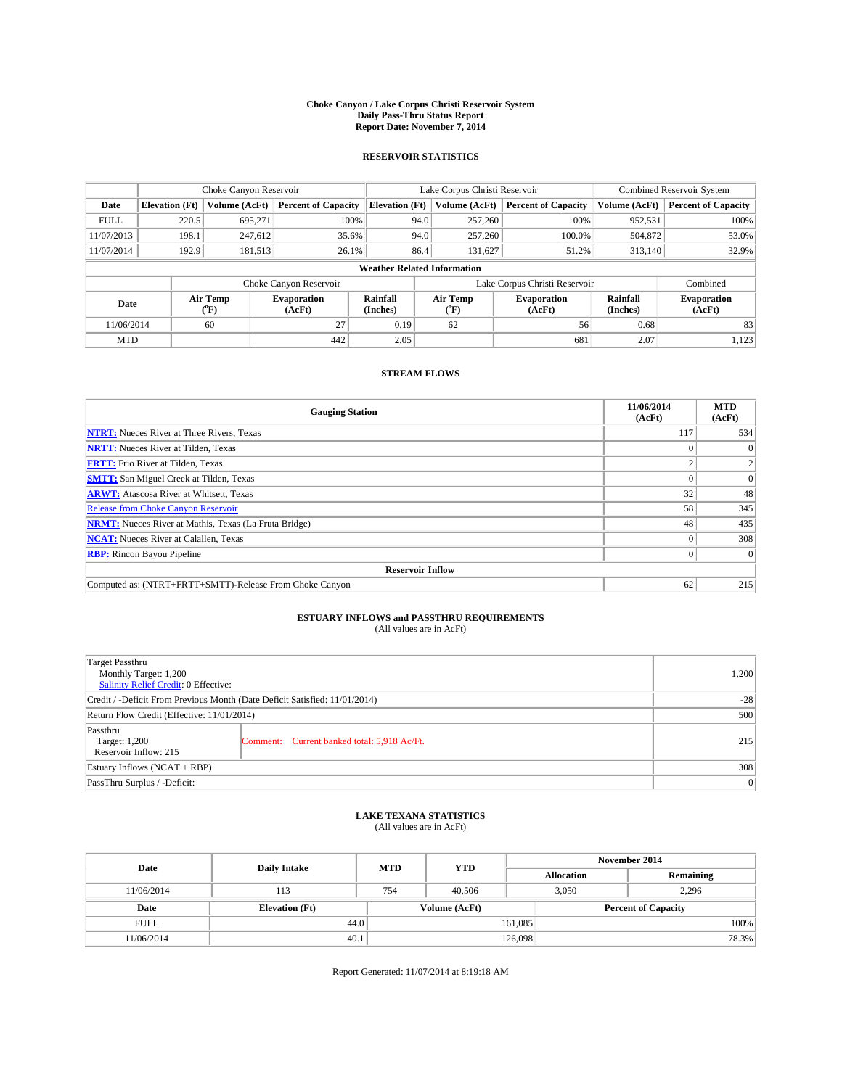#### **Choke Canyon / Lake Corpus Christi Reservoir System Daily Pass-Thru Status Report Report Date: November 7, 2014**

#### **RESERVOIR STATISTICS**

|                          | Choke Canyon Reservoir             |               |                              |                       | Lake Corpus Christi Reservoir |                               |                      | Combined Reservoir System    |  |
|--------------------------|------------------------------------|---------------|------------------------------|-----------------------|-------------------------------|-------------------------------|----------------------|------------------------------|--|
| Date                     | <b>Elevation</b> (Ft)              | Volume (AcFt) | <b>Percent of Capacity</b>   | <b>Elevation (Ft)</b> | Volume (AcFt)                 | <b>Percent of Capacity</b>    | Volume (AcFt)        | <b>Percent of Capacity</b>   |  |
| <b>FULL</b>              | 220.5                              | 695.271       | 100%                         | 94.0                  | 257,260                       | 100%                          | 952,531              | 100%                         |  |
| 11/07/2013               | 198.1                              | 247,612       | 35.6%                        | 94.0                  | 257,260                       | 100.0%                        | 504,872              | 53.0%                        |  |
| 11/07/2014               | 192.9                              | 181,513       | 26.1%                        | 86.4                  | 131.627                       | 51.2%                         | 313,140              | 32.9%                        |  |
|                          | <b>Weather Related Information</b> |               |                              |                       |                               |                               |                      |                              |  |
|                          |                                    |               | Choke Canyon Reservoir       |                       |                               | Lake Corpus Christi Reservoir |                      | Combined                     |  |
| Air Temp<br>Date<br>(°F) |                                    |               | <b>Evaporation</b><br>(AcFt) | Rainfall<br>(Inches)  | Air Temp<br>$\rm ^{(^o}\!F)$  | <b>Evaporation</b><br>(AcFt)  | Rainfall<br>(Inches) | <b>Evaporation</b><br>(AcFt) |  |
| 11/06/2014               |                                    | 60            | 27                           | 0.19                  | 62                            | 56                            | 0.68                 | 83                           |  |
| <b>MTD</b>               |                                    |               | 442                          | 2.05                  |                               | 681                           | 2.07                 | 1,123                        |  |

### **STREAM FLOWS**

| <b>Gauging Station</b>                                       | 11/06/2014<br>(AcFt) | <b>MTD</b><br>(AcFt) |  |  |  |  |
|--------------------------------------------------------------|----------------------|----------------------|--|--|--|--|
| <b>NTRT:</b> Nueces River at Three Rivers, Texas             | 117                  | 534                  |  |  |  |  |
| <b>NRTT:</b> Nueces River at Tilden, Texas                   |                      | $\theta$             |  |  |  |  |
| <b>FRTT:</b> Frio River at Tilden, Texas                     |                      |                      |  |  |  |  |
| <b>SMTT:</b> San Miguel Creek at Tilden, Texas               |                      | $\Omega$             |  |  |  |  |
| <b>ARWT:</b> Atascosa River at Whitsett, Texas               | 32                   | 48                   |  |  |  |  |
| <b>Release from Choke Canyon Reservoir</b>                   | 58                   | 345                  |  |  |  |  |
| <b>NRMT:</b> Nueces River at Mathis, Texas (La Fruta Bridge) | 48                   | 435                  |  |  |  |  |
| <b>NCAT:</b> Nueces River at Calallen, Texas                 |                      | 308                  |  |  |  |  |
| <b>RBP:</b> Rincon Bayou Pipeline                            | 0                    | $\Omega$             |  |  |  |  |
| <b>Reservoir Inflow</b>                                      |                      |                      |  |  |  |  |
| Computed as: (NTRT+FRTT+SMTT)-Release From Choke Canyon      | 62                   | 215                  |  |  |  |  |

# **ESTUARY INFLOWS and PASSTHRU REQUIREMENTS**<br>(All values are in AcFt)

| Target Passthru                                                            |                                             |       |
|----------------------------------------------------------------------------|---------------------------------------------|-------|
| Monthly Target: 1,200                                                      |                                             | 1,200 |
| Salinity Relief Credit: 0 Effective:                                       |                                             |       |
| Credit / -Deficit From Previous Month (Date Deficit Satisfied: 11/01/2014) |                                             | $-28$ |
| Return Flow Credit (Effective: 11/01/2014)                                 |                                             | 500   |
| Passthru                                                                   |                                             |       |
| Target: 1,200                                                              | Comment: Current banked total: 5,918 Ac/Ft. | 215   |
| Reservoir Inflow: 215                                                      |                                             |       |
| Estuary Inflows (NCAT + RBP)                                               |                                             | 308   |
| PassThru Surplus / -Deficit:                                               |                                             | 0     |

# **LAKE TEXANA STATISTICS** (All values are in AcFt)

| Date        | <b>Daily Intake</b>   | <b>MTD</b> | <b>YTD</b>    | November 2014     |                            |           |
|-------------|-----------------------|------------|---------------|-------------------|----------------------------|-----------|
|             |                       |            |               | <b>Allocation</b> |                            | Remaining |
| 11/06/2014  | 113                   | 754        | 40,506        | 3,050             |                            | 2,296     |
| Date        | <b>Elevation</b> (Ft) |            | Volume (AcFt) |                   | <b>Percent of Capacity</b> |           |
| <b>FULL</b> | 44.0                  |            |               | 161,085           |                            | 100%      |
| 11/06/2014  | 40.1                  |            |               | 126,098           |                            | 78.3%     |

Report Generated: 11/07/2014 at 8:19:18 AM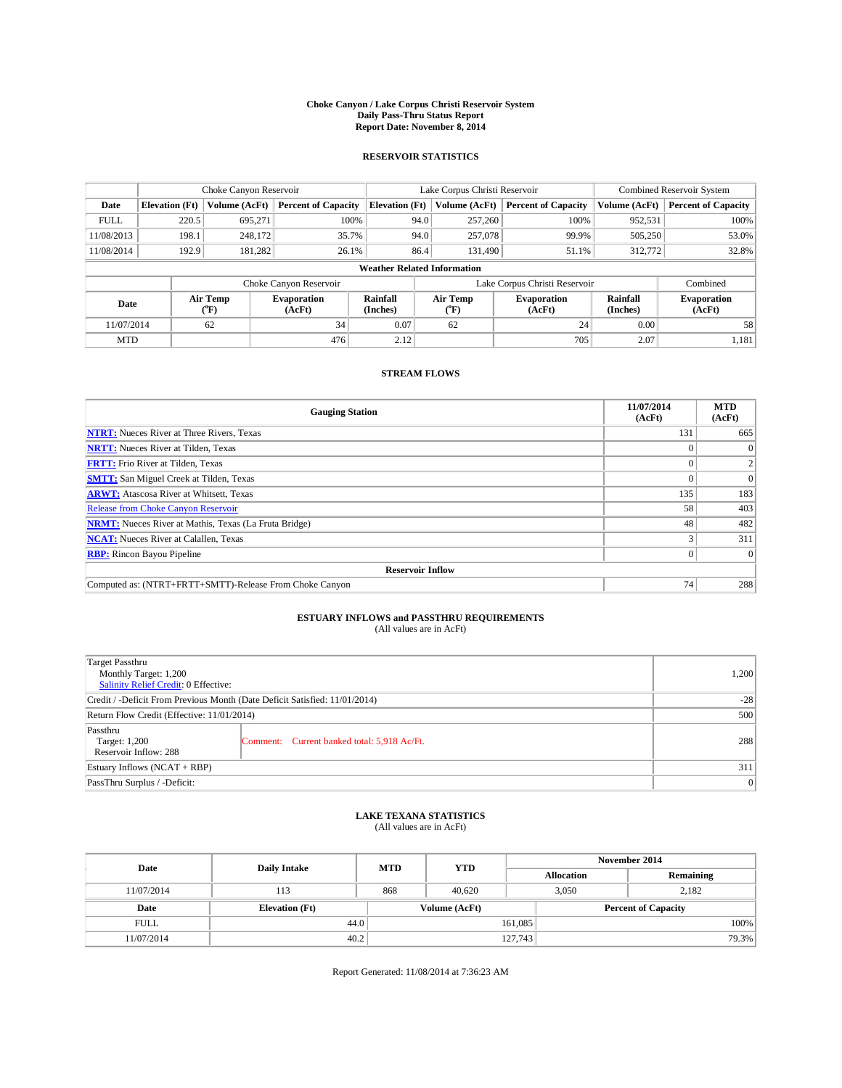#### **Choke Canyon / Lake Corpus Christi Reservoir System Daily Pass-Thru Status Report Report Date: November 8, 2014**

#### **RESERVOIR STATISTICS**

|                                                                                  | Choke Canyon Reservoir             |                              |                              |                       | Lake Corpus Christi Reservoir | Combined Reservoir System     |               |                            |  |
|----------------------------------------------------------------------------------|------------------------------------|------------------------------|------------------------------|-----------------------|-------------------------------|-------------------------------|---------------|----------------------------|--|
| Date                                                                             | <b>Elevation</b> (Ft)              | Volume (AcFt)                | <b>Percent of Capacity</b>   | <b>Elevation (Ft)</b> | Volume (AcFt)                 | <b>Percent of Capacity</b>    | Volume (AcFt) | <b>Percent of Capacity</b> |  |
| <b>FULL</b>                                                                      | 220.5                              | 695.271                      | 100%                         | 94.0                  | 257,260                       | 100%                          | 952,531       | 100%                       |  |
| 11/08/2013                                                                       | 198.1                              | 248,172                      | 35.7%                        | 94.0                  | 257,078                       | 99.9%                         | 505,250       | 53.0%                      |  |
| 11/08/2014                                                                       | 192.9                              | 181,282                      | 26.1%                        | 86.4                  | 131.490                       | 51.1%                         | 312,772       | 32.8%                      |  |
|                                                                                  | <b>Weather Related Information</b> |                              |                              |                       |                               |                               |               |                            |  |
|                                                                                  |                                    |                              | Choke Canyon Reservoir       |                       |                               | Lake Corpus Christi Reservoir |               | Combined                   |  |
| Air Temp<br>Rainfall<br><b>Evaporation</b><br>Date<br>(°F)<br>(AcFt)<br>(Inches) |                                    | Air Temp<br>$\rm ^{(^o}\!F)$ | <b>Evaporation</b><br>(AcFt) | Rainfall<br>(Inches)  | <b>Evaporation</b><br>(AcFt)  |                               |               |                            |  |
| 11/07/2014                                                                       |                                    | 62                           | 34                           | 0.07                  | 62                            | 24                            | 0.00          | 58                         |  |
| <b>MTD</b>                                                                       |                                    |                              | 476                          | 2.12                  |                               | 705                           | 2.07          | 1,181                      |  |

### **STREAM FLOWS**

| <b>Gauging Station</b>                                       | 11/07/2014<br>(AcFt) | <b>MTD</b><br>(AcFt) |  |  |  |  |
|--------------------------------------------------------------|----------------------|----------------------|--|--|--|--|
| <b>NTRT:</b> Nueces River at Three Rivers, Texas             | 131                  | 665                  |  |  |  |  |
| <b>NRTT:</b> Nueces River at Tilden, Texas                   |                      | $\Omega$             |  |  |  |  |
| <b>FRTT:</b> Frio River at Tilden, Texas                     |                      |                      |  |  |  |  |
| <b>SMTT:</b> San Miguel Creek at Tilden, Texas               |                      | $\Omega$             |  |  |  |  |
| <b>ARWT:</b> Atascosa River at Whitsett, Texas               | 135                  | 183                  |  |  |  |  |
| <b>Release from Choke Canyon Reservoir</b>                   | 58                   | 403                  |  |  |  |  |
| <b>NRMT:</b> Nueces River at Mathis, Texas (La Fruta Bridge) | 48                   | 482                  |  |  |  |  |
| <b>NCAT:</b> Nueces River at Calallen, Texas                 |                      | 311                  |  |  |  |  |
| <b>RBP:</b> Rincon Bayou Pipeline                            | $\Omega$             | $\Omega$             |  |  |  |  |
| <b>Reservoir Inflow</b>                                      |                      |                      |  |  |  |  |
| Computed as: (NTRT+FRTT+SMTT)-Release From Choke Canyon      | 74                   | 288                  |  |  |  |  |

# **ESTUARY INFLOWS and PASSTHRU REQUIREMENTS**<br>(All values are in AcFt)

| Target Passthru                                                            |       |
|----------------------------------------------------------------------------|-------|
| Monthly Target: 1,200                                                      | 1,200 |
| Salinity Relief Credit: 0 Effective:                                       |       |
| Credit / -Deficit From Previous Month (Date Deficit Satisfied: 11/01/2014) | $-28$ |
| Return Flow Credit (Effective: 11/01/2014)                                 | 500   |
| Passthru                                                                   |       |
| Target: 1,200<br>Comment: Current banked total: 5,918 Ac/Ft.               | 288   |
| Reservoir Inflow: 288                                                      |       |
| Estuary Inflows (NCAT + RBP)                                               | 311   |
| PassThru Surplus / -Deficit:                                               | 0     |

# **LAKE TEXANA STATISTICS** (All values are in AcFt)

| Date        | <b>Daily Intake</b>   | <b>MTD</b>    | <b>YTD</b> | November 2014              |                   |           |       |
|-------------|-----------------------|---------------|------------|----------------------------|-------------------|-----------|-------|
|             |                       |               |            |                            | <b>Allocation</b> | Remaining |       |
| 11/07/2014  | 113                   | 868           | 40.620     |                            | 2.182<br>3.050    |           |       |
| Date        | <b>Elevation</b> (Ft) | Volume (AcFt) |            | <b>Percent of Capacity</b> |                   |           |       |
| <b>FULL</b> | 44.0                  |               |            | 161,085                    |                   |           | 100%  |
| 11/07/2014  | 40.2                  |               |            | 127,743                    |                   |           | 79.3% |

Report Generated: 11/08/2014 at 7:36:23 AM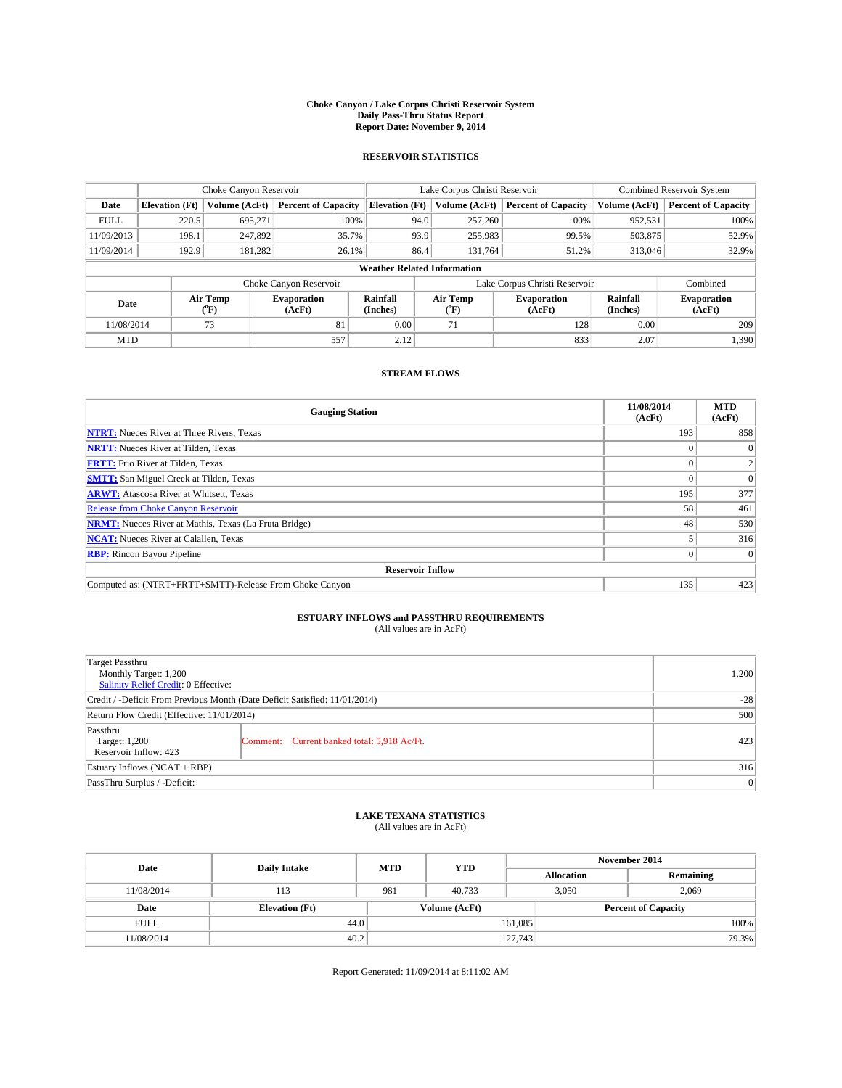#### **Choke Canyon / Lake Corpus Christi Reservoir System Daily Pass-Thru Status Report Report Date: November 9, 2014**

### **RESERVOIR STATISTICS**

|                          | Choke Canyon Reservoir             |                              |                            |                       | Lake Corpus Christi Reservoir |                               |                              | <b>Combined Reservoir System</b> |  |
|--------------------------|------------------------------------|------------------------------|----------------------------|-----------------------|-------------------------------|-------------------------------|------------------------------|----------------------------------|--|
| Date                     | <b>Elevation</b> (Ft)              | Volume (AcFt)                | <b>Percent of Capacity</b> | <b>Elevation (Ft)</b> | Volume (AcFt)                 | <b>Percent of Capacity</b>    | Volume (AcFt)                | <b>Percent of Capacity</b>       |  |
| <b>FULL</b>              | 220.5                              | 695,271                      | 100%                       | 94.0                  | 257,260                       | 100%                          | 952,531                      | 100%                             |  |
| 11/09/2013               | 198.1                              | 247,892                      | 35.7%                      | 93.9                  | 255,983                       | 99.5%                         | 503,875                      | 52.9%                            |  |
| 11/09/2014               | 192.9                              | 181,282                      | 26.1%                      | 86.4                  | 131.764                       | 51.2%                         | 313,046                      | 32.9%                            |  |
|                          | <b>Weather Related Information</b> |                              |                            |                       |                               |                               |                              |                                  |  |
|                          |                                    |                              | Choke Canyon Reservoir     |                       |                               | Lake Corpus Christi Reservoir |                              | Combined                         |  |
| Air Temp<br>Date<br>(°F) |                                    | <b>Evaporation</b><br>(AcFt) | Rainfall<br>(Inches)       | Air Temp<br>("F)      | <b>Evaporation</b><br>(AcFt)  | Rainfall<br>(Inches)          | <b>Evaporation</b><br>(AcFt) |                                  |  |
| 11/08/2014               |                                    | 73                           | 81                         | 0.00                  | 71                            | 128                           | 0.00                         | 209                              |  |
| <b>MTD</b>               |                                    |                              | 557                        | 2.12                  |                               | 833                           | 2.07                         | 1,390                            |  |

### **STREAM FLOWS**

| <b>Gauging Station</b>                                       | 11/08/2014<br>(AcFt) | <b>MTD</b><br>(AcFt) |  |  |  |  |
|--------------------------------------------------------------|----------------------|----------------------|--|--|--|--|
| <b>NTRT:</b> Nueces River at Three Rivers, Texas             | 193                  | 858                  |  |  |  |  |
| <b>NRTT:</b> Nueces River at Tilden, Texas                   | o                    | $\Omega$             |  |  |  |  |
| <b>FRTT:</b> Frio River at Tilden, Texas                     | 0                    | 2                    |  |  |  |  |
| <b>SMTT:</b> San Miguel Creek at Tilden, Texas               |                      | $\Omega$             |  |  |  |  |
| <b>ARWT:</b> Atascosa River at Whitsett, Texas               | 195                  | 377                  |  |  |  |  |
| <b>Release from Choke Canyon Reservoir</b>                   | 58                   | 461                  |  |  |  |  |
| <b>NRMT:</b> Nueces River at Mathis, Texas (La Fruta Bridge) | 48                   | 530                  |  |  |  |  |
| <b>NCAT:</b> Nueces River at Calallen, Texas                 |                      | 316                  |  |  |  |  |
| <b>RBP:</b> Rincon Bayou Pipeline                            | $\Omega$             | $\Omega$             |  |  |  |  |
| <b>Reservoir Inflow</b>                                      |                      |                      |  |  |  |  |
| Computed as: (NTRT+FRTT+SMTT)-Release From Choke Canyon      | 135                  | 423                  |  |  |  |  |

# **ESTUARY INFLOWS and PASSTHRU REQUIREMENTS**<br>(All values are in AcFt)

| Target Passthru                                                            |                                             |       |
|----------------------------------------------------------------------------|---------------------------------------------|-------|
| Monthly Target: 1,200                                                      |                                             | 1,200 |
| Salinity Relief Credit: 0 Effective:                                       |                                             |       |
| Credit / -Deficit From Previous Month (Date Deficit Satisfied: 11/01/2014) |                                             | $-28$ |
| Return Flow Credit (Effective: 11/01/2014)                                 |                                             | 500   |
| Passthru                                                                   |                                             |       |
| Target: 1,200                                                              | Comment: Current banked total: 5,918 Ac/Ft. | 423   |
| Reservoir Inflow: 423                                                      |                                             |       |
| Estuary Inflows (NCAT + RBP)                                               |                                             | 316   |
| PassThru Surplus / -Deficit:                                               |                                             | 0     |

# **LAKE TEXANA STATISTICS** (All values are in AcFt)

| Date        | <b>Daily Intake</b>   | <b>MTD</b> | <b>YTD</b>    | November 2014     |                            |  |
|-------------|-----------------------|------------|---------------|-------------------|----------------------------|--|
|             |                       |            |               | <b>Allocation</b> | Remaining                  |  |
| 11/08/2014  | 113                   | 981        | 40.733        | 3.050             | 2.069                      |  |
| Date        | <b>Elevation</b> (Ft) |            | Volume (AcFt) |                   | <b>Percent of Capacity</b> |  |
| <b>FULL</b> | 44.0                  |            |               | 161,085           | 100%                       |  |
| 11/08/2014  | 40.2                  |            |               | 127,743           | 79.3%                      |  |

Report Generated: 11/09/2014 at 8:11:02 AM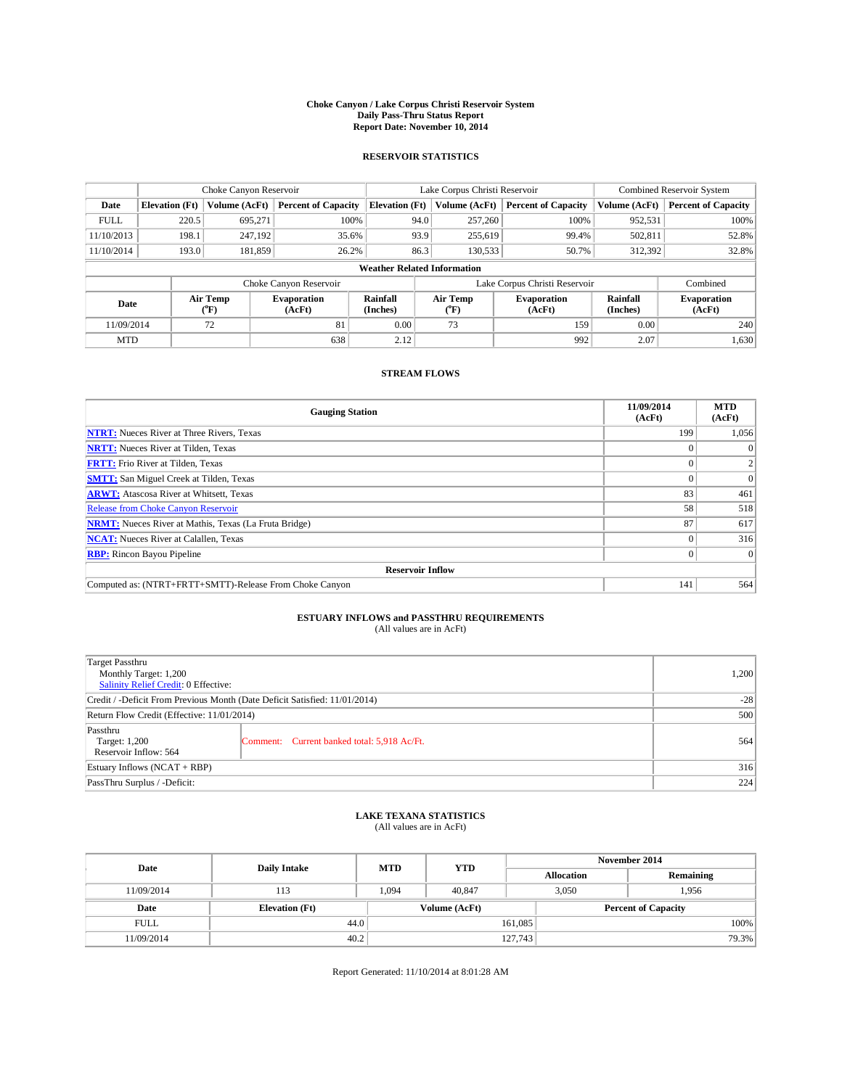#### **Choke Canyon / Lake Corpus Christi Reservoir System Daily Pass-Thru Status Report Report Date: November 10, 2014**

#### **RESERVOIR STATISTICS**

|             | Choke Canyon Reservoir |                  |                            |                                    | Lake Corpus Christi Reservoir | Combined Reservoir System     |                      |                              |
|-------------|------------------------|------------------|----------------------------|------------------------------------|-------------------------------|-------------------------------|----------------------|------------------------------|
| Date        | <b>Elevation</b> (Ft)  | Volume (AcFt)    | <b>Percent of Capacity</b> | <b>Elevation</b> (Ft)              | Volume (AcFt)                 | <b>Percent of Capacity</b>    | Volume (AcFt)        | <b>Percent of Capacity</b>   |
| <b>FULL</b> | 220.5                  | 695,271          | 100%                       | 94.0                               | 257,260                       | 100%                          | 952,531              | 100%                         |
| 11/10/2013  | 198.1                  | 247,192          | 35.6%                      | 93.9                               | 255,619                       | 99.4%                         | 502,811              | 52.8%                        |
| 11/10/2014  | 193.0                  | 181.859          | 26.2%                      | 86.3                               | 130.533                       | 50.7%                         | 312.392              | 32.8%                        |
|             |                        |                  |                            | <b>Weather Related Information</b> |                               |                               |                      |                              |
|             |                        |                  | Choke Canyon Reservoir     |                                    |                               | Lake Corpus Christi Reservoir |                      | Combined                     |
| Date        |                        | Air Temp<br>("F) | Evaporation<br>(AcFt)      | Rainfall<br>(Inches)               | Air Temp<br>("F)              | Evaporation<br>(AcFt)         | Rainfall<br>(Inches) | <b>Evaporation</b><br>(AcFt) |
| 11/09/2014  |                        | 72               | 81                         | 0.00                               | 73                            | 159                           | 0.00                 | 240                          |

### **STREAM FLOWS**

MTD  $|$  1,630  $638$  2.12 992 2.07 1,630

| <b>Gauging Station</b>                                       | 11/09/2014<br>(AcFt) | <b>MTD</b><br>(AcFt) |  |  |  |  |
|--------------------------------------------------------------|----------------------|----------------------|--|--|--|--|
| <b>NTRT:</b> Nueces River at Three Rivers, Texas             | 199                  | 1,056                |  |  |  |  |
| <b>NRTT:</b> Nueces River at Tilden, Texas                   |                      |                      |  |  |  |  |
| <b>FRTT:</b> Frio River at Tilden, Texas                     |                      |                      |  |  |  |  |
| <b>SMTT:</b> San Miguel Creek at Tilden, Texas               |                      | $\Omega$             |  |  |  |  |
| <b>ARWT:</b> Atascosa River at Whitsett, Texas               | 83                   | 461                  |  |  |  |  |
| <b>Release from Choke Canyon Reservoir</b>                   | 58                   | 518                  |  |  |  |  |
| <b>NRMT:</b> Nueces River at Mathis, Texas (La Fruta Bridge) | 87                   | 617                  |  |  |  |  |
| <b>NCAT:</b> Nueces River at Calallen, Texas                 |                      | 316                  |  |  |  |  |
| <b>RBP:</b> Rincon Bayou Pipeline                            |                      | $\Omega$             |  |  |  |  |
| <b>Reservoir Inflow</b>                                      |                      |                      |  |  |  |  |
| Computed as: (NTRT+FRTT+SMTT)-Release From Choke Canyon      | 141                  | 564                  |  |  |  |  |

# **ESTUARY INFLOWS and PASSTHRU REQUIREMENTS**<br>(All values are in AcFt)

| <b>Target Passthru</b><br>Monthly Target: 1,200<br>Salinity Relief Credit: 0 Effective: |                                             | 1,200 |
|-----------------------------------------------------------------------------------------|---------------------------------------------|-------|
| Credit / -Deficit From Previous Month (Date Deficit Satisfied: 11/01/2014)              | $-28$                                       |       |
| Return Flow Credit (Effective: 11/01/2014)                                              | 500                                         |       |
| Passthru<br>Target: 1,200<br>Reservoir Inflow: 564                                      | Comment: Current banked total: 5,918 Ac/Ft. | 564   |
| Estuary Inflows (NCAT + RBP)                                                            | 316                                         |       |
| PassThru Surplus / -Deficit:                                                            | 224                                         |       |

## **LAKE TEXANA STATISTICS** (All values are in AcFt)

| Date        | <b>Daily Intake</b>   | <b>MTD</b> | <b>YTD</b>    | November 2014     |                            |           |  |
|-------------|-----------------------|------------|---------------|-------------------|----------------------------|-----------|--|
|             |                       |            |               | <b>Allocation</b> |                            | Remaining |  |
| 11/09/2014  | 113                   | 1.094      | 40.847        |                   | 3,050<br>1.956             |           |  |
| Date        | <b>Elevation</b> (Ft) |            | Volume (AcFt) |                   | <b>Percent of Capacity</b> |           |  |
| <b>FULL</b> | 44.0                  |            |               | 161,085           |                            | 100%      |  |
| 11/09/2014  | 40.2                  |            |               | 127,743           |                            | 79.3%     |  |

Report Generated: 11/10/2014 at 8:01:28 AM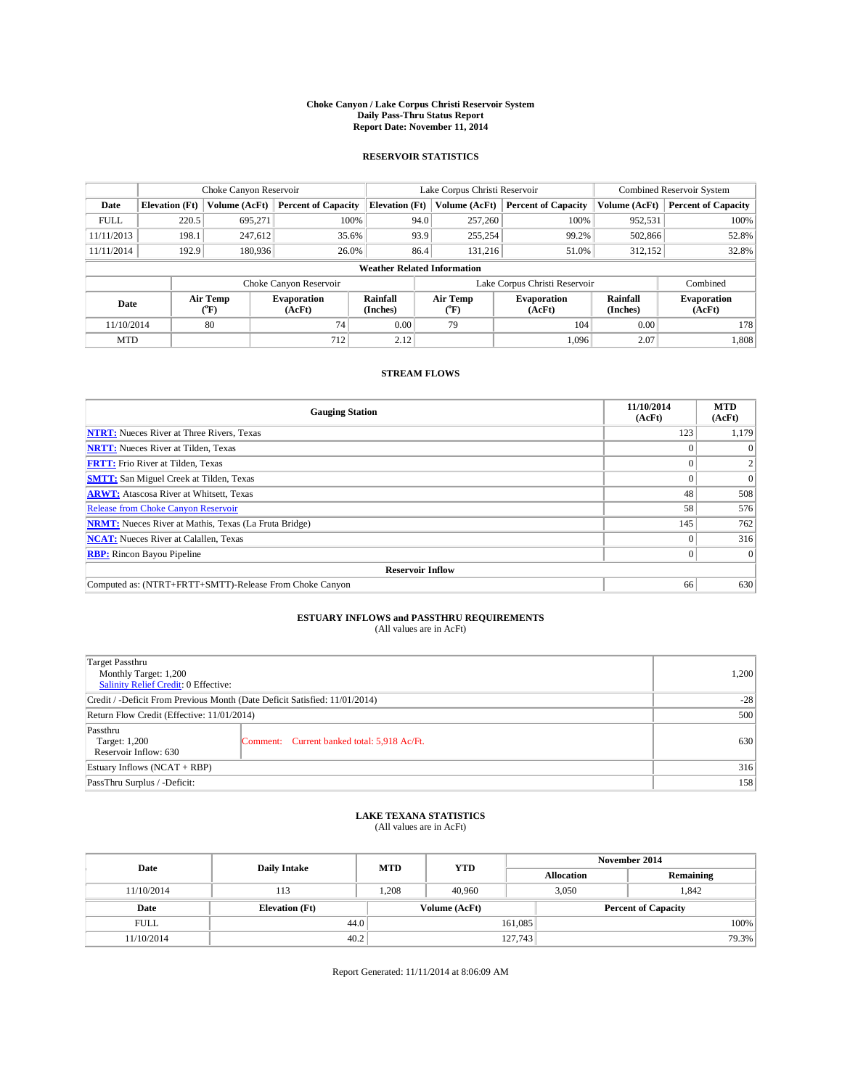#### **Choke Canyon / Lake Corpus Christi Reservoir System Daily Pass-Thru Status Report Report Date: November 11, 2014**

### **RESERVOIR STATISTICS**

|             |                                                                                                      | Choke Canyon Reservoir |                              |                                    | Lake Corpus Christi Reservoir | Combined Reservoir System     |               |                            |
|-------------|------------------------------------------------------------------------------------------------------|------------------------|------------------------------|------------------------------------|-------------------------------|-------------------------------|---------------|----------------------------|
| Date        | <b>Elevation</b> (Ft)                                                                                | Volume (AcFt)          | <b>Percent of Capacity</b>   | <b>Elevation (Ft)</b>              | Volume (AcFt)                 | <b>Percent of Capacity</b>    | Volume (AcFt) | <b>Percent of Capacity</b> |
| <b>FULL</b> | 220.5                                                                                                | 695.271                | 100%                         | 94.0                               | 257,260                       | 100%                          | 952,531       | 100%                       |
| 11/11/2013  | 198.1                                                                                                | 247,612                | 35.6%                        | 93.9                               | 255,254                       | 99.2%                         | 502,866       | 52.8%                      |
| 11/11/2014  | 192.9                                                                                                | 180,936                | 26.0%                        | 86.4                               | 131.216                       | 51.0%                         | 312,152       | 32.8%                      |
|             |                                                                                                      |                        |                              | <b>Weather Related Information</b> |                               |                               |               |                            |
|             |                                                                                                      |                        | Choke Canyon Reservoir       |                                    |                               | Lake Corpus Christi Reservoir |               | Combined                   |
|             | Rainfall<br>Air Temp<br>Air Temp<br><b>Evaporation</b><br>Date<br>(Inches)<br>(°F)<br>(AcFt)<br>(°F) |                        | <b>Evaporation</b><br>(AcFt) | Rainfall<br>(Inches)               | <b>Evaporation</b><br>(AcFt)  |                               |               |                            |
| 11/10/2014  |                                                                                                      | 80                     | 74                           | 0.00                               | 79                            | 104                           | 0.00          | 178                        |
| <b>MTD</b>  |                                                                                                      |                        | 712                          | 2.12                               |                               | 1.096                         | 2.07          | 1,808                      |

### **STREAM FLOWS**

| <b>Gauging Station</b>                                       | 11/10/2014<br>(AcFt) | <b>MTD</b><br>(AcFt) |  |  |  |  |
|--------------------------------------------------------------|----------------------|----------------------|--|--|--|--|
| <b>NTRT:</b> Nueces River at Three Rivers, Texas             | 123                  | 1,179                |  |  |  |  |
| <b>NRTT:</b> Nueces River at Tilden, Texas                   |                      |                      |  |  |  |  |
| <b>FRTT:</b> Frio River at Tilden, Texas                     |                      |                      |  |  |  |  |
| <b>SMTT:</b> San Miguel Creek at Tilden, Texas               |                      | $\overline{0}$       |  |  |  |  |
| <b>ARWT:</b> Atascosa River at Whitsett, Texas               | 48                   | 508                  |  |  |  |  |
| Release from Choke Canyon Reservoir                          | 58                   | 576                  |  |  |  |  |
| <b>NRMT:</b> Nueces River at Mathis, Texas (La Fruta Bridge) | 145                  | 762                  |  |  |  |  |
| <b>NCAT:</b> Nueces River at Calallen, Texas                 |                      | 316                  |  |  |  |  |
| <b>RBP:</b> Rincon Bayou Pipeline                            | 0                    | $\Omega$             |  |  |  |  |
| <b>Reservoir Inflow</b>                                      |                      |                      |  |  |  |  |
| Computed as: (NTRT+FRTT+SMTT)-Release From Choke Canyon      | 66                   | 630                  |  |  |  |  |

# **ESTUARY INFLOWS and PASSTHRU REQUIREMENTS**<br>(All values are in AcFt)

| Target Passthru                                                            |       |  |  |  |
|----------------------------------------------------------------------------|-------|--|--|--|
| Monthly Target: 1,200                                                      |       |  |  |  |
| Salinity Relief Credit: 0 Effective:                                       |       |  |  |  |
| Credit / -Deficit From Previous Month (Date Deficit Satisfied: 11/01/2014) | $-28$ |  |  |  |
| Return Flow Credit (Effective: 11/01/2014)                                 |       |  |  |  |
| Passthru                                                                   |       |  |  |  |
| Target: 1,200<br>Comment: Current banked total: 5,918 Ac/Ft.               | 630   |  |  |  |
| Reservoir Inflow: 630                                                      |       |  |  |  |
| Estuary Inflows (NCAT + RBP)                                               | 316   |  |  |  |
| PassThru Surplus / -Deficit:                                               | 158   |  |  |  |

# **LAKE TEXANA STATISTICS** (All values are in AcFt)

| Date        | <b>Daily Intake</b>   | <b>MTD</b> | <b>YTD</b>    | November 2014     |                            |           |  |
|-------------|-----------------------|------------|---------------|-------------------|----------------------------|-----------|--|
|             |                       |            |               | <b>Allocation</b> |                            | Remaining |  |
| 11/10/2014  | 113                   | 1,208      | 40,960        |                   | 1.842<br>3,050             |           |  |
| Date        | <b>Elevation</b> (Ft) |            | Volume (AcFt) |                   | <b>Percent of Capacity</b> |           |  |
| <b>FULL</b> | 44.0                  |            |               | 161,085           |                            | 100%      |  |
| 11/10/2014  | 40.2                  |            | 127,743       |                   |                            | 79.3%     |  |

Report Generated: 11/11/2014 at 8:06:09 AM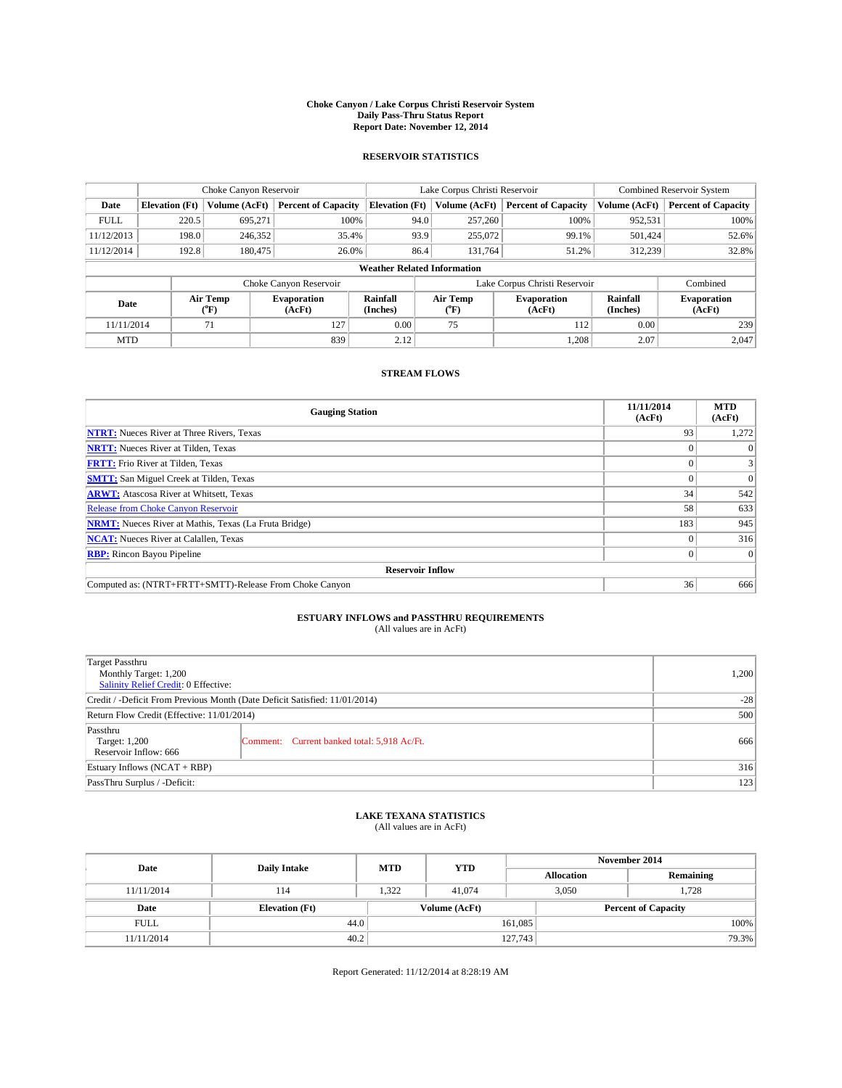#### **Choke Canyon / Lake Corpus Christi Reservoir System Daily Pass-Thru Status Report Report Date: November 12, 2014**

### **RESERVOIR STATISTICS**

|                          |                                    | Choke Canyon Reservoir       |                            |                       | Lake Corpus Christi Reservoir | <b>Combined Reservoir System</b> |                              |                            |  |
|--------------------------|------------------------------------|------------------------------|----------------------------|-----------------------|-------------------------------|----------------------------------|------------------------------|----------------------------|--|
| Date                     | <b>Elevation</b> (Ft)              | Volume (AcFt)                | <b>Percent of Capacity</b> | <b>Elevation (Ft)</b> | Volume (AcFt)                 | <b>Percent of Capacity</b>       | Volume (AcFt)                | <b>Percent of Capacity</b> |  |
| <b>FULL</b>              | 220.5                              | 695,271                      | 100%                       | 94.0                  | 257,260                       | 100%                             | 952,531                      | 100%                       |  |
| 11/12/2013               | 198.0                              | 246,352                      | 35.4%                      | 93.9                  | 255,072                       | 99.1%                            | 501,424                      | 52.6%                      |  |
| 11/12/2014               | 192.8                              | 180,475                      | 26.0%                      | 86.4                  | 131,764                       | 51.2%                            | 312,239                      | 32.8%                      |  |
|                          | <b>Weather Related Information</b> |                              |                            |                       |                               |                                  |                              |                            |  |
|                          |                                    |                              | Choke Canyon Reservoir     |                       |                               | Lake Corpus Christi Reservoir    |                              | Combined                   |  |
| Air Temp<br>Date<br>(°F) |                                    | <b>Evaporation</b><br>(AcFt) | Rainfall<br>(Inches)       | Air Temp<br>(°F)      | <b>Evaporation</b><br>(AcFt)  | Rainfall<br>(Inches)             | <b>Evaporation</b><br>(AcFt) |                            |  |
| 11/11/2014               |                                    | 71                           | 127                        | 0.00                  | 75                            | 112                              | 0.00                         | 239                        |  |
| <b>MTD</b>               |                                    |                              | 839                        | 2.12                  |                               | 1,208                            | 2.07                         | 2.047                      |  |

## **STREAM FLOWS**

| <b>Gauging Station</b>                                       | 11/11/2014<br>(AcFt) | <b>MTD</b><br>(AcFt) |  |  |  |  |
|--------------------------------------------------------------|----------------------|----------------------|--|--|--|--|
| <b>NTRT:</b> Nueces River at Three Rivers, Texas             | 93                   | 1,272                |  |  |  |  |
| <b>NRTT:</b> Nueces River at Tilden, Texas                   |                      |                      |  |  |  |  |
| <b>FRTT:</b> Frio River at Tilden, Texas                     |                      |                      |  |  |  |  |
| <b>SMTT:</b> San Miguel Creek at Tilden, Texas               |                      | $\Omega$             |  |  |  |  |
| <b>ARWT:</b> Atascosa River at Whitsett, Texas               | 34                   | 542                  |  |  |  |  |
| <b>Release from Choke Canyon Reservoir</b>                   | 58                   | 633                  |  |  |  |  |
| <b>NRMT:</b> Nueces River at Mathis, Texas (La Fruta Bridge) | 183                  | 945                  |  |  |  |  |
| <b>NCAT:</b> Nueces River at Calallen, Texas                 |                      | 316                  |  |  |  |  |
| <b>RBP:</b> Rincon Bayou Pipeline                            | 0                    | $\Omega$             |  |  |  |  |
| <b>Reservoir Inflow</b>                                      |                      |                      |  |  |  |  |
| Computed as: (NTRT+FRTT+SMTT)-Release From Choke Canyon      | 36                   | 666                  |  |  |  |  |

# **ESTUARY INFLOWS and PASSTHRU REQUIREMENTS**<br>(All values are in AcFt)

| <b>Target Passthru</b><br>Monthly Target: 1,200<br>Salinity Relief Credit: 0 Effective: |                                             | 1,200 |
|-----------------------------------------------------------------------------------------|---------------------------------------------|-------|
| Credit / -Deficit From Previous Month (Date Deficit Satisfied: 11/01/2014)              | $-28$                                       |       |
| Return Flow Credit (Effective: 11/01/2014)                                              | 500                                         |       |
| Passthru<br>Target: 1,200<br>Reservoir Inflow: 666                                      | Comment: Current banked total: 5,918 Ac/Ft. | 666   |
| Estuary Inflows (NCAT + RBP)                                                            | 316                                         |       |
| PassThru Surplus / -Deficit:                                                            | 123                                         |       |

## **LAKE TEXANA STATISTICS** (All values are in AcFt)

| Date        | <b>Daily Intake</b>   | <b>MTD</b> | <b>YTD</b>    | November 2014     |                            |           |  |
|-------------|-----------------------|------------|---------------|-------------------|----------------------------|-----------|--|
|             |                       |            |               | <b>Allocation</b> |                            | Remaining |  |
| 11/11/2014  | 114                   | 1,322      | 41,074        |                   | 1,728<br>3,050             |           |  |
| Date        | <b>Elevation</b> (Ft) |            | Volume (AcFt) |                   | <b>Percent of Capacity</b> |           |  |
| <b>FULL</b> | 44.0                  |            |               | 161,085           |                            | 100%      |  |
| 11/11/2014  | 40.2                  |            |               | 127,743           |                            | 79.3%     |  |

Report Generated: 11/12/2014 at 8:28:19 AM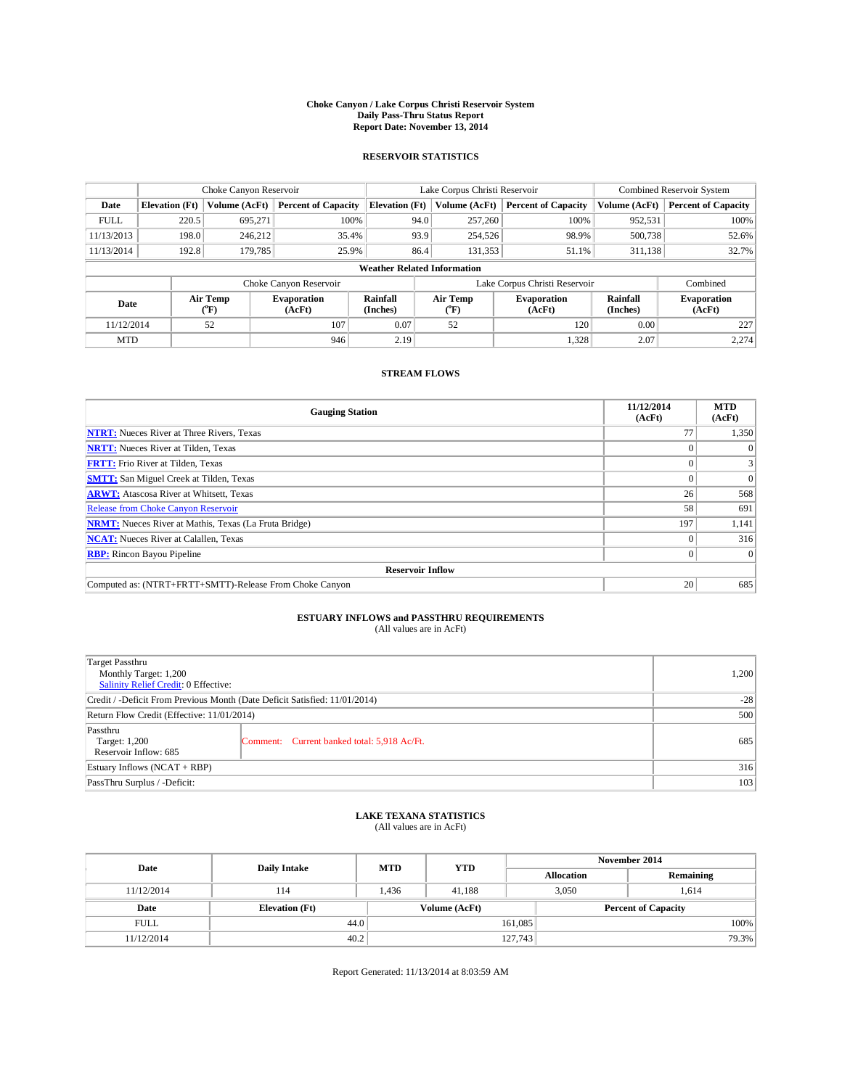#### **Choke Canyon / Lake Corpus Christi Reservoir System Daily Pass-Thru Status Report Report Date: November 13, 2014**

### **RESERVOIR STATISTICS**

|             |                                                                                                                       | Choke Canyon Reservoir |                            |                                    | Lake Corpus Christi Reservoir | <b>Combined Reservoir System</b> |               |                            |
|-------------|-----------------------------------------------------------------------------------------------------------------------|------------------------|----------------------------|------------------------------------|-------------------------------|----------------------------------|---------------|----------------------------|
| Date        | <b>Elevation</b> (Ft)                                                                                                 | Volume (AcFt)          | <b>Percent of Capacity</b> | <b>Elevation (Ft)</b>              | Volume (AcFt)                 | <b>Percent of Capacity</b>       | Volume (AcFt) | <b>Percent of Capacity</b> |
| <b>FULL</b> | 220.5                                                                                                                 | 695.271                | 100%                       | 94.0                               | 257,260                       | 100%                             | 952,531       | 100%                       |
| 11/13/2013  | 198.0                                                                                                                 | 246,212                | 35.4%                      | 93.9                               | 254,526                       | 98.9%                            | 500,738       | 52.6%                      |
| 11/13/2014  | 192.8                                                                                                                 | 179,785                | 25.9%                      | 86.4                               | 131,353                       | 51.1%                            | 311,138       | 32.7%                      |
|             |                                                                                                                       |                        |                            | <b>Weather Related Information</b> |                               |                                  |               |                            |
|             |                                                                                                                       |                        | Choke Canyon Reservoir     |                                    | Lake Corpus Christi Reservoir |                                  | Combined      |                            |
| Date        | Air Temp<br>Rainfall<br>Air Temp<br>Evaporation<br><b>Evaporation</b><br>(°F)<br>(AcFt)<br>(Inches)<br>(AcFt)<br>("F) |                        |                            | Rainfall<br>(Inches)               | <b>Evaporation</b><br>(AcFt)  |                                  |               |                            |
| 11/12/2014  |                                                                                                                       | 52                     | 107                        | 0.07                               | 52                            | 120                              | 0.00          | 227                        |

### **STREAM FLOWS**

MTD  $|$  946 2.19 1,328 2.07 2,274

| <b>Gauging Station</b>                                       | 11/12/2014<br>(AcFt) | <b>MTD</b><br>(AcFt) |  |  |  |  |
|--------------------------------------------------------------|----------------------|----------------------|--|--|--|--|
| <b>NTRT:</b> Nueces River at Three Rivers, Texas             | 77                   | 1,350                |  |  |  |  |
| <b>NRTT:</b> Nueces River at Tilden, Texas                   |                      | $\Omega$             |  |  |  |  |
| <b>FRTT:</b> Frio River at Tilden, Texas                     | 0                    | $\vert 3 \vert$      |  |  |  |  |
| <b>SMTT:</b> San Miguel Creek at Tilden, Texas               |                      | $\Omega$             |  |  |  |  |
| <b>ARWT:</b> Atascosa River at Whitsett, Texas               | 26                   | 568                  |  |  |  |  |
| <b>Release from Choke Canyon Reservoir</b>                   | 58                   | 691                  |  |  |  |  |
| <b>NRMT:</b> Nueces River at Mathis, Texas (La Fruta Bridge) | 197                  | 1,141                |  |  |  |  |
| <b>NCAT:</b> Nueces River at Calallen, Texas                 |                      | 316                  |  |  |  |  |
| <b>RBP:</b> Rincon Bayou Pipeline                            | $\Omega$             | $\Omega$             |  |  |  |  |
| <b>Reservoir Inflow</b>                                      |                      |                      |  |  |  |  |
| Computed as: (NTRT+FRTT+SMTT)-Release From Choke Canyon      | 20                   | 685                  |  |  |  |  |

# **ESTUARY INFLOWS and PASSTHRU REQUIREMENTS**<br>(All values are in AcFt)

| Target Passthru                                                            |                                             | 1,200 |  |
|----------------------------------------------------------------------------|---------------------------------------------|-------|--|
| Monthly Target: 1,200<br>Salinity Relief Credit: 0 Effective:              |                                             |       |  |
| Credit / -Deficit From Previous Month (Date Deficit Satisfied: 11/01/2014) | $-28$                                       |       |  |
| Return Flow Credit (Effective: 11/01/2014)                                 | 500                                         |       |  |
| Passthru<br>Target: 1,200<br>Reservoir Inflow: 685                         | Comment: Current banked total: 5,918 Ac/Ft. | 685   |  |
| Estuary Inflows (NCAT + RBP)                                               | 316                                         |       |  |
| PassThru Surplus / -Deficit:                                               |                                             |       |  |

# **LAKE TEXANA STATISTICS** (All values are in AcFt)

| Date        | <b>Daily Intake</b>   | <b>MTD</b>    | <b>YTD</b> | November 2014              |                |           |  |
|-------------|-----------------------|---------------|------------|----------------------------|----------------|-----------|--|
|             |                       |               |            | <b>Allocation</b>          |                | Remaining |  |
| 11/12/2014  | 114                   | 1.436         | 41.188     |                            | 3,050<br>1.614 |           |  |
| Date        | <b>Elevation</b> (Ft) | Volume (AcFt) |            | <b>Percent of Capacity</b> |                |           |  |
| <b>FULL</b> | 44.0                  |               |            | 161,085                    |                | 100%      |  |
| 11/12/2014  | 40.2                  |               |            | 127,743                    |                | 79.3%     |  |

Report Generated: 11/13/2014 at 8:03:59 AM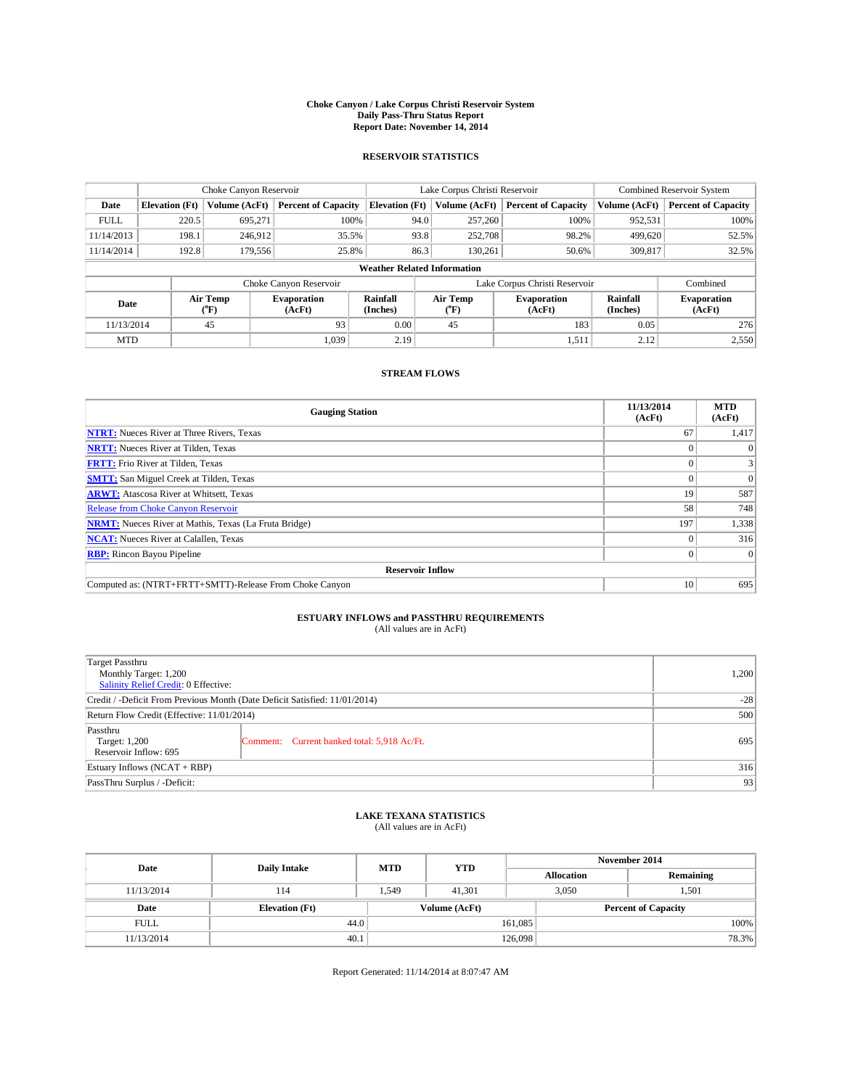#### **Choke Canyon / Lake Corpus Christi Reservoir System Daily Pass-Thru Status Report Report Date: November 14, 2014**

### **RESERVOIR STATISTICS**

|             |                       | Choke Canyon Reservoir |                              |                                    | Lake Corpus Christi Reservoir             | Combined Reservoir System    |                      |                              |  |
|-------------|-----------------------|------------------------|------------------------------|------------------------------------|-------------------------------------------|------------------------------|----------------------|------------------------------|--|
| Date        | <b>Elevation</b> (Ft) | Volume (AcFt)          | <b>Percent of Capacity</b>   | <b>Elevation (Ft)</b>              | Volume (AcFt)                             | <b>Percent of Capacity</b>   | Volume (AcFt)        | <b>Percent of Capacity</b>   |  |
| <b>FULL</b> | 220.5                 | 695.271                | 100%                         | 94.0                               | 257,260                                   | 100%                         | 952,531              | 100%                         |  |
| 11/14/2013  | 198.1                 | 246,912                | 35.5%                        | 93.8                               | 252,708                                   | 98.2%                        | 499,620              | 52.5%                        |  |
| 11/14/2014  | 192.8                 | 179,556                | 25.8%                        | 86.3                               | 130,261                                   | 50.6%                        | 309,817              | 32.5%                        |  |
|             |                       |                        |                              | <b>Weather Related Information</b> |                                           |                              |                      |                              |  |
|             |                       |                        | Choke Canyon Reservoir       |                                    | Lake Corpus Christi Reservoir<br>Combined |                              |                      |                              |  |
| Date        |                       | Air Temp<br>(°F)       | <b>Evaporation</b><br>(AcFt) | Rainfall<br>(Inches)               | Air Temp<br>$\rm ^{(^o}\!F)$              | <b>Evaporation</b><br>(AcFt) | Rainfall<br>(Inches) | <b>Evaporation</b><br>(AcFt) |  |
| 11/13/2014  |                       | 45<br>93               |                              | 0.00                               | 45                                        | 183                          | 0.05                 | 276                          |  |
| <b>MTD</b>  |                       |                        | 1.039                        | 2.19                               |                                           | 1,511                        | 2.12                 | 2,550                        |  |

### **STREAM FLOWS**

| <b>Gauging Station</b>                                       | 11/13/2014<br>(AcFt) | <b>MTD</b><br>(AcFt) |  |  |  |  |  |
|--------------------------------------------------------------|----------------------|----------------------|--|--|--|--|--|
| <b>NTRT:</b> Nueces River at Three Rivers, Texas             | 67                   | 1,417                |  |  |  |  |  |
| <b>NRTT:</b> Nueces River at Tilden, Texas                   | o                    | $\Omega$             |  |  |  |  |  |
| <b>FRTT:</b> Frio River at Tilden, Texas                     |                      | $\frac{3}{2}$        |  |  |  |  |  |
| <b>SMTT:</b> San Miguel Creek at Tilden, Texas               |                      | $\overline{0}$       |  |  |  |  |  |
| <b>ARWT:</b> Atascosa River at Whitsett, Texas               | 19                   | 587                  |  |  |  |  |  |
| <b>Release from Choke Canyon Reservoir</b>                   | 58                   | 748                  |  |  |  |  |  |
| <b>NRMT:</b> Nueces River at Mathis, Texas (La Fruta Bridge) | 197                  | 1,338                |  |  |  |  |  |
| <b>NCAT:</b> Nueces River at Calallen, Texas                 | 0                    | 316                  |  |  |  |  |  |
| <b>RBP:</b> Rincon Bayou Pipeline                            | 0                    | $\Omega$             |  |  |  |  |  |
| <b>Reservoir Inflow</b>                                      |                      |                      |  |  |  |  |  |
| Computed as: (NTRT+FRTT+SMTT)-Release From Choke Canyon      | 10                   | 695                  |  |  |  |  |  |

# **ESTUARY INFLOWS and PASSTHRU REQUIREMENTS**<br>(All values are in AcFt)

| <b>Target Passthru</b><br>Monthly Target: 1,200<br>Salinity Relief Credit: 0 Effective: |                                             | 1,200 |  |  |
|-----------------------------------------------------------------------------------------|---------------------------------------------|-------|--|--|
| Credit / -Deficit From Previous Month (Date Deficit Satisfied: 11/01/2014)              |                                             |       |  |  |
| Return Flow Credit (Effective: 11/01/2014)                                              | 500                                         |       |  |  |
| Passthru<br>Target: 1,200<br>Reservoir Inflow: 695                                      | Comment: Current banked total: 5,918 Ac/Ft. | 695   |  |  |
| Estuary Inflows (NCAT + RBP)                                                            | 316                                         |       |  |  |
| PassThru Surplus / -Deficit:                                                            | 93                                          |       |  |  |

# **LAKE TEXANA STATISTICS** (All values are in AcFt)

| Date        | <b>Daily Intake</b>   | <b>MTD</b>    | <b>YTD</b> | November 2014              |                |           |  |
|-------------|-----------------------|---------------|------------|----------------------------|----------------|-----------|--|
|             |                       |               |            | <b>Allocation</b>          |                | Remaining |  |
| 11/13/2014  | 114                   | 1,549         | 41.301     |                            | 3,050<br>1,501 |           |  |
| Date        | <b>Elevation</b> (Ft) | Volume (AcFt) |            | <b>Percent of Capacity</b> |                |           |  |
| <b>FULL</b> | 44.0                  |               |            | 161.085                    |                | 100%      |  |
| 11/13/2014  | 40.1                  |               |            | 126,098                    |                | 78.3%     |  |

Report Generated: 11/14/2014 at 8:07:47 AM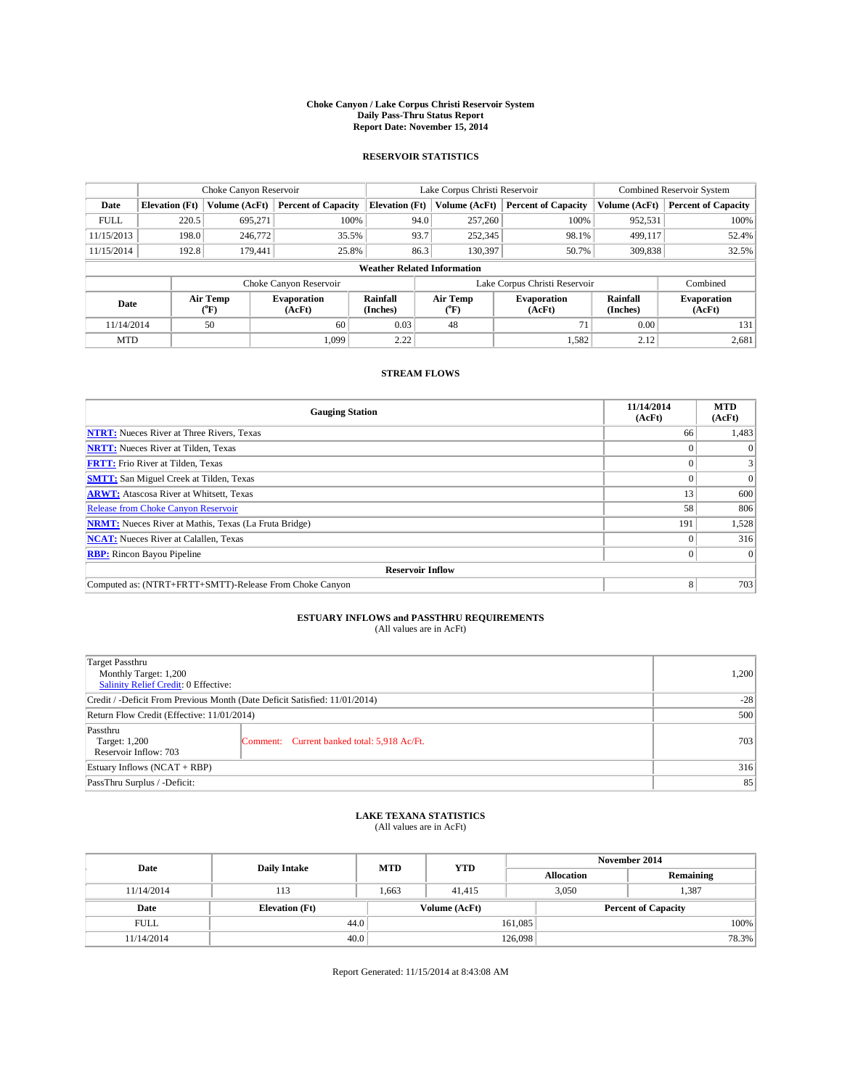#### **Choke Canyon / Lake Corpus Christi Reservoir System Daily Pass-Thru Status Report Report Date: November 15, 2014**

### **RESERVOIR STATISTICS**

|             |                       | Choke Canyon Reservoir             |                              |                                    | Lake Corpus Christi Reservoir | Combined Reservoir System     |                      |                              |
|-------------|-----------------------|------------------------------------|------------------------------|------------------------------------|-------------------------------|-------------------------------|----------------------|------------------------------|
| Date        | <b>Elevation</b> (Ft) | Volume (AcFt)                      | <b>Percent of Capacity</b>   | <b>Elevation</b> (Ft)              | Volume (AcFt)                 | <b>Percent of Capacity</b>    | Volume (AcFt)        | <b>Percent of Capacity</b>   |
| <b>FULL</b> | 220.5                 | 695,271                            | 100%                         | 94.0                               | 257,260                       | 100%                          | 952,531              | 100%                         |
| 11/15/2013  | 198.0                 | 246,772                            | 35.5%                        | 93.7                               | 252,345                       | 98.1%                         | 499,117              | 52.4%                        |
| 11/15/2014  | 192.8                 | 179,441                            | 25.8%                        | 86.3                               | 130,397                       | 50.7%                         | 309,838              | 32.5%                        |
|             |                       |                                    |                              | <b>Weather Related Information</b> |                               |                               |                      |                              |
|             |                       |                                    | Choke Canyon Reservoir       |                                    |                               | Lake Corpus Christi Reservoir |                      | Combined                     |
| Date        |                       | Air Temp<br>${}^{\prime\prime}$ F) | <b>Evaporation</b><br>(AcFt) | Rainfall<br>(Inches)               | Air Temp<br>("F)              | <b>Evaporation</b><br>(AcFt)  | Rainfall<br>(Inches) | <b>Evaporation</b><br>(AcFt) |
| 11/14/2014  |                       | 50                                 | 60                           | 0.03                               | 48                            | 71                            | 0.00                 | 131                          |

### **STREAM FLOWS**

MTD  $|$  1,099 2.22 1,099 2.22 1,582 2.12 2,681

| <b>Gauging Station</b>                                       | 11/14/2014<br>(AcFt) | <b>MTD</b><br>(AcFt) |  |  |  |  |  |
|--------------------------------------------------------------|----------------------|----------------------|--|--|--|--|--|
| <b>NTRT:</b> Nueces River at Three Rivers, Texas             | 66                   | 1,483                |  |  |  |  |  |
| <b>NRTT:</b> Nueces River at Tilden, Texas                   |                      |                      |  |  |  |  |  |
| <b>FRTT:</b> Frio River at Tilden, Texas                     |                      |                      |  |  |  |  |  |
| <b>SMTT:</b> San Miguel Creek at Tilden, Texas               |                      | $\Omega$             |  |  |  |  |  |
| <b>ARWT:</b> Atascosa River at Whitsett, Texas               | 13                   | 600                  |  |  |  |  |  |
| <b>Release from Choke Canyon Reservoir</b>                   | 58                   | 806                  |  |  |  |  |  |
| <b>NRMT:</b> Nueces River at Mathis, Texas (La Fruta Bridge) | 191                  | 1,528                |  |  |  |  |  |
| <b>NCAT:</b> Nueces River at Calallen, Texas                 |                      | 316                  |  |  |  |  |  |
| <b>RBP:</b> Rincon Bayou Pipeline                            |                      | $\Omega$             |  |  |  |  |  |
| <b>Reservoir Inflow</b>                                      |                      |                      |  |  |  |  |  |
| Computed as: (NTRT+FRTT+SMTT)-Release From Choke Canyon      | 8                    | 703                  |  |  |  |  |  |

# **ESTUARY INFLOWS and PASSTHRU REQUIREMENTS**<br>(All values are in AcFt)

| <b>Target Passthru</b><br>Monthly Target: 1,200<br>Salinity Relief Credit: 0 Effective: |                                             | 1,200 |
|-----------------------------------------------------------------------------------------|---------------------------------------------|-------|
| Credit / -Deficit From Previous Month (Date Deficit Satisfied: 11/01/2014)              | $-28$                                       |       |
| Return Flow Credit (Effective: 11/01/2014)                                              | 500                                         |       |
| Passthru<br>Target: 1,200<br>Reservoir Inflow: 703                                      | Comment: Current banked total: 5,918 Ac/Ft. | 703   |
| Estuary Inflows (NCAT + RBP)                                                            | 316                                         |       |
| PassThru Surplus / -Deficit:                                                            | 85                                          |       |

## **LAKE TEXANA STATISTICS** (All values are in AcFt)

| Date        | <b>Daily Intake</b>   | <b>MTD</b> | <b>YTD</b>    | November 2014     |                |                            |       |  |
|-------------|-----------------------|------------|---------------|-------------------|----------------|----------------------------|-------|--|
|             |                       |            |               | <b>Allocation</b> |                | Remaining                  |       |  |
| 11/14/2014  | 113                   | 1.663      | 41.415        |                   | 1,387<br>3.050 |                            |       |  |
| Date        | <b>Elevation</b> (Ft) |            | Volume (AcFt) |                   |                | <b>Percent of Capacity</b> |       |  |
| <b>FULL</b> | 44.0                  |            |               | 161,085           |                |                            | 100%  |  |
| 11/14/2014  | 40.0                  |            |               | 126,098           |                |                            | 78.3% |  |

Report Generated: 11/15/2014 at 8:43:08 AM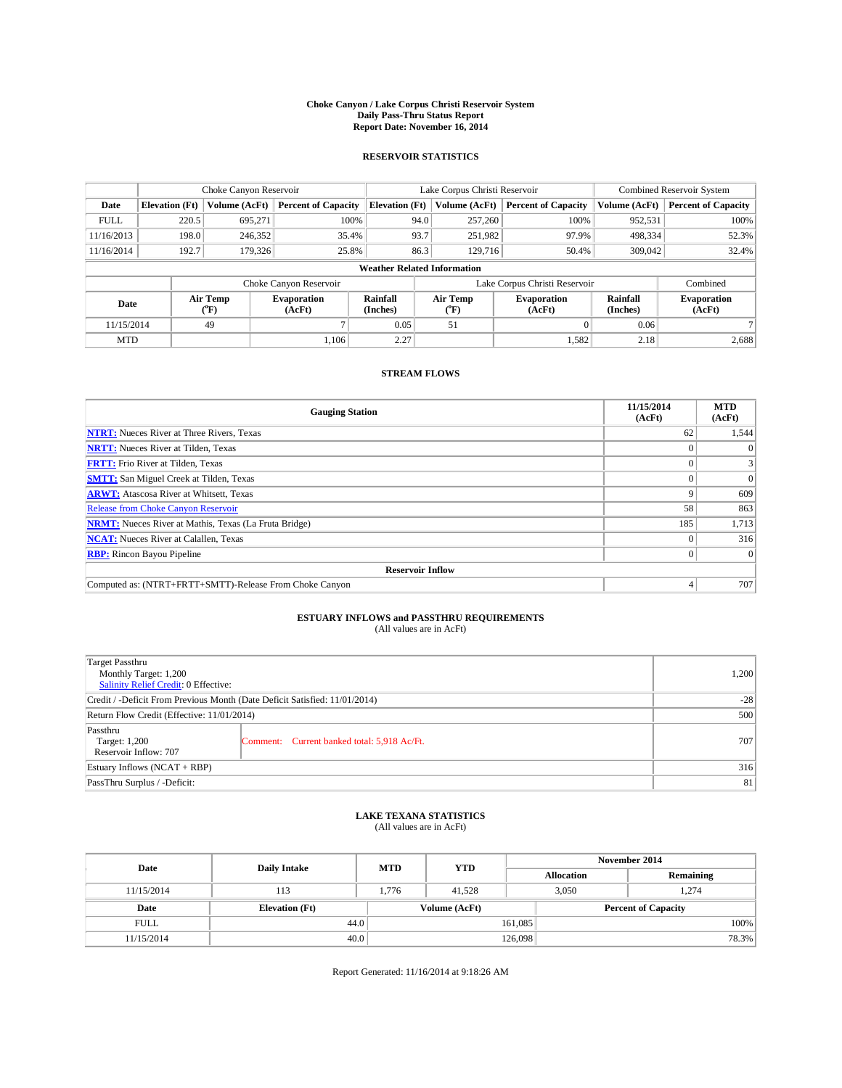#### **Choke Canyon / Lake Corpus Christi Reservoir System Daily Pass-Thru Status Report Report Date: November 16, 2014**

#### **RESERVOIR STATISTICS**

| Choke Canyon Reservoir |                    |                            |                                                         |                                    | <b>Combined Reservoir System</b>                                            |                                                                      |                                                                |
|------------------------|--------------------|----------------------------|---------------------------------------------------------|------------------------------------|-----------------------------------------------------------------------------|----------------------------------------------------------------------|----------------------------------------------------------------|
| <b>Elevation</b> (Ft)  | Volume (AcFt)      | <b>Percent of Capacity</b> |                                                         |                                    | <b>Percent of Capacity</b>                                                  | Volume (AcFt)                                                        | <b>Percent of Capacity</b>                                     |
|                        | 695,271            |                            | 257,260<br>94.0                                         |                                    | 100%                                                                        | 952,531                                                              | 100%                                                           |
|                        | 246,352            |                            |                                                         |                                    |                                                                             | 498,334                                                              | 52.3%                                                          |
| 192.7                  |                    |                            |                                                         |                                    | 50.4%                                                                       | 309,042                                                              | 32.4%                                                          |
|                        |                    |                            |                                                         |                                    |                                                                             |                                                                      |                                                                |
|                        |                    |                            |                                                         |                                    | Combined                                                                    |                                                                      |                                                                |
|                        | (°F)               | (AcFt)                     | (Inches)                                                | Air Temp<br>("F)                   | Evaporation<br>(AcFt)                                                       |                                                                      | <b>Evaporation</b><br>(AcFt)                                   |
|                        | 49                 |                            | 0.05                                                    | 51                                 |                                                                             | 0.06                                                                 |                                                                |
|                        | Date<br>11/15/2014 | 220.5<br>198.0<br>Air Temp | 179.326<br>Choke Canyon Reservoir<br><b>Evaporation</b> | 100%<br>35.4%<br>25.8%<br>Rainfall | <b>Elevation (Ft)</b><br>93.7<br>86.3<br><b>Weather Related Information</b> | Lake Corpus Christi Reservoir<br>Volume (AcFt)<br>251,982<br>129,716 | 97.9%<br>Lake Corpus Christi Reservoir<br>Rainfall<br>(Inches) |

### **STREAM FLOWS**

MTD  $|$  1,106 2.27 1,105 1,582 2.18 2,688

| <b>Gauging Station</b>                                       | 11/15/2014<br>(AcFt) | <b>MTD</b><br>(AcFt) |  |  |  |  |
|--------------------------------------------------------------|----------------------|----------------------|--|--|--|--|
| <b>NTRT:</b> Nueces River at Three Rivers, Texas             | 62                   | 1,544                |  |  |  |  |
| <b>NRTT:</b> Nueces River at Tilden, Texas                   |                      | $\Omega$             |  |  |  |  |
| <b>FRTT:</b> Frio River at Tilden, Texas                     |                      | 3                    |  |  |  |  |
| <b>SMTT:</b> San Miguel Creek at Tilden, Texas               |                      | $\Omega$             |  |  |  |  |
| <b>ARWT:</b> Atascosa River at Whitsett, Texas               | Q                    | 609                  |  |  |  |  |
| <b>Release from Choke Canyon Reservoir</b>                   | 58                   | 863                  |  |  |  |  |
| <b>NRMT:</b> Nueces River at Mathis, Texas (La Fruta Bridge) | 185                  | 1,713                |  |  |  |  |
| <b>NCAT:</b> Nueces River at Calallen, Texas                 |                      | 316                  |  |  |  |  |
| <b>RBP:</b> Rincon Bayou Pipeline                            | 0 <sup>1</sup>       | $\Omega$             |  |  |  |  |
| <b>Reservoir Inflow</b>                                      |                      |                      |  |  |  |  |
| Computed as: (NTRT+FRTT+SMTT)-Release From Choke Canyon      | 4                    | 707                  |  |  |  |  |

# **ESTUARY INFLOWS and PASSTHRU REQUIREMENTS**<br>(All values are in AcFt)

| <b>Target Passthru</b><br>Monthly Target: 1,200<br>Salinity Relief Credit: 0 Effective: |                                             | 1,200 |
|-----------------------------------------------------------------------------------------|---------------------------------------------|-------|
| Credit / -Deficit From Previous Month (Date Deficit Satisfied: 11/01/2014)              | $-28$                                       |       |
| Return Flow Credit (Effective: 11/01/2014)                                              | 500                                         |       |
| Passthru<br>Target: 1,200<br>Reservoir Inflow: 707                                      | Comment: Current banked total: 5,918 Ac/Ft. | 707   |
| Estuary Inflows (NCAT + RBP)                                                            | 316                                         |       |
| PassThru Surplus / -Deficit:                                                            | 81                                          |       |

# **LAKE TEXANA STATISTICS** (All values are in AcFt)

| Date        | <b>Daily Intake</b>   | <b>MTD</b> | <b>YTD</b>    | November 2014     |                            |           |       |
|-------------|-----------------------|------------|---------------|-------------------|----------------------------|-----------|-------|
|             |                       |            |               | <b>Allocation</b> |                            | Remaining |       |
| 11/15/2014  | 113                   | 1.776      | 41.528        |                   | 3.050                      | 1,274     |       |
| Date        | <b>Elevation</b> (Ft) |            | Volume (AcFt) |                   | <b>Percent of Capacity</b> |           |       |
| <b>FULL</b> | 44.0                  |            |               | 161,085           |                            |           | 100%  |
| 11/15/2014  | 40.0                  |            |               | 126,098           |                            |           | 78.3% |

Report Generated: 11/16/2014 at 9:18:26 AM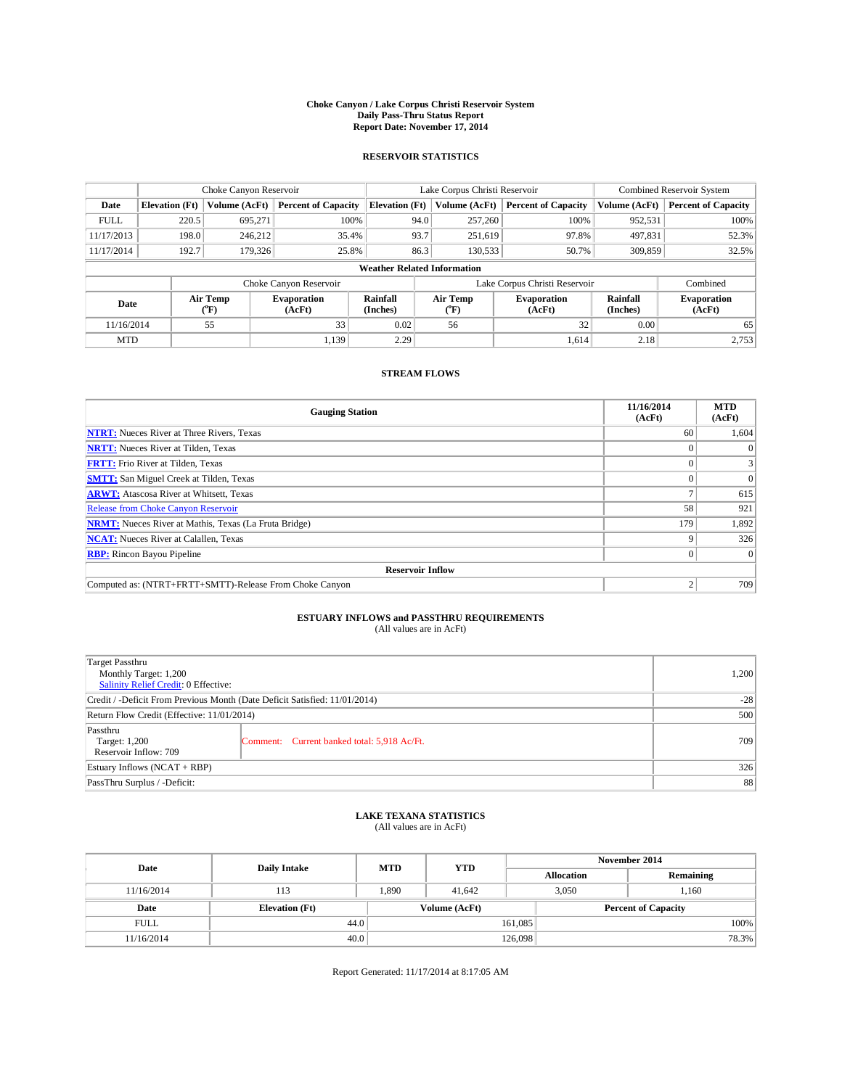#### **Choke Canyon / Lake Corpus Christi Reservoir System Daily Pass-Thru Status Report Report Date: November 17, 2014**

### **RESERVOIR STATISTICS**

| Choke Canyon Reservoir |                       |                  |                            | Lake Corpus Christi Reservoir      | Combined Reservoir System     |                            |                      |                              |
|------------------------|-----------------------|------------------|----------------------------|------------------------------------|-------------------------------|----------------------------|----------------------|------------------------------|
| Date                   | <b>Elevation</b> (Ft) | Volume (AcFt)    | <b>Percent of Capacity</b> | <b>Elevation</b> (Ft)              | Volume (AcFt)                 | <b>Percent of Capacity</b> | Volume (AcFt)        | <b>Percent of Capacity</b>   |
| <b>FULL</b>            | 220.5                 | 695,271          | 100%                       | 94.0                               | 257,260                       | 100%                       | 952,531              | 100%                         |
| 11/17/2013             | 198.0                 | 246,212          | 35.4%                      | 93.7                               | 251,619                       | 97.8%                      | 497,831              | 52.3%                        |
| 11/17/2014             | 192.7                 | 179.326          | 25.8%                      | 86.3                               | 130,533                       | 50.7%                      | 309,859              | 32.5%                        |
|                        |                       |                  |                            | <b>Weather Related Information</b> |                               |                            |                      |                              |
|                        |                       |                  | Choke Canyon Reservoir     |                                    | Lake Corpus Christi Reservoir |                            |                      | Combined                     |
| Date                   |                       | Air Temp<br>("F) | Evaporation<br>(AcFt)      | Rainfall<br>(Inches)               | Air Temp<br>("F)              | Evaporation<br>(AcFt)      | Rainfall<br>(Inches) | <b>Evaporation</b><br>(AcFt) |
| 11/16/2014             |                       | 55               | 33                         | 0.02                               | 56                            | 32                         | 0.00                 | 65                           |

### **STREAM FLOWS**

MTD  $|$  1,139 2.29 1,614 2.18 2.753

| <b>Gauging Station</b>                                       | 11/16/2014<br>(AcFt) | <b>MTD</b><br>(AcFt) |  |  |  |  |
|--------------------------------------------------------------|----------------------|----------------------|--|--|--|--|
| <b>NTRT:</b> Nueces River at Three Rivers, Texas             | 60                   | 1,604                |  |  |  |  |
| <b>NRTT:</b> Nueces River at Tilden, Texas                   |                      | $\Omega$             |  |  |  |  |
| <b>FRTT:</b> Frio River at Tilden, Texas                     |                      |                      |  |  |  |  |
| <b>SMTT:</b> San Miguel Creek at Tilden, Texas               |                      | $\Omega$             |  |  |  |  |
| <b>ARWT:</b> Atascosa River at Whitsett, Texas               |                      | 615                  |  |  |  |  |
| <b>Release from Choke Canyon Reservoir</b>                   | 58                   | 921                  |  |  |  |  |
| <b>NRMT:</b> Nueces River at Mathis, Texas (La Fruta Bridge) | 179                  | 1,892                |  |  |  |  |
| <b>NCAT:</b> Nueces River at Calallen, Texas                 | Q                    | 326                  |  |  |  |  |
| <b>RBP:</b> Rincon Bayou Pipeline                            | 0 <sup>1</sup>       | $\Omega$             |  |  |  |  |
| <b>Reservoir Inflow</b>                                      |                      |                      |  |  |  |  |
| Computed as: (NTRT+FRTT+SMTT)-Release From Choke Canyon      |                      | 709                  |  |  |  |  |

# **ESTUARY INFLOWS and PASSTHRU REQUIREMENTS**<br>(All values are in AcFt)

| <b>Target Passthru</b><br>Monthly Target: 1,200<br>Salinity Relief Credit: 0 Effective: |                                             | 1,200 |
|-----------------------------------------------------------------------------------------|---------------------------------------------|-------|
| Credit / -Deficit From Previous Month (Date Deficit Satisfied: 11/01/2014)              | $-28$                                       |       |
| Return Flow Credit (Effective: 11/01/2014)                                              | 500                                         |       |
| Passthru<br>Target: 1,200<br>Reservoir Inflow: 709                                      | Comment: Current banked total: 5,918 Ac/Ft. | 709   |
| Estuary Inflows (NCAT + RBP)                                                            | 326                                         |       |
| PassThru Surplus / -Deficit:                                                            | 88                                          |       |

# **LAKE TEXANA STATISTICS** (All values are in AcFt)

| Date        | <b>Daily Intake</b>   | <b>MTD</b> | <b>YTD</b>    | November 2014     |                            |           |      |
|-------------|-----------------------|------------|---------------|-------------------|----------------------------|-----------|------|
|             |                       |            |               | <b>Allocation</b> |                            | Remaining |      |
| 11/16/2014  | 113                   | 1,890      | 41.642        |                   | 3,050<br>1,160             |           |      |
| Date        | <b>Elevation</b> (Ft) |            | Volume (AcFt) |                   | <b>Percent of Capacity</b> |           |      |
| <b>FULL</b> | 44.0                  |            |               | 161,085           |                            |           | 100% |
| 11/16/2014  | 40.0                  |            |               | 126,098           |                            | 78.3%     |      |

Report Generated: 11/17/2014 at 8:17:05 AM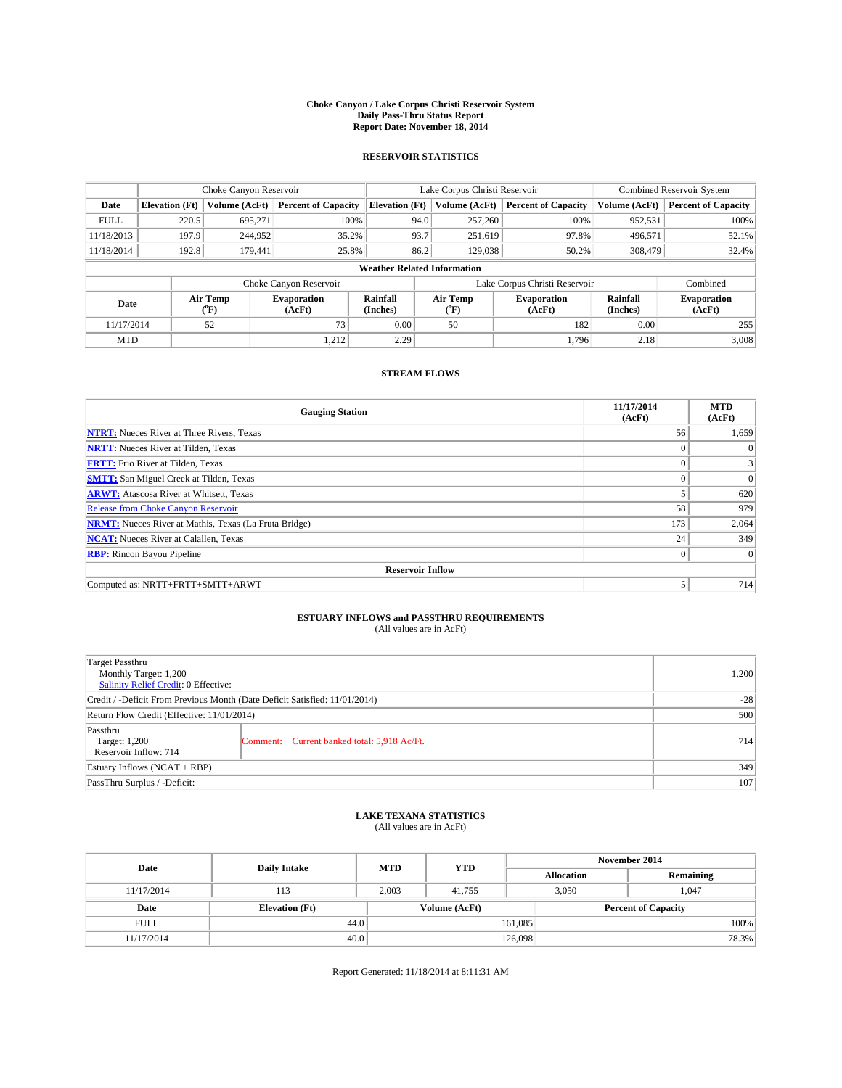#### **Choke Canyon / Lake Corpus Christi Reservoir System Daily Pass-Thru Status Report Report Date: November 18, 2014**

### **RESERVOIR STATISTICS**

| Choke Canyon Reservoir |                       |                  |                              | Lake Corpus Christi Reservoir      | <b>Combined Reservoir System</b> |                               |                      |                              |
|------------------------|-----------------------|------------------|------------------------------|------------------------------------|----------------------------------|-------------------------------|----------------------|------------------------------|
| Date                   | <b>Elevation</b> (Ft) | Volume (AcFt)    | <b>Percent of Capacity</b>   | <b>Elevation (Ft)</b>              | Volume (AcFt)                    | <b>Percent of Capacity</b>    | Volume (AcFt)        | <b>Percent of Capacity</b>   |
| <b>FULL</b>            | 220.5                 | 695.271          | 100%                         | 94.0                               | 257,260                          | 100%                          | 952,531              | 100%                         |
| 11/18/2013             | 197.9                 | 244,952          | 35.2%                        | 93.7                               | 251,619                          | 97.8%                         | 496,571              | 52.1%                        |
| 11/18/2014             | 192.8                 | 179,441          | 25.8%                        | 86.2                               | 129,038                          | 50.2%                         | 308,479              | 32.4%                        |
|                        |                       |                  |                              | <b>Weather Related Information</b> |                                  |                               |                      |                              |
|                        |                       |                  | Choke Canyon Reservoir       |                                    |                                  | Lake Corpus Christi Reservoir |                      | Combined                     |
| Date                   |                       | Air Temp<br>(°F) | <b>Evaporation</b><br>(AcFt) | Rainfall<br>(Inches)               | Air Temp<br>$\rm ^{(^o}\!F)$     | <b>Evaporation</b><br>(AcFt)  | Rainfall<br>(Inches) | <b>Evaporation</b><br>(AcFt) |
| 11/17/2014             |                       | 52               | 73                           | 0.00                               | 50                               | 182                           | 0.00                 | 255                          |
| <b>MTD</b>             |                       |                  | 1,212                        | 2.29                               |                                  | 1,796                         | 2.18                 | 3,008                        |

### **STREAM FLOWS**

| <b>Gauging Station</b>                                       | 11/17/2014<br>(AcFt) | <b>MTD</b><br>(AcFt) |  |  |  |  |
|--------------------------------------------------------------|----------------------|----------------------|--|--|--|--|
| <b>NTRT:</b> Nueces River at Three Rivers, Texas             | 56                   | 1,659                |  |  |  |  |
| <b>NRTT:</b> Nueces River at Tilden, Texas                   | $\theta$             | $\theta$             |  |  |  |  |
| <b>FRTT:</b> Frio River at Tilden, Texas                     |                      |                      |  |  |  |  |
| <b>SMTT:</b> San Miguel Creek at Tilden, Texas               | $\theta$             | $\overline{0}$       |  |  |  |  |
| <b>ARWT:</b> Atascosa River at Whitsett, Texas               |                      | 620                  |  |  |  |  |
| <b>Release from Choke Canyon Reservoir</b>                   | 58                   | 979                  |  |  |  |  |
| <b>NRMT:</b> Nueces River at Mathis, Texas (La Fruta Bridge) | 173                  | 2,064                |  |  |  |  |
| <b>NCAT:</b> Nueces River at Calallen, Texas                 | 24                   | 349                  |  |  |  |  |
| <b>RBP:</b> Rincon Bayou Pipeline                            | $\Omega$             | $\Omega$             |  |  |  |  |
| <b>Reservoir Inflow</b>                                      |                      |                      |  |  |  |  |
| Computed as: NRTT+FRTT+SMTT+ARWT                             | 5                    | 714                  |  |  |  |  |

# **ESTUARY INFLOWS and PASSTHRU REQUIREMENTS**<br>(All values are in AcFt)

| <b>Target Passthru</b><br>Monthly Target: 1,200<br>Salinity Relief Credit: 0 Effective: |                                             | 1,200 |
|-----------------------------------------------------------------------------------------|---------------------------------------------|-------|
| Credit / -Deficit From Previous Month (Date Deficit Satisfied: 11/01/2014)              | $-28$                                       |       |
| Return Flow Credit (Effective: 11/01/2014)                                              | 500                                         |       |
| Passthru<br>Target: 1,200<br>Reservoir Inflow: 714                                      | Comment: Current banked total: 5,918 Ac/Ft. | 714   |
| Estuary Inflows (NCAT + RBP)                                                            | 349                                         |       |
| PassThru Surplus / -Deficit:                                                            | 107                                         |       |

## **LAKE TEXANA STATISTICS** (All values are in AcFt)

| Date        | <b>Daily Intake</b>   | <b>MTD</b> | <b>YTD</b>    | November 2014     |                            |           |  |
|-------------|-----------------------|------------|---------------|-------------------|----------------------------|-----------|--|
|             |                       |            |               | <b>Allocation</b> |                            | Remaining |  |
| 11/17/2014  | 113                   | 2.003      | 41.755        |                   | 3,050                      | 1.047     |  |
| Date        | <b>Elevation</b> (Ft) |            | Volume (AcFt) |                   | <b>Percent of Capacity</b> |           |  |
| <b>FULL</b> | 44.0                  |            |               | 161,085           |                            | 100%      |  |
| 11/17/2014  | 40.0                  |            |               | 126,098           |                            | 78.3%     |  |

Report Generated: 11/18/2014 at 8:11:31 AM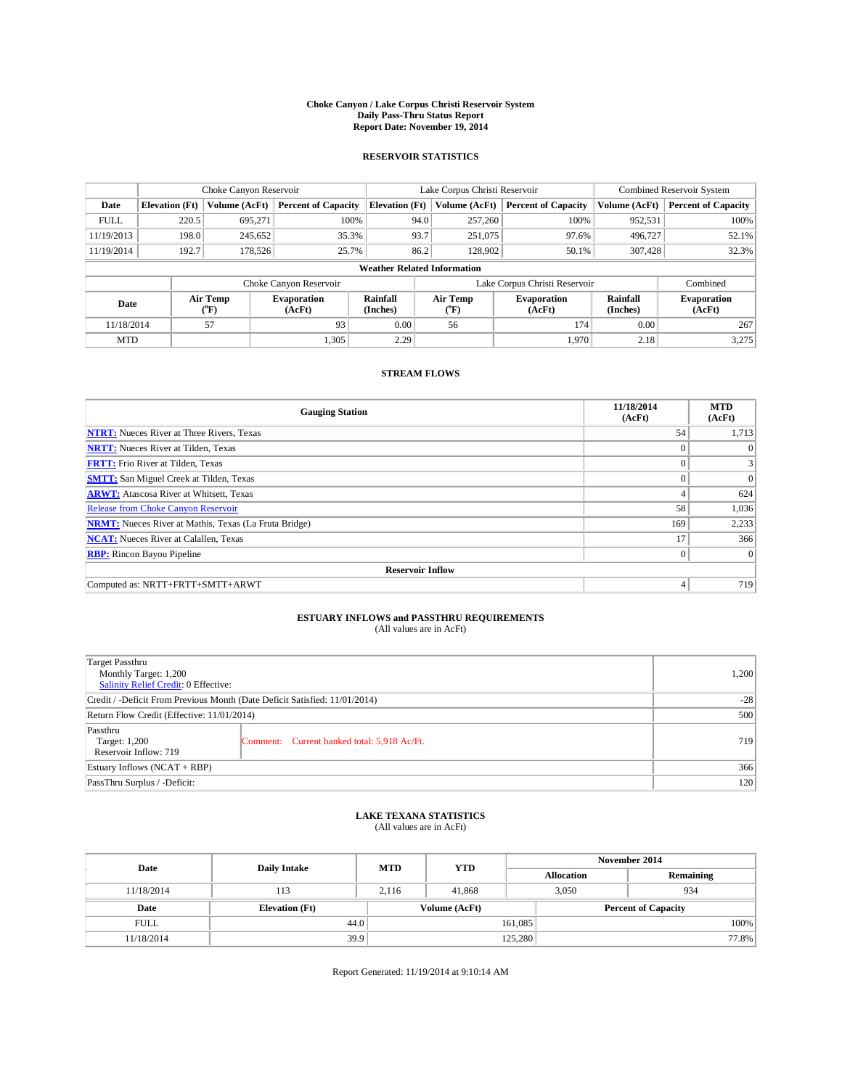#### **Choke Canyon / Lake Corpus Christi Reservoir System Daily Pass-Thru Status Report Report Date: November 19, 2014**

#### **RESERVOIR STATISTICS**

|             |                                    | Choke Canyon Reservoir |                              |                                                    | Lake Corpus Christi Reservoir | <b>Combined Reservoir System</b> |                      |                              |  |
|-------------|------------------------------------|------------------------|------------------------------|----------------------------------------------------|-------------------------------|----------------------------------|----------------------|------------------------------|--|
| Date        | <b>Elevation</b> (Ft)              | Volume (AcFt)          | <b>Percent of Capacity</b>   | <b>Elevation (Ft)</b>                              | Volume (AcFt)                 | <b>Percent of Capacity</b>       | Volume (AcFt)        | <b>Percent of Capacity</b>   |  |
| <b>FULL</b> | 220.5                              | 695,271                | 100%                         | 94.0                                               | 257,260                       | 100%                             | 952,531              | 100%                         |  |
| 11/19/2013  | 198.0                              | 245,652                | 35.3%                        | 93.7                                               | 251,075                       | 97.6%                            | 496,727              | 52.1%                        |  |
| 11/19/2014  | 192.7                              | 178,526                | 25.7%                        | 86.2                                               | 128,902                       | 50.1%                            | 307,428              | 32.3%                        |  |
|             | <b>Weather Related Information</b> |                        |                              |                                                    |                               |                                  |                      |                              |  |
|             |                                    |                        | Choke Canyon Reservoir       |                                                    |                               | Lake Corpus Christi Reservoir    |                      | Combined                     |  |
| Date        |                                    | Air Temp<br>(°F)       | <b>Evaporation</b><br>(AcFt) | Air Temp<br>Rainfall<br>(Inches)<br>(AcFt)<br>(°F) |                               | <b>Evaporation</b>               | Rainfall<br>(Inches) | <b>Evaporation</b><br>(AcFt) |  |
| 11/18/2014  | 57<br>93                           |                        | 0.00                         | 56                                                 | 174                           | 0.00                             | 267                  |                              |  |
| <b>MTD</b>  |                                    |                        | 1,305                        | 2.29                                               |                               | 1.970                            | 2.18                 | 3,275                        |  |

### **STREAM FLOWS**

| <b>Gauging Station</b>                                       | 11/18/2014<br>(AcFt) | <b>MTD</b><br>(AcFt) |  |  |  |  |  |
|--------------------------------------------------------------|----------------------|----------------------|--|--|--|--|--|
| <b>NTRT:</b> Nueces River at Three Rivers, Texas             | 54                   | 1,713                |  |  |  |  |  |
| <b>NRTT:</b> Nueces River at Tilden, Texas                   | $\theta$             | $\theta$             |  |  |  |  |  |
| <b>FRTT:</b> Frio River at Tilden, Texas                     | $\theta$             |                      |  |  |  |  |  |
| <b>SMTT:</b> San Miguel Creek at Tilden, Texas               | $\theta$             | $\overline{0}$       |  |  |  |  |  |
| <b>ARWT:</b> Atascosa River at Whitsett, Texas               | 4                    | 624                  |  |  |  |  |  |
| <b>Release from Choke Canyon Reservoir</b>                   | 58                   | 1,036                |  |  |  |  |  |
| <b>NRMT:</b> Nueces River at Mathis, Texas (La Fruta Bridge) | 169                  | 2,233                |  |  |  |  |  |
| <b>NCAT:</b> Nueces River at Calallen, Texas                 | 17                   | 366                  |  |  |  |  |  |
| <b>RBP:</b> Rincon Bayou Pipeline                            | $\Omega$             | $\Omega$             |  |  |  |  |  |
| <b>Reservoir Inflow</b>                                      |                      |                      |  |  |  |  |  |
| Computed as: NRTT+FRTT+SMTT+ARWT                             | 4                    | 719                  |  |  |  |  |  |

## **ESTUARY INFLOWS and PASSTHRU REQUIREMENTS**<br>(All values are in AcFt)

| Target Passthru<br>Monthly Target: 1,200<br>Salinity Relief Credit: 0 Effective: |                                             | 1.200 |  |  |
|----------------------------------------------------------------------------------|---------------------------------------------|-------|--|--|
| Credit / -Deficit From Previous Month (Date Deficit Satisfied: 11/01/2014)       |                                             |       |  |  |
| Return Flow Credit (Effective: 11/01/2014)                                       |                                             |       |  |  |
| Passthru<br>Target: 1,200<br>Reservoir Inflow: 719                               | Comment: Current banked total: 5,918 Ac/Ft. | 719   |  |  |
| Estuary Inflows (NCAT + RBP)                                                     |                                             |       |  |  |
| PassThru Surplus / -Deficit:                                                     | 120                                         |       |  |  |

## **LAKE TEXANA STATISTICS** (All values are in AcFt)

| Date        | <b>Daily Intake</b>   | <b>MTD</b> | <b>YTD</b>    | November 2014              |              |           |       |
|-------------|-----------------------|------------|---------------|----------------------------|--------------|-----------|-------|
|             |                       |            |               | <b>Allocation</b>          |              | Remaining |       |
| 11/18/2014  | 113                   | 2.116      | 41,868        |                            | 3.050<br>934 |           |       |
| Date        | <b>Elevation</b> (Ft) |            | Volume (AcFt) | <b>Percent of Capacity</b> |              |           |       |
| <b>FULL</b> | 44.0                  |            |               | 161,085                    |              |           | 100%  |
| 11/18/2014  | 39.9                  |            |               | 125,280                    |              |           | 77.8% |

Report Generated: 11/19/2014 at 9:10:14 AM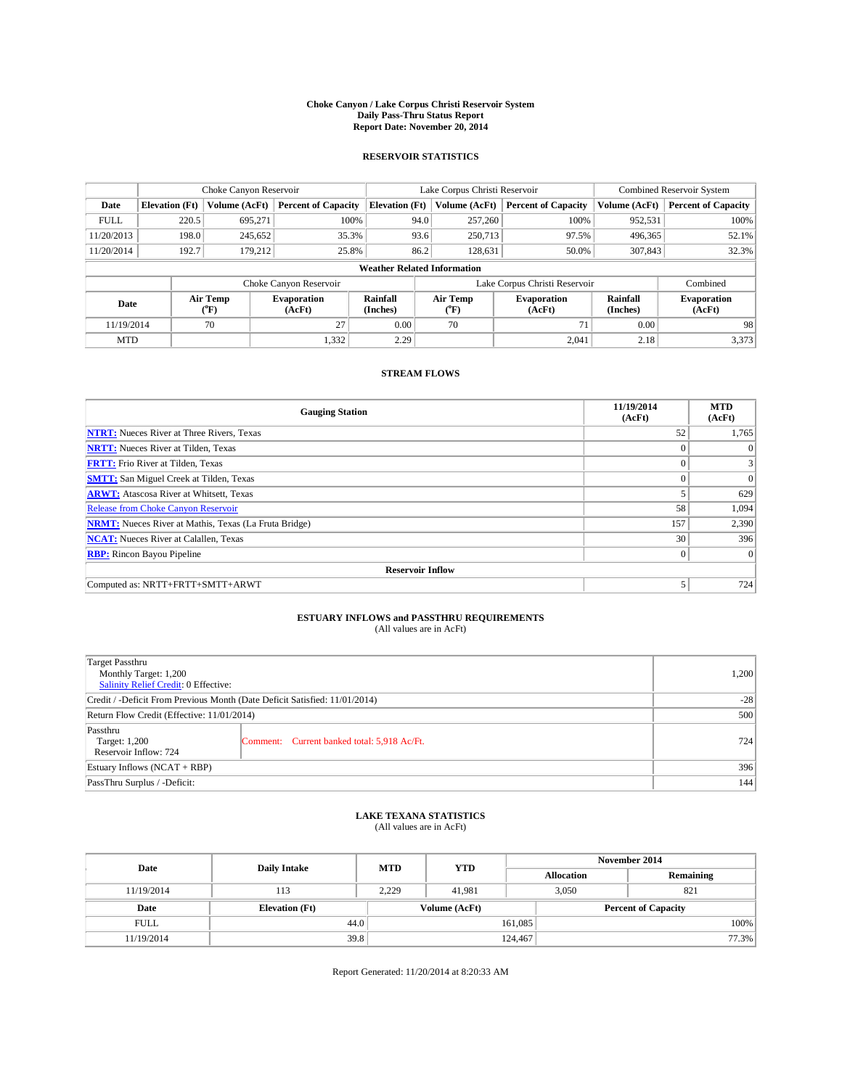#### **Choke Canyon / Lake Corpus Christi Reservoir System Daily Pass-Thru Status Report Report Date: November 20, 2014**

#### **RESERVOIR STATISTICS**

|             |                                    | Choke Canyon Reservoir |                              |                       | Lake Corpus Christi Reservoir                    | Combined Reservoir System     |                      |                              |  |
|-------------|------------------------------------|------------------------|------------------------------|-----------------------|--------------------------------------------------|-------------------------------|----------------------|------------------------------|--|
| Date        | <b>Elevation</b> (Ft)              | Volume (AcFt)          | <b>Percent of Capacity</b>   | <b>Elevation (Ft)</b> | Volume (AcFt)                                    | <b>Percent of Capacity</b>    | Volume (AcFt)        | <b>Percent of Capacity</b>   |  |
| <b>FULL</b> | 220.5                              | 695,271                | 100%                         | 94.0                  | 257,260                                          | 100%                          | 952,531              | 100%                         |  |
| 11/20/2013  | 198.0                              | 245,652                | 35.3%                        | 93.6                  | 250,713                                          | 97.5%                         | 496,365              | 52.1%                        |  |
| 11/20/2014  | 192.7                              | 179,212                | 25.8%                        | 86.2                  | 128,631                                          | 50.0%                         | 307,843              | 32.3%                        |  |
|             | <b>Weather Related Information</b> |                        |                              |                       |                                                  |                               |                      |                              |  |
|             |                                    |                        | Choke Canyon Reservoir       |                       |                                                  | Lake Corpus Christi Reservoir |                      | Combined                     |  |
| Date        |                                    | Air Temp<br>(°F)       | <b>Evaporation</b><br>(AcFt) | Rainfall<br>(Inches)  | Air Temp<br><b>Evaporation</b><br>(AcFt)<br>(°F) |                               | Rainfall<br>(Inches) | <b>Evaporation</b><br>(AcFt) |  |
| 11/19/2014  | 27<br>70                           |                        | 0.00                         | 70                    | 71                                               | 0.00                          | 98                   |                              |  |
| <b>MTD</b>  |                                    |                        | 1,332                        | 2.29                  |                                                  | 2,041                         | 2.18                 | 3,373                        |  |

### **STREAM FLOWS**

| <b>Gauging Station</b>                                       | 11/19/2014<br>(AcFt) | <b>MTD</b><br>(AcFt) |  |  |  |  |
|--------------------------------------------------------------|----------------------|----------------------|--|--|--|--|
| <b>NTRT:</b> Nueces River at Three Rivers, Texas             | 52                   | 1,765                |  |  |  |  |
| <b>NRTT:</b> Nueces River at Tilden, Texas                   | $\theta$             | $\theta$             |  |  |  |  |
| <b>FRTT:</b> Frio River at Tilden, Texas                     |                      | 3                    |  |  |  |  |
| <b>SMTT:</b> San Miguel Creek at Tilden, Texas               | $\theta$             | $\Omega$             |  |  |  |  |
| <b>ARWT:</b> Atascosa River at Whitsett, Texas               |                      | 629                  |  |  |  |  |
| <b>Release from Choke Canyon Reservoir</b>                   | 58                   | 1,094                |  |  |  |  |
| <b>NRMT:</b> Nueces River at Mathis, Texas (La Fruta Bridge) | 157                  | 2,390                |  |  |  |  |
| <b>NCAT:</b> Nueces River at Calallen, Texas                 | 30                   | 396                  |  |  |  |  |
| <b>RBP:</b> Rincon Bayou Pipeline                            | $\mathbf{0}$         | $\Omega$             |  |  |  |  |
| <b>Reservoir Inflow</b>                                      |                      |                      |  |  |  |  |
| Computed as: NRTT+FRTT+SMTT+ARWT                             |                      | 724                  |  |  |  |  |

## **ESTUARY INFLOWS and PASSTHRU REQUIREMENTS**<br>(All values are in AcFt)

| Target Passthru<br>Monthly Target: 1,200<br>Salinity Relief Credit: 0 Effective: | 1,200                                       |     |
|----------------------------------------------------------------------------------|---------------------------------------------|-----|
| Credit / -Deficit From Previous Month (Date Deficit Satisfied: 11/01/2014)       | $-28$                                       |     |
| Return Flow Credit (Effective: 11/01/2014)                                       | 500                                         |     |
| Passthru<br>Target: 1,200<br>Reservoir Inflow: 724                               | Comment: Current banked total: 5,918 Ac/Ft. | 724 |
| Estuary Inflows (NCAT + RBP)                                                     | 396                                         |     |
| PassThru Surplus / -Deficit:                                                     | 144                                         |     |

## **LAKE TEXANA STATISTICS** (All values are in AcFt)

| Date        | <b>Daily Intake</b>   | <b>MTD</b> | <b>YTD</b>    | November 2014     |                            |           |  |
|-------------|-----------------------|------------|---------------|-------------------|----------------------------|-----------|--|
|             |                       |            |               | <b>Allocation</b> |                            | Remaining |  |
| 11/19/2014  | 113                   | 2,229      | 41.981        |                   | 3,050<br>821               |           |  |
| Date        | <b>Elevation</b> (Ft) |            | Volume (AcFt) |                   | <b>Percent of Capacity</b> |           |  |
| <b>FULL</b> | 44.0                  |            |               | 161,085           |                            | 100%      |  |
| 11/19/2014  | 39.8                  |            |               | 124,467           |                            | 77.3%     |  |

Report Generated: 11/20/2014 at 8:20:33 AM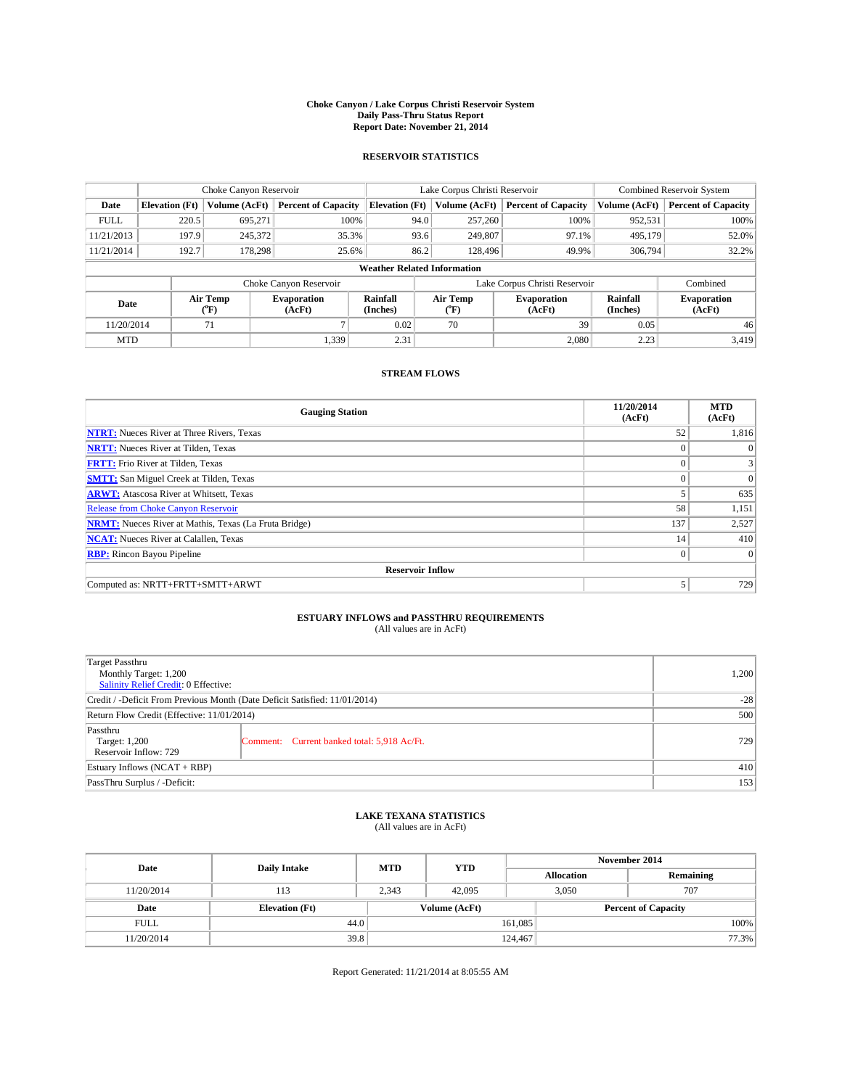#### **Choke Canyon / Lake Corpus Christi Reservoir System Daily Pass-Thru Status Report Report Date: November 21, 2014**

### **RESERVOIR STATISTICS**

|                                                                                          |                                    | Choke Canyon Reservoir |                              |                       | Lake Corpus Christi Reservoir | <b>Combined Reservoir System</b> |               |                            |  |
|------------------------------------------------------------------------------------------|------------------------------------|------------------------|------------------------------|-----------------------|-------------------------------|----------------------------------|---------------|----------------------------|--|
| Date                                                                                     | <b>Elevation</b> (Ft)              | Volume (AcFt)          | <b>Percent of Capacity</b>   | <b>Elevation (Ft)</b> | Volume (AcFt)                 | <b>Percent of Capacity</b>       | Volume (AcFt) | <b>Percent of Capacity</b> |  |
| <b>FULL</b>                                                                              | 220.5                              | 695,271                | 100%                         | 94.0                  | 257,260                       | 100%                             | 952,531       | 100%                       |  |
| 11/21/2013                                                                               | 197.9                              | 245,372                | 35.3%                        | 93.6                  | 249,807                       | 97.1%                            | 495,179       | 52.0%                      |  |
| 11/21/2014                                                                               | 192.7                              | 178,298                | 25.6%                        | 86.2                  | 128,496                       | 49.9%                            | 306,794       | 32.2%                      |  |
|                                                                                          | <b>Weather Related Information</b> |                        |                              |                       |                               |                                  |               |                            |  |
|                                                                                          |                                    |                        | Choke Canyon Reservoir       |                       |                               | Lake Corpus Christi Reservoir    |               | Combined                   |  |
| Air Temp<br>Rainfall<br><b>Evaporation</b><br>Date<br>(Inches)<br>(AcFt)<br>(°F)<br>(°F) |                                    | Air Temp               | <b>Evaporation</b><br>(AcFt) | Rainfall<br>(Inches)  | <b>Evaporation</b><br>(AcFt)  |                                  |               |                            |  |
| 11/20/2014                                                                               |                                    | 71                     |                              | 0.02                  | 70                            | 39                               | 0.05          | 46                         |  |
| <b>MTD</b>                                                                               |                                    |                        | 1,339                        | 2.31                  |                               | 2,080                            | 2.23          | 3,419                      |  |

### **STREAM FLOWS**

| <b>Gauging Station</b>                                       | 11/20/2014<br>(AcFt) | <b>MTD</b><br>(AcFt) |  |  |  |  |
|--------------------------------------------------------------|----------------------|----------------------|--|--|--|--|
| <b>NTRT:</b> Nueces River at Three Rivers, Texas             | 52                   | 1,816                |  |  |  |  |
| <b>NRTT:</b> Nueces River at Tilden, Texas                   |                      | $\Omega$             |  |  |  |  |
| <b>FRTT:</b> Frio River at Tilden, Texas                     |                      | 3                    |  |  |  |  |
| <b>SMTT:</b> San Miguel Creek at Tilden, Texas               |                      | $\Omega$             |  |  |  |  |
| <b>ARWT:</b> Atascosa River at Whitsett, Texas               |                      | 635                  |  |  |  |  |
| Release from Choke Canyon Reservoir                          | 58                   | 1,151                |  |  |  |  |
| <b>NRMT:</b> Nueces River at Mathis, Texas (La Fruta Bridge) | 137                  | 2,527                |  |  |  |  |
| <b>NCAT:</b> Nueces River at Calallen, Texas                 | 14                   | 410                  |  |  |  |  |
| <b>RBP:</b> Rincon Bayou Pipeline                            | $\mathbf{0}$         | $\Omega$             |  |  |  |  |
| <b>Reservoir Inflow</b>                                      |                      |                      |  |  |  |  |
| Computed as: NRTT+FRTT+SMTT+ARWT                             | 5                    | 729                  |  |  |  |  |

## **ESTUARY INFLOWS and PASSTHRU REQUIREMENTS**<br>(All values are in AcFt)

| Target Passthru<br>Monthly Target: 1,200<br>Salinity Relief Credit: 0 Effective: |                                             | 1,200 |
|----------------------------------------------------------------------------------|---------------------------------------------|-------|
| Credit / -Deficit From Previous Month (Date Deficit Satisfied: 11/01/2014)       | $-28$                                       |       |
| Return Flow Credit (Effective: 11/01/2014)                                       | 500                                         |       |
| Passthru<br>Target: 1,200<br>Reservoir Inflow: 729                               | Comment: Current banked total: 5,918 Ac/Ft. | 729   |
| Estuary Inflows (NCAT + RBP)                                                     | 410                                         |       |
| PassThru Surplus / -Deficit:                                                     | 153                                         |       |

## **LAKE TEXANA STATISTICS** (All values are in AcFt)

| Date        | <b>Daily Intake</b>   | <b>MTD</b> | <b>YTD</b>    | November 2014     |                            |           |  |
|-------------|-----------------------|------------|---------------|-------------------|----------------------------|-----------|--|
|             |                       |            |               | <b>Allocation</b> |                            | Remaining |  |
| 11/20/2014  | 113                   | 2,343      | 42,095        |                   | 707<br>3.050               |           |  |
| Date        | <b>Elevation</b> (Ft) |            | Volume (AcFt) |                   | <b>Percent of Capacity</b> |           |  |
| <b>FULL</b> | 44.0                  |            |               | 161,085           |                            | 100%      |  |
| 11/20/2014  | 39.8                  |            |               | 124,467           |                            | 77.3%     |  |

Report Generated: 11/21/2014 at 8:05:55 AM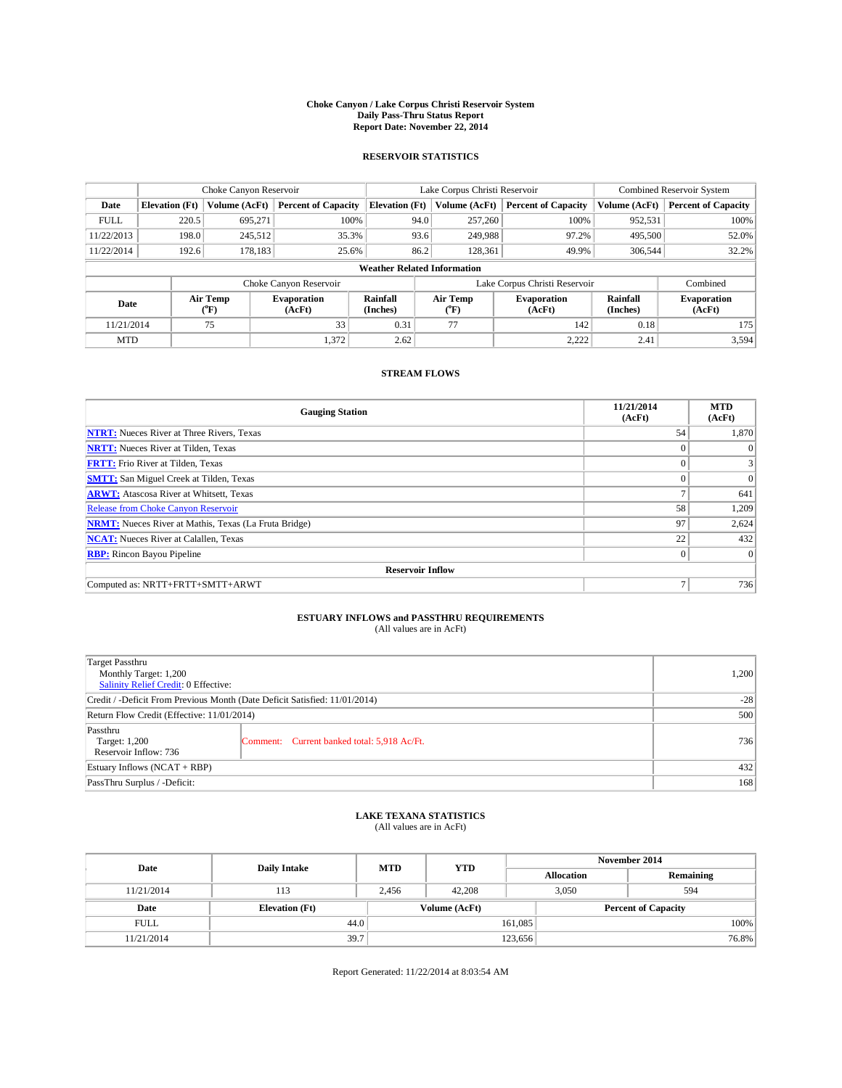#### **Choke Canyon / Lake Corpus Christi Reservoir System Daily Pass-Thru Status Report Report Date: November 22, 2014**

### **RESERVOIR STATISTICS**

|             |                       | Choke Canyon Reservoir |                              |                                    | Lake Corpus Christi Reservoir | <b>Combined Reservoir System</b> |                      |                              |
|-------------|-----------------------|------------------------|------------------------------|------------------------------------|-------------------------------|----------------------------------|----------------------|------------------------------|
| Date        | <b>Elevation</b> (Ft) | Volume (AcFt)          | <b>Percent of Capacity</b>   | <b>Elevation (Ft)</b>              | Volume (AcFt)                 | <b>Percent of Capacity</b>       | Volume (AcFt)        | <b>Percent of Capacity</b>   |
| <b>FULL</b> | 220.5                 | 695,271                | 100%                         | 94.0                               | 257,260                       | 100%                             | 952,531              | 100%                         |
| 11/22/2013  | 198.0                 | 245,512                | 35.3%                        | 93.6                               | 249,988                       | 97.2%                            | 495,500              | 52.0%                        |
| 11/22/2014  | 192.6                 | 178,183                | 25.6%                        | 86.2                               | 128,361                       | 49.9%                            | 306.544              | 32.2%                        |
|             |                       |                        |                              | <b>Weather Related Information</b> |                               |                                  |                      |                              |
|             |                       |                        | Choke Canyon Reservoir       |                                    | Lake Corpus Christi Reservoir |                                  | Combined             |                              |
| Date        |                       | Air Temp<br>(°F)       | <b>Evaporation</b><br>(AcFt) | Rainfall<br>(Inches)               | Air Temp<br>(°F)              | <b>Evaporation</b><br>(AcFt)     | Rainfall<br>(Inches) | <b>Evaporation</b><br>(AcFt) |
| 11/21/2014  |                       | 75                     | 33                           | 0.31                               | 77                            | 142                              | 0.18                 | 175                          |
| <b>MTD</b>  |                       |                        | 1,372                        | 2.62                               |                               | 2,222                            | 2.41                 | 3,594                        |

### **STREAM FLOWS**

| <b>Gauging Station</b>                                       | 11/21/2014<br>(AcFt) | <b>MTD</b><br>(AcFt) |  |  |  |  |  |
|--------------------------------------------------------------|----------------------|----------------------|--|--|--|--|--|
| <b>NTRT:</b> Nueces River at Three Rivers, Texas             | 54                   | 1,870                |  |  |  |  |  |
| <b>NRTT:</b> Nueces River at Tilden, Texas                   | $\theta$             | $\theta$             |  |  |  |  |  |
| <b>FRTT:</b> Frio River at Tilden, Texas                     |                      | 3                    |  |  |  |  |  |
| <b>SMTT:</b> San Miguel Creek at Tilden, Texas               | $\theta$             | $\Omega$             |  |  |  |  |  |
| <b>ARWT:</b> Atascosa River at Whitsett, Texas               |                      | 641                  |  |  |  |  |  |
| <b>Release from Choke Canyon Reservoir</b>                   | 58                   | 1,209                |  |  |  |  |  |
| <b>NRMT:</b> Nueces River at Mathis, Texas (La Fruta Bridge) | 97                   | 2,624                |  |  |  |  |  |
| <b>NCAT:</b> Nueces River at Calallen, Texas                 | 22                   | 432                  |  |  |  |  |  |
| <b>RBP:</b> Rincon Bayou Pipeline                            | $\mathbf{0}$         | $\Omega$             |  |  |  |  |  |
| <b>Reservoir Inflow</b>                                      |                      |                      |  |  |  |  |  |
| Computed as: NRTT+FRTT+SMTT+ARWT                             | Ξ                    | 736                  |  |  |  |  |  |

## **ESTUARY INFLOWS and PASSTHRU REQUIREMENTS**<br>(All values are in AcFt)

| Target Passthru<br>Monthly Target: 1,200<br>Salinity Relief Credit: 0 Effective: | 1,200                                       |     |  |  |
|----------------------------------------------------------------------------------|---------------------------------------------|-----|--|--|
| Credit / -Deficit From Previous Month (Date Deficit Satisfied: 11/01/2014)       |                                             |     |  |  |
| Return Flow Credit (Effective: 11/01/2014)                                       | 500                                         |     |  |  |
| Passthru<br>Target: 1,200<br>Reservoir Inflow: 736                               | Comment: Current banked total: 5,918 Ac/Ft. | 736 |  |  |
| Estuary Inflows (NCAT + RBP)                                                     | 432                                         |     |  |  |
| PassThru Surplus / -Deficit:                                                     | 168                                         |     |  |  |

## **LAKE TEXANA STATISTICS** (All values are in AcFt)

| Date        | <b>Daily Intake</b>   | <b>MTD</b> | <b>YTD</b>    | November 2014     |                            |           |  |
|-------------|-----------------------|------------|---------------|-------------------|----------------------------|-----------|--|
|             |                       |            |               | <b>Allocation</b> |                            | Remaining |  |
| 11/21/2014  | 113                   | 2.456      | 42,208        | 3.050             |                            | 594       |  |
| Date        | <b>Elevation</b> (Ft) |            | Volume (AcFt) |                   | <b>Percent of Capacity</b> |           |  |
| <b>FULL</b> | 44.0                  |            |               | 161,085           |                            | 100%      |  |
| 11/21/2014  | 39.7                  |            |               | 123,656           |                            | 76.8%     |  |

Report Generated: 11/22/2014 at 8:03:54 AM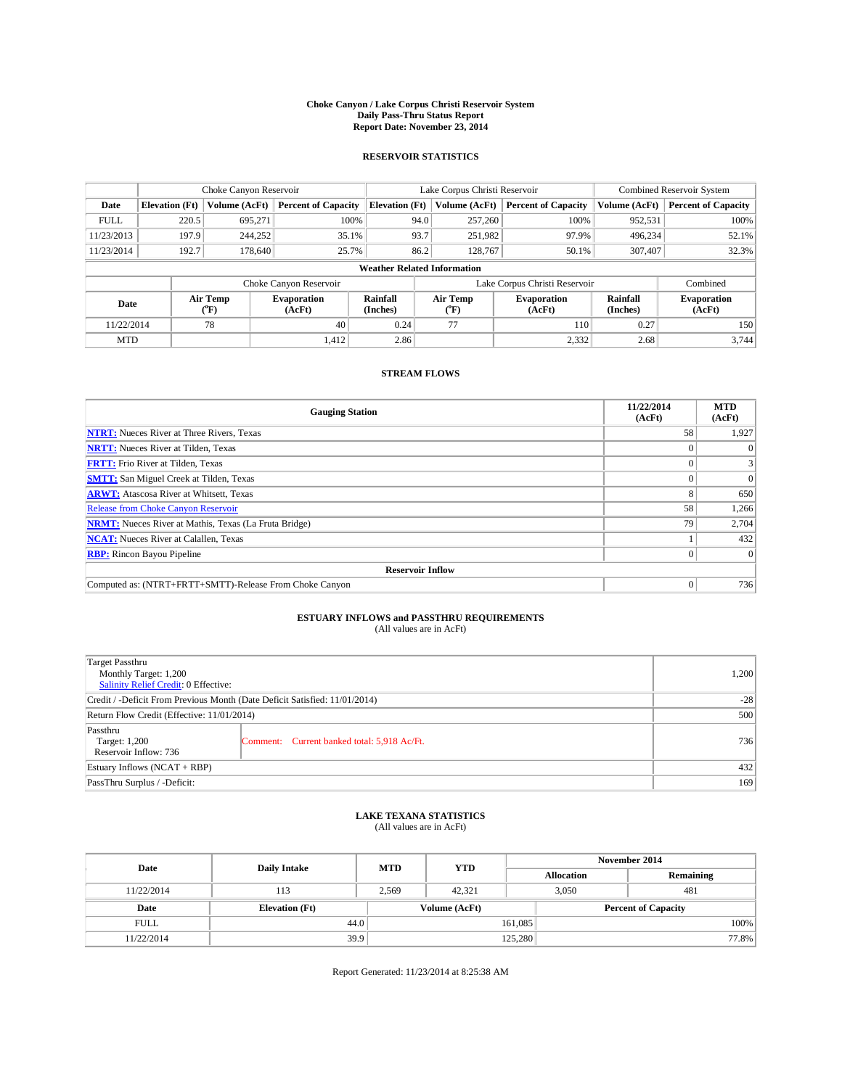#### **Choke Canyon / Lake Corpus Christi Reservoir System Daily Pass-Thru Status Report Report Date: November 23, 2014**

### **RESERVOIR STATISTICS**

|             |                       | Choke Canyon Reservoir   |                              |                                    | Lake Corpus Christi Reservoir | <b>Combined Reservoir System</b> |                      |                              |
|-------------|-----------------------|--------------------------|------------------------------|------------------------------------|-------------------------------|----------------------------------|----------------------|------------------------------|
| Date        | <b>Elevation</b> (Ft) | Volume (AcFt)            | <b>Percent of Capacity</b>   | <b>Elevation (Ft)</b>              | Volume (AcFt)                 | <b>Percent of Capacity</b>       | Volume (AcFt)        | <b>Percent of Capacity</b>   |
| <b>FULL</b> | 220.5                 | 695.271                  | 100%                         | 94.0                               | 257,260                       | 100%                             | 952,531              | 100%                         |
| 11/23/2013  | 197.9                 | 244,252                  | 35.1%                        | 93.7                               | 251,982                       | 97.9%                            | 496,234              | 52.1%                        |
| 11/23/2014  | 192.7                 | 178,640                  | 25.7%                        | 86.2                               | 128,767                       | 50.1%                            | 307,407              | 32.3%                        |
|             |                       |                          |                              | <b>Weather Related Information</b> |                               |                                  |                      |                              |
|             |                       |                          | Choke Canyon Reservoir       |                                    | Lake Corpus Christi Reservoir |                                  |                      |                              |
| Date        |                       | Air Temp<br>$\rm ^{o}F)$ | <b>Evaporation</b><br>(AcFt) | Rainfall<br>(Inches)               | Air Temp<br>("F)              | <b>Evaporation</b><br>(AcFt)     | Rainfall<br>(Inches) | <b>Evaporation</b><br>(AcFt) |
| 11/22/2014  |                       | 78                       | 40                           | 0.24                               | 77                            | 110                              | 0.27                 | 150                          |

### **STREAM FLOWS**

MTD  $|$  1,412 2.86 2.332 2.68 3,744

| <b>Gauging Station</b>                                       | 11/22/2014<br>(AcFt) | <b>MTD</b><br>(AcFt) |
|--------------------------------------------------------------|----------------------|----------------------|
| <b>NTRT:</b> Nueces River at Three Rivers, Texas             | 58                   | 1,927                |
| <b>NRTT:</b> Nueces River at Tilden, Texas                   |                      |                      |
| <b>FRTT:</b> Frio River at Tilden, Texas                     |                      |                      |
| <b>SMTT:</b> San Miguel Creek at Tilden, Texas               |                      | $\Omega$             |
| <b>ARWT:</b> Atascosa River at Whitsett, Texas               | 8                    | 650                  |
| <b>Release from Choke Canyon Reservoir</b>                   | 58                   | 1,266                |
| <b>NRMT:</b> Nueces River at Mathis, Texas (La Fruta Bridge) | 79                   | 2,704                |
| <b>NCAT:</b> Nueces River at Calallen, Texas                 |                      | 432                  |
| <b>RBP:</b> Rincon Bayou Pipeline                            |                      | $\Omega$             |
| <b>Reservoir Inflow</b>                                      |                      |                      |
| Computed as: (NTRT+FRTT+SMTT)-Release From Choke Canyon      | 0                    | 736                  |

# **ESTUARY INFLOWS and PASSTHRU REQUIREMENTS**<br>(All values are in AcFt)

| <b>Target Passthru</b><br>Monthly Target: 1,200<br>Salinity Relief Credit: 0 Effective: |                                             | 1,200 |
|-----------------------------------------------------------------------------------------|---------------------------------------------|-------|
| Credit / -Deficit From Previous Month (Date Deficit Satisfied: 11/01/2014)              | $-28$                                       |       |
| Return Flow Credit (Effective: 11/01/2014)                                              | 500                                         |       |
| Passthru<br>Target: 1,200<br>Reservoir Inflow: 736                                      | Comment: Current banked total: 5,918 Ac/Ft. | 736   |
| Estuary Inflows (NCAT + RBP)                                                            | 432                                         |       |
| PassThru Surplus / -Deficit:                                                            | 169                                         |       |

## **LAKE TEXANA STATISTICS** (All values are in AcFt)

| Date        | <b>Daily Intake</b>   | <b>MTD</b> | <b>YTD</b>    | November 2014     |                            |           |  |
|-------------|-----------------------|------------|---------------|-------------------|----------------------------|-----------|--|
|             |                       |            |               | <b>Allocation</b> |                            | Remaining |  |
| 11/22/2014  | 113                   | 2,569      | 42.321        |                   | 3,050<br>481               |           |  |
| Date        | <b>Elevation</b> (Ft) |            | Volume (AcFt) |                   | <b>Percent of Capacity</b> |           |  |
| <b>FULL</b> | 44.0                  |            |               | 161,085           |                            | 100%      |  |
| 11/22/2014  | 39.9                  |            |               | 125,280           |                            | 77.8%     |  |

Report Generated: 11/23/2014 at 8:25:38 AM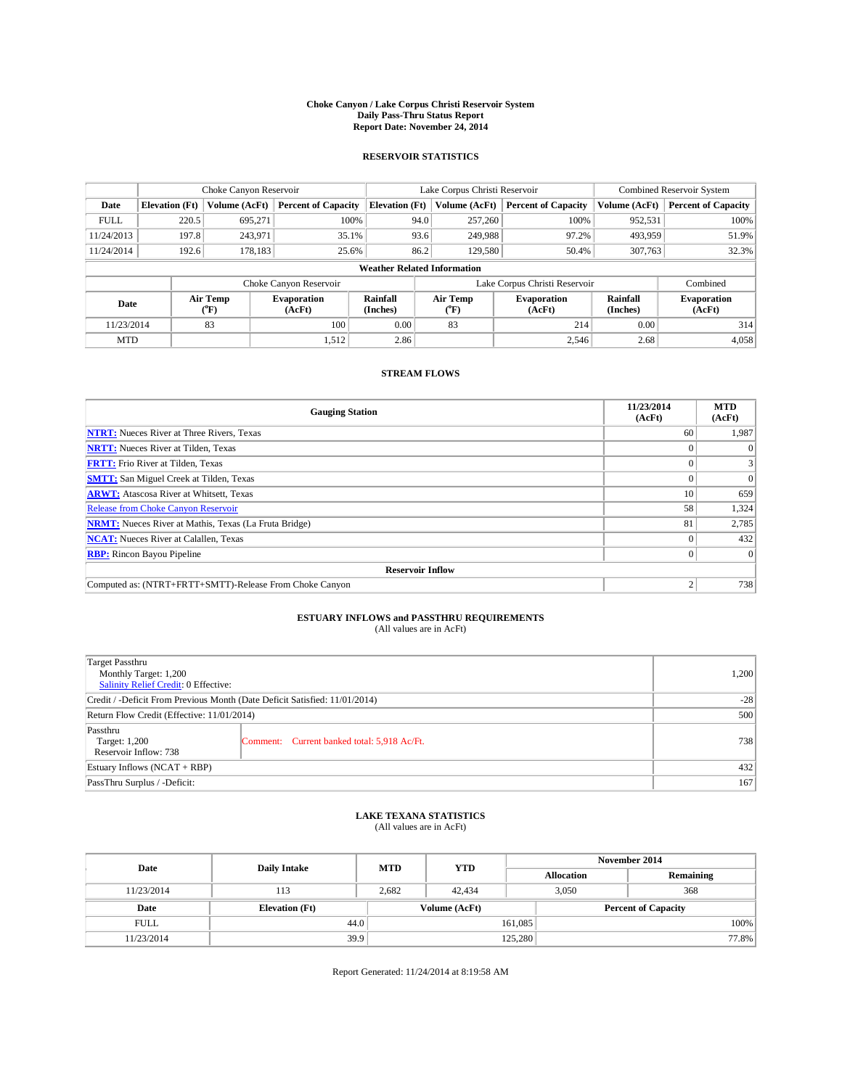#### **Choke Canyon / Lake Corpus Christi Reservoir System Daily Pass-Thru Status Report Report Date: November 24, 2014**

### **RESERVOIR STATISTICS**

|             |                                    | Choke Canyon Reservoir |                              |                       | Lake Corpus Christi Reservoir | <b>Combined Reservoir System</b> |                      |                              |  |  |
|-------------|------------------------------------|------------------------|------------------------------|-----------------------|-------------------------------|----------------------------------|----------------------|------------------------------|--|--|
| Date        | <b>Elevation</b> (Ft)              | Volume (AcFt)          | <b>Percent of Capacity</b>   | <b>Elevation (Ft)</b> | Volume (AcFt)                 | <b>Percent of Capacity</b>       | Volume (AcFt)        | <b>Percent of Capacity</b>   |  |  |
| <b>FULL</b> | 220.5                              | 695,271                | 100%                         | 94.0                  | 257,260                       | 100%                             | 952,531              | 100%                         |  |  |
| 11/24/2013  | 197.8                              | 243,971                | 35.1%                        | 93.6                  | 249,988                       | 97.2%                            | 493,959              | 51.9%                        |  |  |
| 11/24/2014  | 192.6                              | 178,183                | 25.6%                        | 86.2                  | 129,580                       | 50.4%                            | 307,763              | 32.3%                        |  |  |
|             | <b>Weather Related Information</b> |                        |                              |                       |                               |                                  |                      |                              |  |  |
|             |                                    |                        | Choke Canyon Reservoir       |                       | Lake Corpus Christi Reservoir |                                  | Combined             |                              |  |  |
| Date        |                                    | Air Temp<br>(°F)       | <b>Evaporation</b><br>(AcFt) | Rainfall<br>(Inches)  | Air Temp<br>(°F)              | <b>Evaporation</b><br>(AcFt)     | Rainfall<br>(Inches) | <b>Evaporation</b><br>(AcFt) |  |  |
| 11/23/2014  |                                    | 83                     | 100                          | 0.00                  | 83                            | 214                              | 0.00                 | 314                          |  |  |
| <b>MTD</b>  |                                    |                        | 1,512                        | 2.86                  |                               | 2,546                            | 2.68                 | 4,058                        |  |  |

### **STREAM FLOWS**

| <b>Gauging Station</b>                                       | 11/23/2014<br>(AcFt) | <b>MTD</b><br>(AcFt) |
|--------------------------------------------------------------|----------------------|----------------------|
| <b>NTRT:</b> Nueces River at Three Rivers, Texas             | 60                   | 1,987                |
| <b>NRTT:</b> Nueces River at Tilden, Texas                   |                      |                      |
| <b>FRTT:</b> Frio River at Tilden, Texas                     |                      |                      |
| <b>SMTT:</b> San Miguel Creek at Tilden, Texas               |                      | $\Omega$             |
| <b>ARWT:</b> Atascosa River at Whitsett, Texas               | 10                   | 659                  |
| <b>Release from Choke Canyon Reservoir</b>                   | 58                   | 1,324                |
| <b>NRMT:</b> Nueces River at Mathis, Texas (La Fruta Bridge) | 81                   | 2,785                |
| <b>NCAT:</b> Nueces River at Calallen, Texas                 |                      | 432                  |
| <b>RBP:</b> Rincon Bayou Pipeline                            |                      | $\Omega$             |
| <b>Reservoir Inflow</b>                                      |                      |                      |
| Computed as: (NTRT+FRTT+SMTT)-Release From Choke Canyon      | σ                    | 738                  |

# **ESTUARY INFLOWS and PASSTHRU REQUIREMENTS**<br>(All values are in AcFt)

| <b>Target Passthru</b><br>Monthly Target: 1,200<br>Salinity Relief Credit: 0 Effective: |                                             | 1,200 |
|-----------------------------------------------------------------------------------------|---------------------------------------------|-------|
| Credit / -Deficit From Previous Month (Date Deficit Satisfied: 11/01/2014)              | $-28$                                       |       |
| Return Flow Credit (Effective: 11/01/2014)                                              | 500                                         |       |
| Passthru<br>Target: 1,200<br>Reservoir Inflow: 738                                      | Comment: Current banked total: 5,918 Ac/Ft. | 738   |
| Estuary Inflows (NCAT + RBP)                                                            | 432                                         |       |
| PassThru Surplus / -Deficit:                                                            | 167                                         |       |

## **LAKE TEXANA STATISTICS** (All values are in AcFt)

| Date        |                       | <b>MTD</b> | <b>YTD</b>    | November 2014     |                            |           |       |
|-------------|-----------------------|------------|---------------|-------------------|----------------------------|-----------|-------|
|             | <b>Daily Intake</b>   |            |               | <b>Allocation</b> |                            | Remaining |       |
| 11/23/2014  | 113                   | 2.682      | 42,434        |                   | 368<br>3.050               |           |       |
| Date        | <b>Elevation</b> (Ft) |            | Volume (AcFt) |                   | <b>Percent of Capacity</b> |           |       |
| <b>FULL</b> | 44.0                  |            |               | 161,085           |                            |           | 100%  |
| 11/23/2014  | 39.9                  |            |               | 125,280           |                            |           | 77.8% |

Report Generated: 11/24/2014 at 8:19:58 AM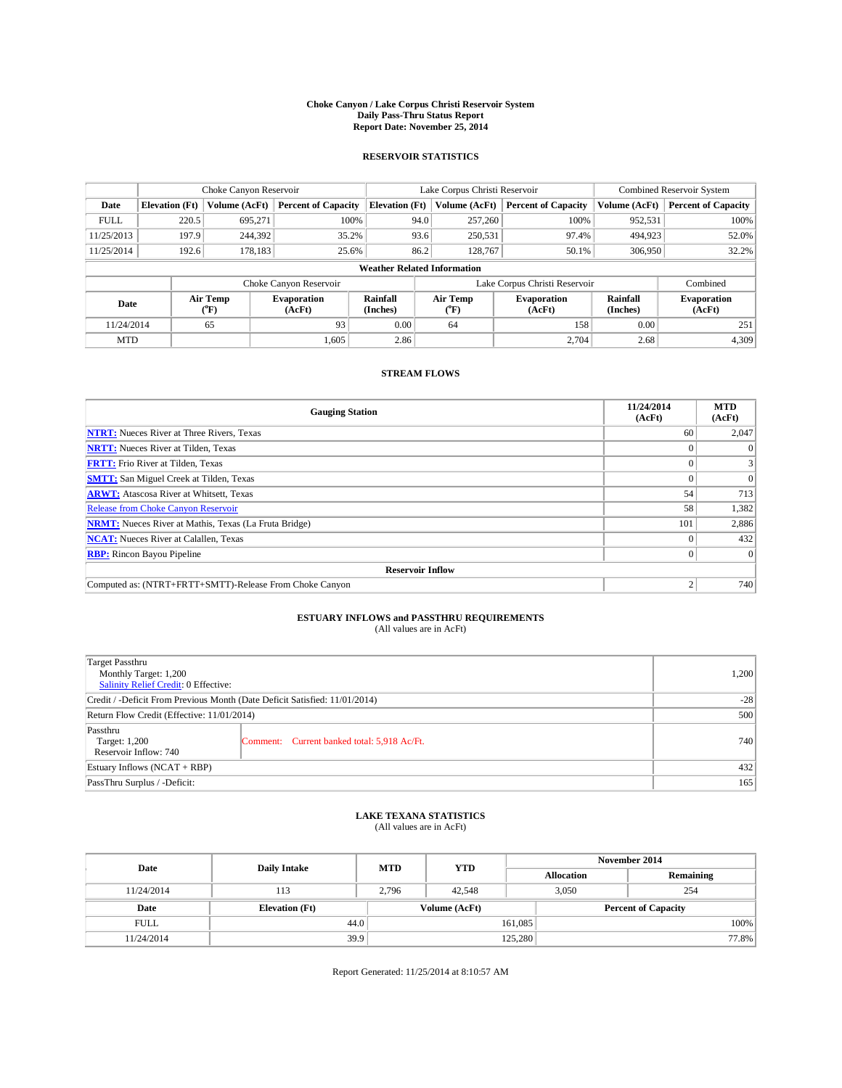#### **Choke Canyon / Lake Corpus Christi Reservoir System Daily Pass-Thru Status Report Report Date: November 25, 2014**

### **RESERVOIR STATISTICS**

|             |                       | Choke Canyon Reservoir |                            |                                    | Lake Corpus Christi Reservoir | <b>Combined Reservoir System</b> |                      |                              |
|-------------|-----------------------|------------------------|----------------------------|------------------------------------|-------------------------------|----------------------------------|----------------------|------------------------------|
| Date        | <b>Elevation</b> (Ft) | Volume (AcFt)          | <b>Percent of Capacity</b> | <b>Elevation (Ft)</b>              | Volume (AcFt)                 | <b>Percent of Capacity</b>       | Volume (AcFt)        | <b>Percent of Capacity</b>   |
| <b>FULL</b> | 220.5                 | 695.271                | 100%                       | 94.0                               | 257,260                       | 100%                             | 952,531              | 100%                         |
| 11/25/2013  | 197.9                 | 244,392                | 35.2%                      |                                    | 93.6<br>250,531               | 97.4%                            | 494,923              | 52.0%                        |
| 11/25/2014  | 192.6                 | 178.183                | 25.6%                      |                                    | 86.2<br>128,767               | 50.1%                            | 306,950              | 32.2%                        |
|             |                       |                        |                            | <b>Weather Related Information</b> |                               |                                  |                      |                              |
|             |                       |                        | Choke Canyon Reservoir     |                                    |                               | Lake Corpus Christi Reservoir    |                      | Combined                     |
| Date        |                       | Air Temp<br>(°F)       | Evaporation<br>(AcFt)      | Rainfall<br>(Inches)               | Air Temp<br>("F)              | <b>Evaporation</b><br>(AcFt)     | Rainfall<br>(Inches) | <b>Evaporation</b><br>(AcFt) |
| 11/24/2014  |                       | 65                     | 93                         | 0.00                               | 64                            | 158                              | 0.00                 | 251                          |

### **STREAM FLOWS**

MTD  $|$  1,605 2.86 2.86 2.704 2.68 4,309

| <b>Gauging Station</b>                                       | 11/24/2014<br>(AcFt) | <b>MTD</b><br>(AcFt) |  |  |  |  |
|--------------------------------------------------------------|----------------------|----------------------|--|--|--|--|
| <b>NTRT:</b> Nueces River at Three Rivers, Texas             | 60                   | 2,047                |  |  |  |  |
| <b>NRTT:</b> Nueces River at Tilden, Texas                   |                      | $\Omega$             |  |  |  |  |
| <b>FRTT:</b> Frio River at Tilden, Texas                     |                      | 3                    |  |  |  |  |
| <b>SMTT:</b> San Miguel Creek at Tilden, Texas               |                      | $\Omega$             |  |  |  |  |
| <b>ARWT:</b> Atascosa River at Whitsett, Texas               | 54                   | 713                  |  |  |  |  |
| <b>Release from Choke Canyon Reservoir</b>                   | 58                   | 1,382                |  |  |  |  |
| <b>NRMT:</b> Nueces River at Mathis, Texas (La Fruta Bridge) | 101                  | 2,886                |  |  |  |  |
| <b>NCAT:</b> Nueces River at Calallen, Texas                 |                      | 432                  |  |  |  |  |
| <b>RBP:</b> Rincon Bayou Pipeline                            | 0 <sup>1</sup>       | $\Omega$             |  |  |  |  |
| <b>Reservoir Inflow</b>                                      |                      |                      |  |  |  |  |
| Computed as: (NTRT+FRTT+SMTT)-Release From Choke Canyon      |                      | 740                  |  |  |  |  |

# **ESTUARY INFLOWS and PASSTHRU REQUIREMENTS**<br>(All values are in AcFt)

| <b>Target Passthru</b><br>Monthly Target: 1,200<br>Salinity Relief Credit: 0 Effective: | 1,200                                       |     |
|-----------------------------------------------------------------------------------------|---------------------------------------------|-----|
| Credit / -Deficit From Previous Month (Date Deficit Satisfied: 11/01/2014)              | $-28$                                       |     |
| Return Flow Credit (Effective: 11/01/2014)                                              | 500                                         |     |
| Passthru<br>Target: 1,200<br>Reservoir Inflow: 740                                      | Comment: Current banked total: 5,918 Ac/Ft. | 740 |
| Estuary Inflows (NCAT + RBP)                                                            | 432                                         |     |
| PassThru Surplus / -Deficit:                                                            | 165                                         |     |

## **LAKE TEXANA STATISTICS** (All values are in AcFt)

| Date        | <b>Daily Intake</b>   | <b>MTD</b> | <b>YTD</b>    | November 2014     |                            |           |  |
|-------------|-----------------------|------------|---------------|-------------------|----------------------------|-----------|--|
|             |                       |            |               | <b>Allocation</b> |                            | Remaining |  |
| 11/24/2014  | 113                   | 2,796      | 42.548        |                   | 3.050<br>254               |           |  |
| Date        | <b>Elevation</b> (Ft) |            | Volume (AcFt) |                   | <b>Percent of Capacity</b> |           |  |
| <b>FULL</b> | 44.0                  |            |               | 161,085           |                            | 100%      |  |
| 11/24/2014  | 39.9                  |            |               | 125,280           |                            | 77.8%     |  |

Report Generated: 11/25/2014 at 8:10:57 AM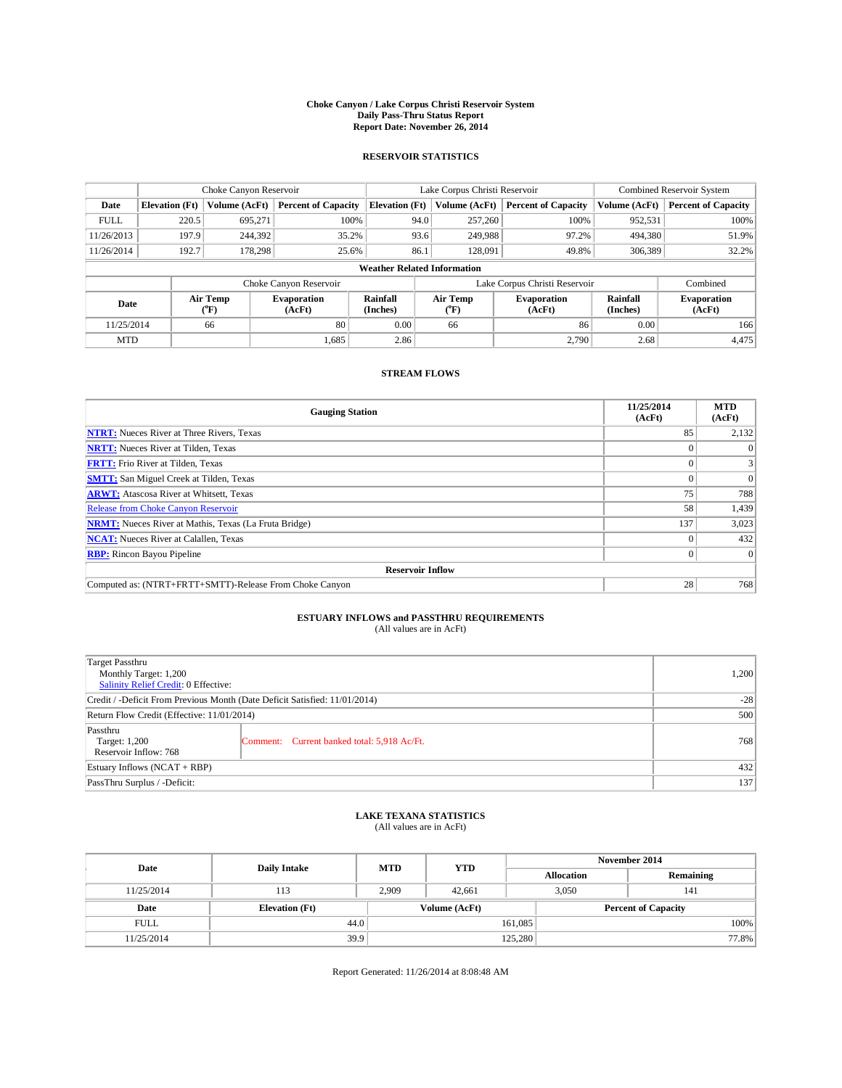#### **Choke Canyon / Lake Corpus Christi Reservoir System Daily Pass-Thru Status Report Report Date: November 26, 2014**

### **RESERVOIR STATISTICS**

|             |                                    |                                          | Lake Corpus Christi Reservoir |                       |      |                                                  | Combined Reservoir System     |                      |                              |
|-------------|------------------------------------|------------------------------------------|-------------------------------|-----------------------|------|--------------------------------------------------|-------------------------------|----------------------|------------------------------|
| Date        | <b>Elevation</b> (Ft)              | Volume (AcFt)                            | <b>Percent of Capacity</b>    | <b>Elevation (Ft)</b> |      | Volume (AcFt)                                    | <b>Percent of Capacity</b>    | Volume (AcFt)        | <b>Percent of Capacity</b>   |
| <b>FULL</b> | 220.5                              | 695,271                                  | 100%                          |                       | 94.0 | 257,260                                          | 100%                          | 952,531              | 100%                         |
| 11/26/2013  | 197.9                              | 244,392                                  | 35.2%                         |                       | 93.6 | 249,988                                          | 97.2%                         | 494,380              | 51.9%                        |
| 11/26/2014  | 192.7                              | 178,298                                  | 25.6%                         |                       | 86.1 | 128,091                                          | 49.8%                         | 306,389              | 32.2%                        |
|             | <b>Weather Related Information</b> |                                          |                               |                       |      |                                                  |                               |                      |                              |
|             |                                    |                                          | Choke Canyon Reservoir        |                       |      |                                                  | Lake Corpus Christi Reservoir |                      | Combined                     |
| Date        |                                    | Air Temp<br>${}^{\prime\prime} \text{F}$ | <b>Evaporation</b><br>(AcFt)  | Rainfall<br>(Inches)  |      | Air Temp<br><b>Evaporation</b><br>(AcFt)<br>("F) |                               | Rainfall<br>(Inches) | <b>Evaporation</b><br>(AcFt) |
| 11/25/2014  |                                    | 66                                       | 80                            | 0.00                  |      | 66                                               | 86                            | 0.00                 | 166                          |

### **STREAM FLOWS**

MTD  $|$  1,685 2.86 2.86 2.90 2.95 2.68 4,475

| <b>Gauging Station</b>                                       | 11/25/2014<br>(AcFt) | <b>MTD</b><br>(AcFt) |  |  |  |  |  |
|--------------------------------------------------------------|----------------------|----------------------|--|--|--|--|--|
| <b>NTRT:</b> Nueces River at Three Rivers, Texas             | 85                   | 2,132                |  |  |  |  |  |
| <b>NRTT:</b> Nueces River at Tilden, Texas                   |                      | $\Omega$             |  |  |  |  |  |
| <b>FRTT:</b> Frio River at Tilden, Texas                     |                      | 3                    |  |  |  |  |  |
| <b>SMTT:</b> San Miguel Creek at Tilden, Texas               |                      | $\Omega$             |  |  |  |  |  |
| <b>ARWT:</b> Atascosa River at Whitsett, Texas               | 75                   | 788                  |  |  |  |  |  |
| <b>Release from Choke Canyon Reservoir</b>                   | 58                   | 1,439                |  |  |  |  |  |
| <b>NRMT:</b> Nueces River at Mathis, Texas (La Fruta Bridge) | 137                  | 3,023                |  |  |  |  |  |
| <b>NCAT:</b> Nueces River at Calallen, Texas                 |                      | 432                  |  |  |  |  |  |
| <b>RBP:</b> Rincon Bayou Pipeline                            | 0 <sup>1</sup>       | $\Omega$             |  |  |  |  |  |
| <b>Reservoir Inflow</b>                                      |                      |                      |  |  |  |  |  |
| Computed as: (NTRT+FRTT+SMTT)-Release From Choke Canyon      | 28                   | 768                  |  |  |  |  |  |

## **ESTUARY INFLOWS and PASSTHRU REQUIREMENTS**<br>(All values are in AcFt)

| <b>Target Passthru</b><br>Monthly Target: 1,200<br>Salinity Relief Credit: 0 Effective: | 1,200                                       |     |
|-----------------------------------------------------------------------------------------|---------------------------------------------|-----|
| Credit / -Deficit From Previous Month (Date Deficit Satisfied: 11/01/2014)              | $-28$                                       |     |
| Return Flow Credit (Effective: 11/01/2014)                                              | 500                                         |     |
| Passthru<br>Target: 1,200<br>Reservoir Inflow: 768                                      | Comment: Current banked total: 5,918 Ac/Ft. | 768 |
| Estuary Inflows (NCAT + RBP)                                                            | 432                                         |     |
| PassThru Surplus / -Deficit:                                                            | 137                                         |     |

## **LAKE TEXANA STATISTICS** (All values are in AcFt)

| Date        | <b>Daily Intake</b>   | <b>MTD</b> | <b>YTD</b>    | November 2014     |                            |           |  |
|-------------|-----------------------|------------|---------------|-------------------|----------------------------|-----------|--|
|             |                       |            |               | <b>Allocation</b> |                            | Remaining |  |
| 11/25/2014  | 113                   | 2,909      | 42.661        |                   | 3.050<br>141               |           |  |
| Date        | <b>Elevation</b> (Ft) |            | Volume (AcFt) |                   | <b>Percent of Capacity</b> |           |  |
| <b>FULL</b> | 44.0                  |            |               | 161,085           |                            | 100%      |  |
| 11/25/2014  | 39.9                  |            |               | 125,280           |                            | 77.8%     |  |

Report Generated: 11/26/2014 at 8:08:48 AM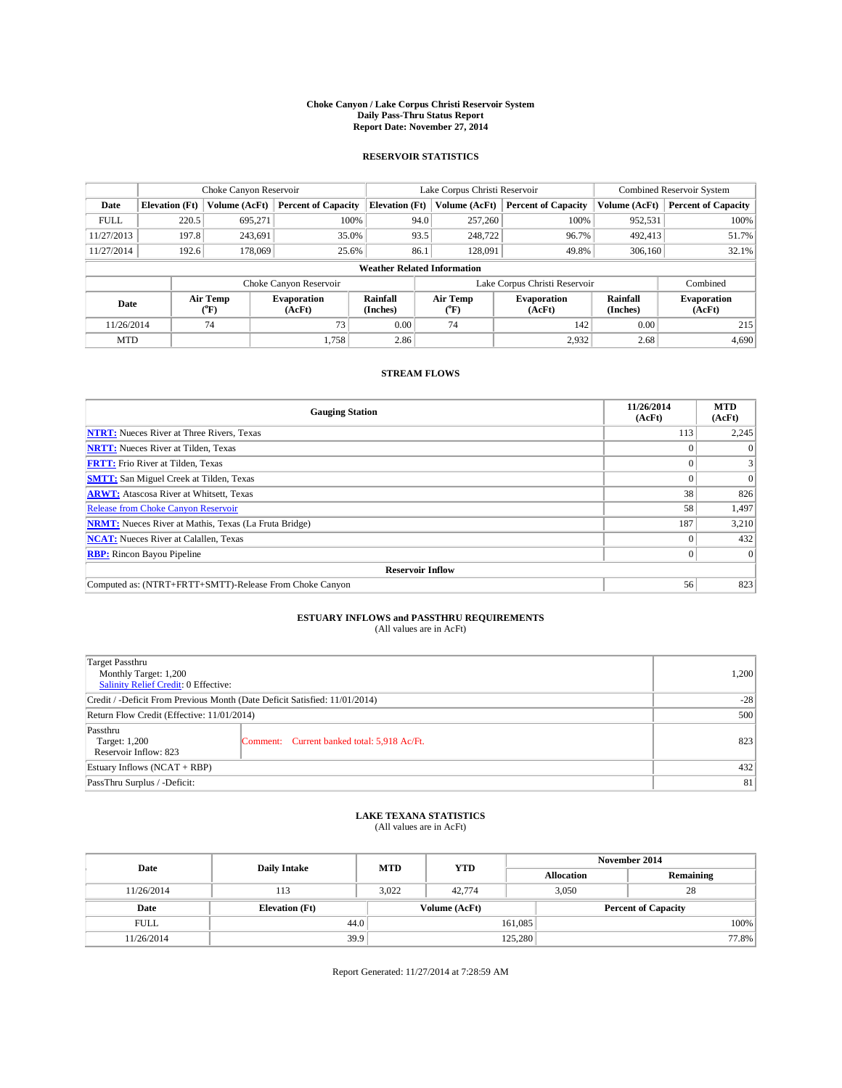#### **Choke Canyon / Lake Corpus Christi Reservoir System Daily Pass-Thru Status Report Report Date: November 27, 2014**

### **RESERVOIR STATISTICS**

|             | Choke Canyon Reservoir |                  |                              |                                    | Lake Corpus Christi Reservoir | <b>Combined Reservoir System</b> |                      |                              |
|-------------|------------------------|------------------|------------------------------|------------------------------------|-------------------------------|----------------------------------|----------------------|------------------------------|
| Date        | <b>Elevation</b> (Ft)  | Volume (AcFt)    | <b>Percent of Capacity</b>   | <b>Elevation (Ft)</b>              | Volume (AcFt)                 | <b>Percent of Capacity</b>       | Volume (AcFt)        | <b>Percent of Capacity</b>   |
| <b>FULL</b> | 220.5                  | 695,271          | 100%                         | 94.0                               | 257,260                       | 100%                             | 952,531              | 100%                         |
| 11/27/2013  | 197.8                  | 243,691          | 35.0%                        | 93.5                               | 248,722                       | 96.7%                            | 492,413              | 51.7%                        |
| 11/27/2014  | 192.6                  | 178,069          | 25.6%                        | 86.1                               | 128,091                       | 49.8%                            | 306,160              | 32.1%                        |
|             |                        |                  |                              | <b>Weather Related Information</b> |                               |                                  |                      |                              |
|             |                        |                  | Choke Canyon Reservoir       |                                    | Lake Corpus Christi Reservoir |                                  | Combined             |                              |
| Date        |                        | Air Temp<br>(°F) | <b>Evaporation</b><br>(AcFt) | Rainfall<br>(Inches)               | Air Temp<br>(°F)              | <b>Evaporation</b><br>(AcFt)     | Rainfall<br>(Inches) | <b>Evaporation</b><br>(AcFt) |
| 11/26/2014  |                        | 74               | 73                           | 0.00                               | 74                            | 142                              | 0.00                 | 215                          |
| <b>MTD</b>  | 1.758                  |                  | 2.86                         |                                    | 2,932                         | 2.68                             | 4,690                |                              |

### **STREAM FLOWS**

| <b>Gauging Station</b>                                       | 11/26/2014<br>(AcFt) | <b>MTD</b><br>(AcFt) |
|--------------------------------------------------------------|----------------------|----------------------|
| <b>NTRT:</b> Nueces River at Three Rivers, Texas             | 113                  | 2,245                |
| <b>NRTT:</b> Nueces River at Tilden, Texas                   |                      | $\theta$             |
| <b>FRTT:</b> Frio River at Tilden, Texas                     |                      |                      |
| <b>SMTT:</b> San Miguel Creek at Tilden, Texas               |                      | $\Omega$             |
| <b>ARWT:</b> Atascosa River at Whitsett, Texas               | 38                   | 826                  |
| <b>Release from Choke Canyon Reservoir</b>                   | 58                   | 1,497                |
| <b>NRMT:</b> Nueces River at Mathis, Texas (La Fruta Bridge) | 187                  | 3,210                |
| <b>NCAT:</b> Nueces River at Calallen, Texas                 |                      | 432                  |
| <b>RBP:</b> Rincon Bayou Pipeline                            | $\Omega$             | $\Omega$             |
| <b>Reservoir Inflow</b>                                      |                      |                      |
| Computed as: (NTRT+FRTT+SMTT)-Release From Choke Canyon      | 56                   | 823                  |

# **ESTUARY INFLOWS and PASSTHRU REQUIREMENTS**<br>(All values are in AcFt)

| Target Passthru                                                            |     |       |  |  |  |
|----------------------------------------------------------------------------|-----|-------|--|--|--|
| Monthly Target: 1,200                                                      |     | 1,200 |  |  |  |
| Salinity Relief Credit: 0 Effective:                                       |     |       |  |  |  |
| Credit / -Deficit From Previous Month (Date Deficit Satisfied: 11/01/2014) |     |       |  |  |  |
| Return Flow Credit (Effective: 11/01/2014)                                 | 500 |       |  |  |  |
| Passthru                                                                   |     |       |  |  |  |
| Target: 1,200<br>Comment: Current banked total: 5,918 Ac/Ft.               |     | 823   |  |  |  |
| Reservoir Inflow: 823                                                      |     |       |  |  |  |
| Estuary Inflows (NCAT + RBP)                                               | 432 |       |  |  |  |
| PassThru Surplus / -Deficit:                                               | 81  |       |  |  |  |

## **LAKE TEXANA STATISTICS** (All values are in AcFt)

| Date        | <b>Daily Intake</b>   | <b>MTD</b> | <b>YTD</b>    | November 2014     |                            |           |       |
|-------------|-----------------------|------------|---------------|-------------------|----------------------------|-----------|-------|
|             |                       |            |               | <b>Allocation</b> |                            | Remaining |       |
| 11/26/2014  | 113                   | 3.022      | 42,774        |                   | 3.050<br>28                |           |       |
| Date        | <b>Elevation</b> (Ft) |            | Volume (AcFt) |                   | <b>Percent of Capacity</b> |           |       |
| <b>FULL</b> | 44.0                  |            |               | 161,085           |                            |           | 100%  |
| 11/26/2014  | 39.9                  |            |               | 125,280           |                            |           | 77.8% |

Report Generated: 11/27/2014 at 7:28:59 AM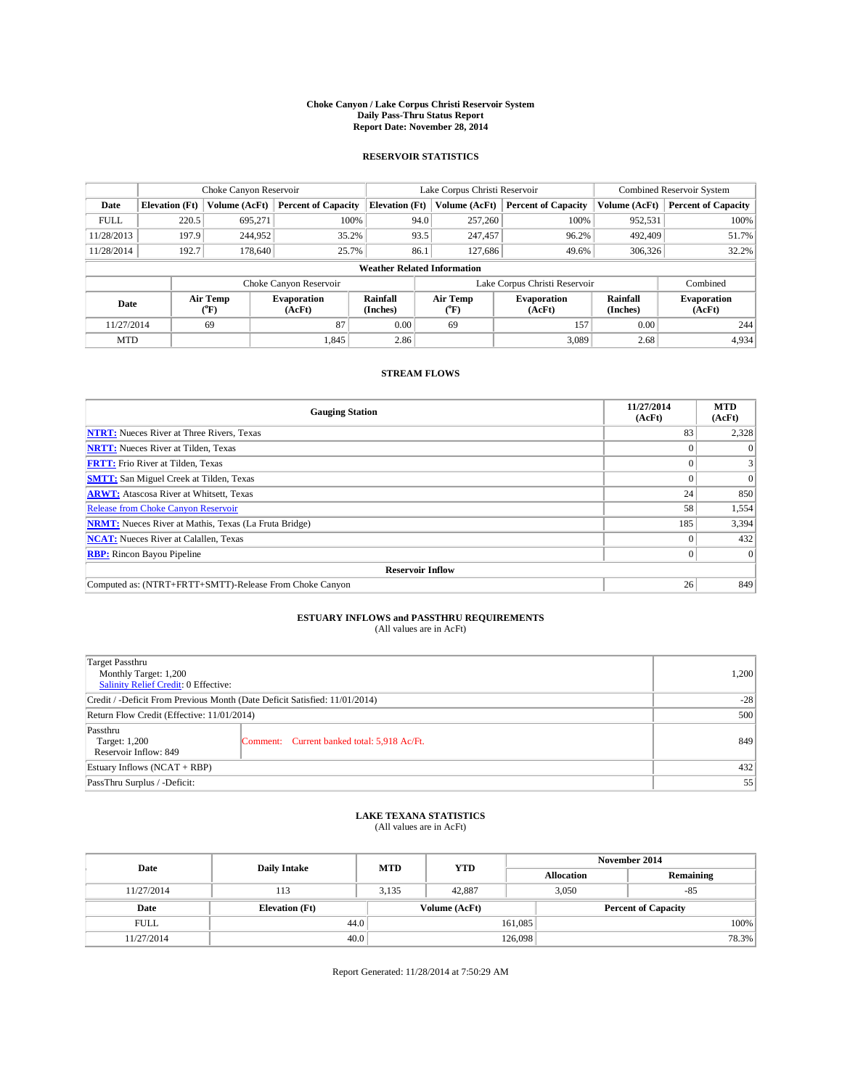#### **Choke Canyon / Lake Corpus Christi Reservoir System Daily Pass-Thru Status Report Report Date: November 28, 2014**

### **RESERVOIR STATISTICS**

|             |                                    | Choke Canyon Reservoir |                            |                       | Lake Corpus Christi Reservoir | <b>Combined Reservoir System</b> |                      |                              |  |
|-------------|------------------------------------|------------------------|----------------------------|-----------------------|-------------------------------|----------------------------------|----------------------|------------------------------|--|
| Date        | <b>Elevation</b> (Ft)              | Volume (AcFt)          | <b>Percent of Capacity</b> | <b>Elevation</b> (Ft) | Volume (AcFt)                 | <b>Percent of Capacity</b>       | Volume (AcFt)        | <b>Percent of Capacity</b>   |  |
| <b>FULL</b> | 220.5                              | 695,271                | 100%                       | 94.0                  | 257,260                       | 100%                             | 952,531              | 100%                         |  |
| 11/28/2013  | 197.9                              | 244,952                | 35.2%                      | 93.5                  | 247,457                       | 96.2%                            | 492,409              | 51.7%                        |  |
| 11/28/2014  | 192.7                              | 178,640                | 25.7%                      | 86.1                  | 127,686                       | 49.6%                            | 306,326              | 32.2%                        |  |
|             | <b>Weather Related Information</b> |                        |                            |                       |                               |                                  |                      |                              |  |
|             |                                    |                        | Choke Canyon Reservoir     |                       | Lake Corpus Christi Reservoir |                                  |                      |                              |  |
| Date        |                                    | Air Temp<br>("F)       | Evaporation<br>(AcFt)      | Rainfall<br>(Inches)  | Air Temp<br>$\rm ^{op}$       | <b>Evaporation</b><br>(AcFt)     | Rainfall<br>(Inches) | <b>Evaporation</b><br>(AcFt) |  |
| 11/27/2014  |                                    | 69                     | 87                         | 0.00                  | 69                            | 157                              | 0.00                 | 244                          |  |

### **STREAM FLOWS**

MTD  $|$  1,845  $|$  2.86  $|$  3,089 2.68 4,934

| <b>Gauging Station</b>                                       | 11/27/2014<br>(AcFt) | <b>MTD</b><br>(AcFt) |
|--------------------------------------------------------------|----------------------|----------------------|
| <b>NTRT:</b> Nueces River at Three Rivers, Texas             | 83                   | 2,328                |
| <b>NRTT:</b> Nueces River at Tilden, Texas                   |                      |                      |
| <b>FRTT:</b> Frio River at Tilden, Texas                     |                      |                      |
| <b>SMTT:</b> San Miguel Creek at Tilden, Texas               |                      | $\Omega$             |
| <b>ARWT:</b> Atascosa River at Whitsett, Texas               | 24                   | 850                  |
| <b>Release from Choke Canyon Reservoir</b>                   | 58                   | 1,554                |
| <b>NRMT:</b> Nueces River at Mathis, Texas (La Fruta Bridge) | 185                  | 3,394                |
| <b>NCAT:</b> Nueces River at Calallen, Texas                 |                      | 432                  |
| <b>RBP:</b> Rincon Bayou Pipeline                            |                      | $\Omega$             |
| <b>Reservoir Inflow</b>                                      |                      |                      |
| Computed as: (NTRT+FRTT+SMTT)-Release From Choke Canyon      | 26                   | 849                  |

# **ESTUARY INFLOWS and PASSTHRU REQUIREMENTS**<br>(All values are in AcFt)

| <b>Target Passthru</b><br>Monthly Target: 1,200<br>Salinity Relief Credit: 0 Effective: |                                             | 1,200 |  |  |
|-----------------------------------------------------------------------------------------|---------------------------------------------|-------|--|--|
| Credit / -Deficit From Previous Month (Date Deficit Satisfied: 11/01/2014)              |                                             |       |  |  |
| Return Flow Credit (Effective: 11/01/2014)                                              |                                             |       |  |  |
| Passthru<br>Target: 1,200<br>Reservoir Inflow: 849                                      | Comment: Current banked total: 5,918 Ac/Ft. | 849   |  |  |
| Estuary Inflows (NCAT + RBP)                                                            |                                             |       |  |  |
| PassThru Surplus / -Deficit:                                                            | 55                                          |       |  |  |

## **LAKE TEXANA STATISTICS** (All values are in AcFt)

| Date        | <b>Daily Intake</b>   | <b>MTD</b> | <b>YTD</b>    | November 2014     |                            |           |  |
|-------------|-----------------------|------------|---------------|-------------------|----------------------------|-----------|--|
|             |                       |            |               | <b>Allocation</b> |                            | Remaining |  |
| 11/27/2014  | 113                   | 3,135      | 42,887        |                   | 3,050<br>$-85$             |           |  |
| Date        | <b>Elevation</b> (Ft) |            | Volume (AcFt) |                   | <b>Percent of Capacity</b> |           |  |
| <b>FULL</b> | 44.0                  |            |               | 161,085           |                            | 100%      |  |
| 11/27/2014  | 40.0                  |            |               | 126,098           |                            | 78.3%     |  |

Report Generated: 11/28/2014 at 7:50:29 AM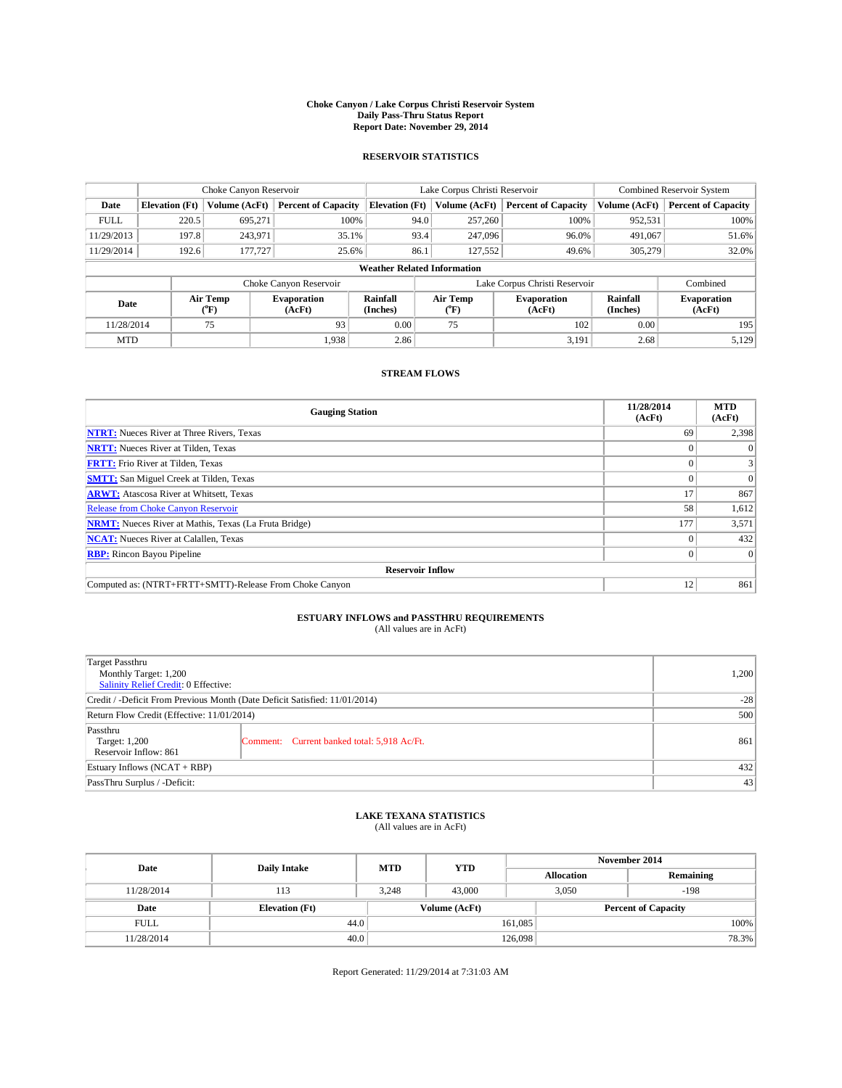#### **Choke Canyon / Lake Corpus Christi Reservoir System Daily Pass-Thru Status Report Report Date: November 29, 2014**

### **RESERVOIR STATISTICS**

|             |                                    | Choke Canyon Reservoir |                              |                       | Lake Corpus Christi Reservoir             | <b>Combined Reservoir System</b>                     |               |                              |  |  |
|-------------|------------------------------------|------------------------|------------------------------|-----------------------|-------------------------------------------|------------------------------------------------------|---------------|------------------------------|--|--|
| Date        | <b>Elevation</b> (Ft)              | Volume (AcFt)          | <b>Percent of Capacity</b>   | <b>Elevation (Ft)</b> | Volume (AcFt)                             | <b>Percent of Capacity</b>                           | Volume (AcFt) | <b>Percent of Capacity</b>   |  |  |
| <b>FULL</b> | 220.5                              | 695,271                | 100%                         | 94.0                  | 257,260                                   | 100%                                                 | 952,531       | 100%                         |  |  |
| 11/29/2013  | 197.8                              | 243,971                | 35.1%                        | 93.4                  | 247,096                                   | 96.0%                                                | 491,067       | 51.6%                        |  |  |
| 11/29/2014  | 192.6                              | 177,727                | 25.6%                        | 86.1                  | 127,552                                   | 49.6%                                                | 305,279       | 32.0%                        |  |  |
|             | <b>Weather Related Information</b> |                        |                              |                       |                                           |                                                      |               |                              |  |  |
|             |                                    |                        | Choke Canyon Reservoir       |                       | Lake Corpus Christi Reservoir<br>Combined |                                                      |               |                              |  |  |
| Date        |                                    | Air Temp<br>(°F)       | <b>Evaporation</b><br>(AcFt) | Rainfall<br>(Inches)  | Air Temp<br>″F)                           | Rainfall<br><b>Evaporation</b><br>(AcFt)<br>(Inches) |               | <b>Evaporation</b><br>(AcFt) |  |  |
| 11/28/2014  |                                    | 75                     | 93                           | 0.00                  | 75                                        | 102                                                  | 0.00          | 195                          |  |  |

### **STREAM FLOWS**

MTD  $|$  1,938  $|$  2.86  $|$  3,191 2.68 5,129

| <b>Gauging Station</b>                                       | 11/28/2014<br>(AcFt) | <b>MTD</b><br>(AcFt) |
|--------------------------------------------------------------|----------------------|----------------------|
| <b>NTRT:</b> Nueces River at Three Rivers, Texas             | 69                   | 2,398                |
| <b>NRTT:</b> Nueces River at Tilden, Texas                   |                      |                      |
| <b>FRTT:</b> Frio River at Tilden, Texas                     |                      |                      |
| <b>SMTT:</b> San Miguel Creek at Tilden, Texas               |                      | $\Omega$             |
| <b>ARWT:</b> Atascosa River at Whitsett, Texas               | 17                   | 867                  |
| <b>Release from Choke Canyon Reservoir</b>                   | 58                   | 1,612                |
| <b>NRMT:</b> Nueces River at Mathis, Texas (La Fruta Bridge) | 177                  | 3,571                |
| <b>NCAT:</b> Nueces River at Calallen, Texas                 |                      | 432                  |
| <b>RBP:</b> Rincon Bayou Pipeline                            |                      | $\Omega$             |
| <b>Reservoir Inflow</b>                                      |                      |                      |
| Computed as: (NTRT+FRTT+SMTT)-Release From Choke Canyon      | 12                   | 861                  |

# **ESTUARY INFLOWS and PASSTHRU REQUIREMENTS**<br>(All values are in AcFt)

| <b>Target Passthru</b><br>Monthly Target: 1,200<br>Salinity Relief Credit: 0 Effective: |                                             | 1,200 |  |
|-----------------------------------------------------------------------------------------|---------------------------------------------|-------|--|
| Credit / -Deficit From Previous Month (Date Deficit Satisfied: 11/01/2014)              |                                             |       |  |
| Return Flow Credit (Effective: 11/01/2014)                                              | 500                                         |       |  |
| Passthru<br>Target: 1,200<br>Reservoir Inflow: 861                                      | Comment: Current banked total: 5,918 Ac/Ft. | 861   |  |
| Estuary Inflows (NCAT + RBP)                                                            | 432                                         |       |  |
| PassThru Surplus / -Deficit:                                                            | 43                                          |       |  |

## **LAKE TEXANA STATISTICS** (All values are in AcFt)

| Date        | <b>Daily Intake</b>   | <b>MTD</b> | <b>YTD</b>    | November 2014     |                            |           |  |
|-------------|-----------------------|------------|---------------|-------------------|----------------------------|-----------|--|
|             |                       |            |               | <b>Allocation</b> |                            | Remaining |  |
| 11/28/2014  | 113                   | 3.248      | 43,000        |                   | $-198$<br>3.050            |           |  |
| Date        | <b>Elevation</b> (Ft) |            | Volume (AcFt) |                   | <b>Percent of Capacity</b> |           |  |
| <b>FULL</b> | 44.0                  |            |               | 161,085           |                            | 100%      |  |
| 11/28/2014  | 40.0                  |            |               | 126,098           |                            | 78.3%     |  |

Report Generated: 11/29/2014 at 7:31:03 AM